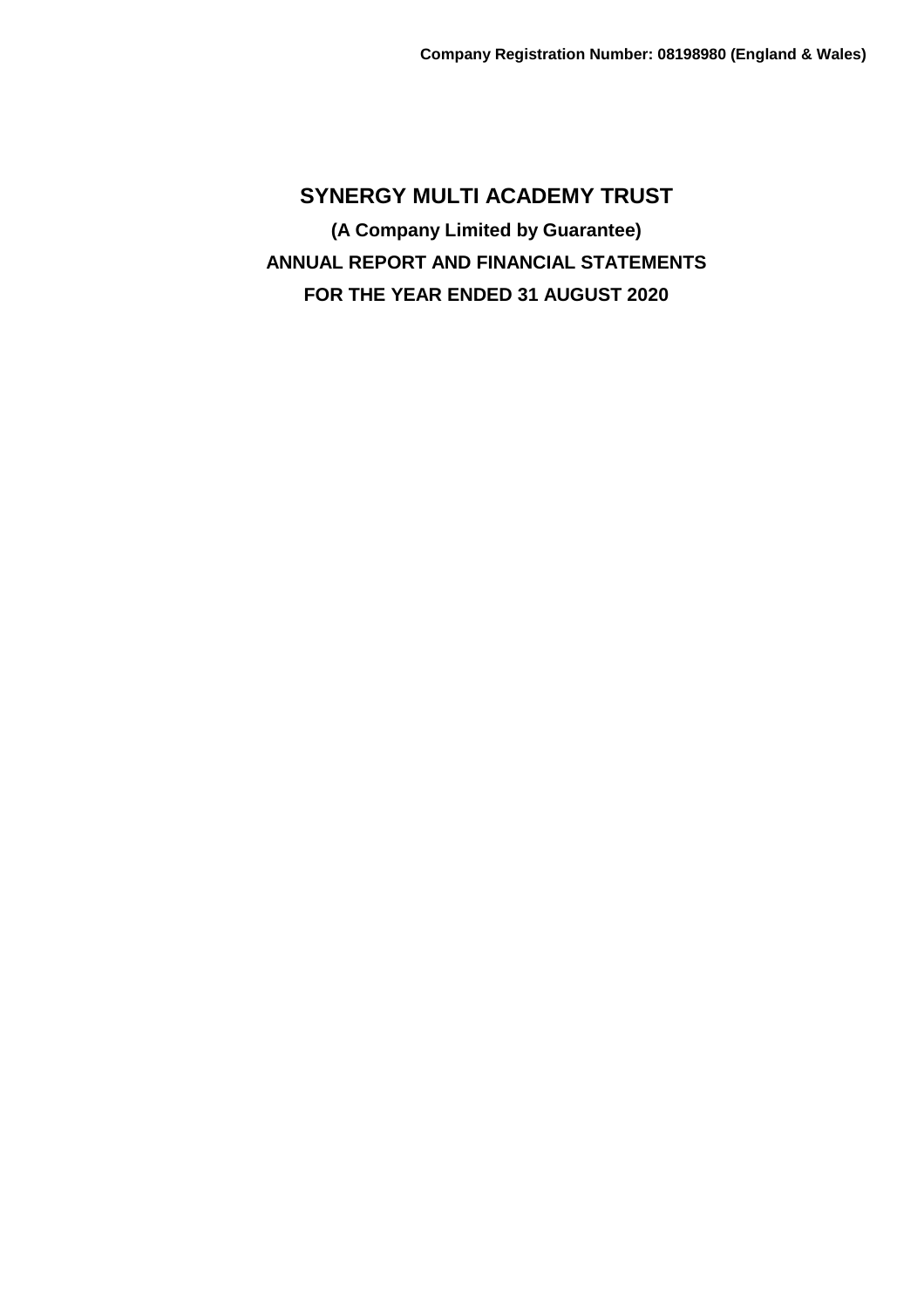**SYNERGY MULTI ACADEMY TRUST (A Company Limited by Guarantee) ANNUAL REPORT AND FINANCIAL STATEMENTS FOR THE YEAR ENDED 31 AUGUST 2020**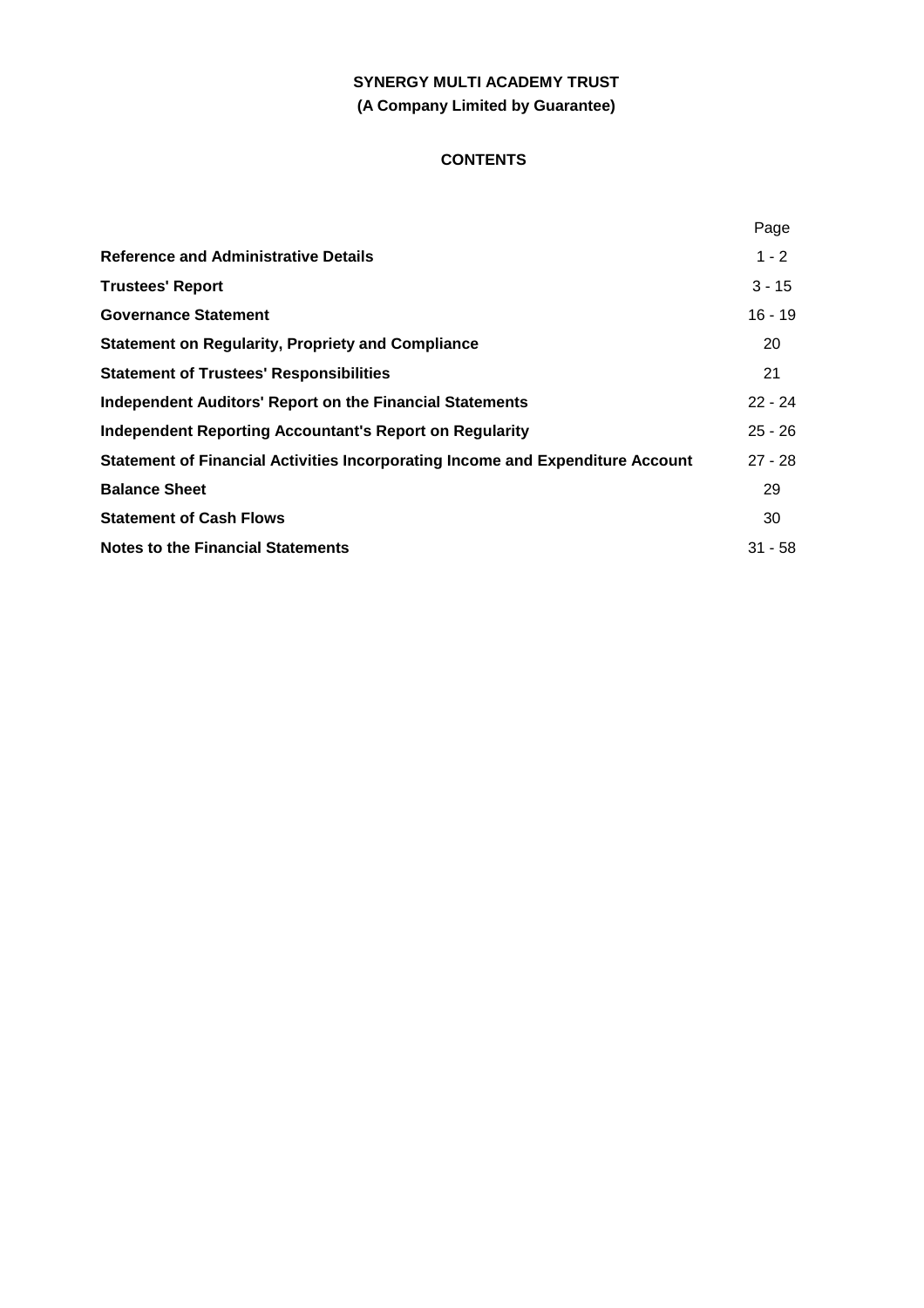# **SYNERGY MULTI ACADEMY TRUST (A Company Limited by Guarantee)**

# **CONTENTS**

|                                                                                | Page      |
|--------------------------------------------------------------------------------|-----------|
| <b>Reference and Administrative Details</b>                                    | $1 - 2$   |
| <b>Trustees' Report</b>                                                        | $3 - 15$  |
| <b>Governance Statement</b>                                                    | $16 - 19$ |
| <b>Statement on Regularity, Propriety and Compliance</b>                       | 20        |
| <b>Statement of Trustees' Responsibilities</b>                                 | 21        |
| <b>Independent Auditors' Report on the Financial Statements</b>                | $22 - 24$ |
| Independent Reporting Accountant's Report on Regularity                        | $25 - 26$ |
| Statement of Financial Activities Incorporating Income and Expenditure Account | $27 - 28$ |
| <b>Balance Sheet</b>                                                           | 29        |
| <b>Statement of Cash Flows</b>                                                 | 30        |
| <b>Notes to the Financial Statements</b>                                       | $31 - 58$ |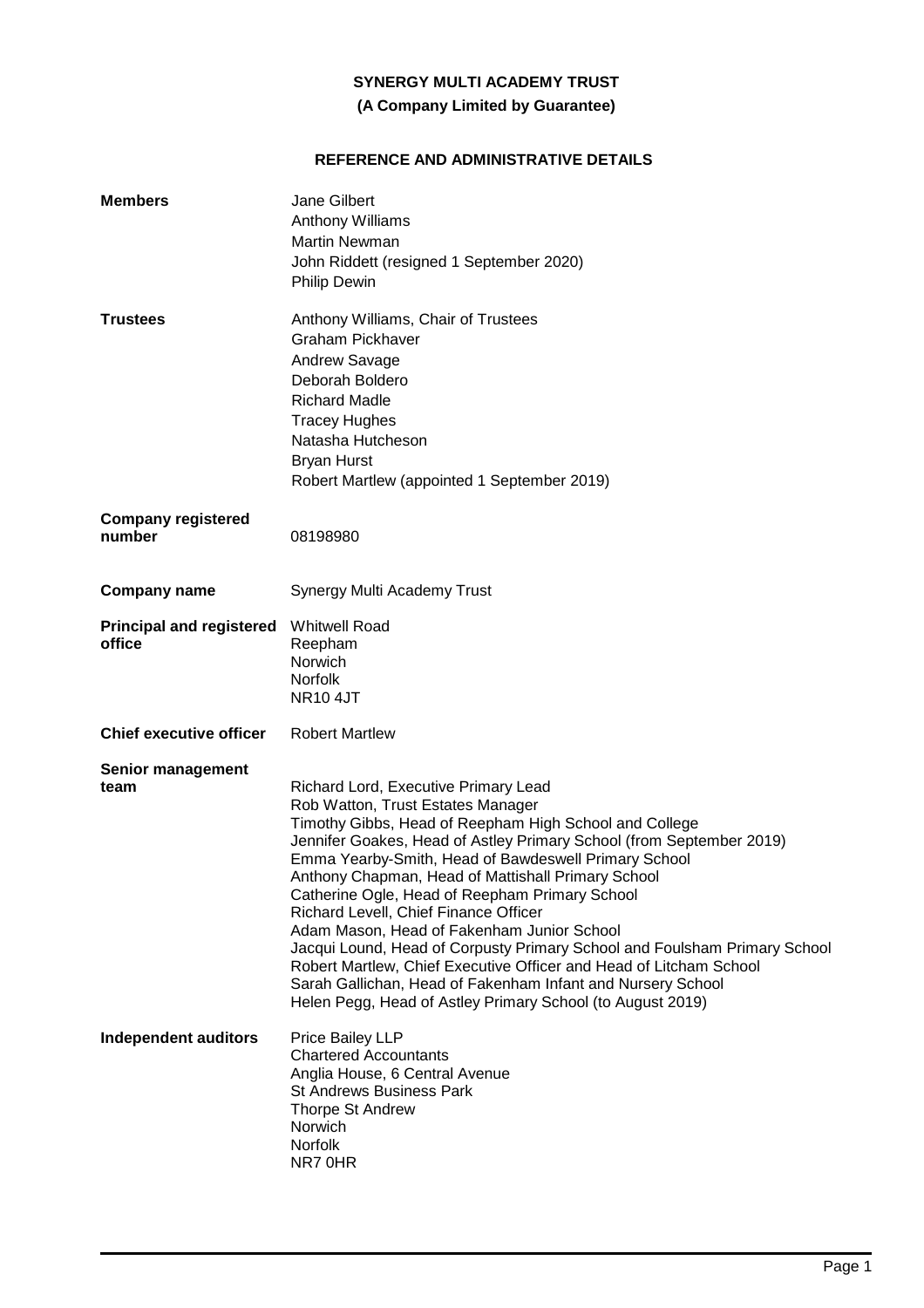# **(A Company Limited by Guarantee)**

# **REFERENCE AND ADMINISTRATIVE DETAILS**

| <b>Members</b>                            | <b>Jane Gilbert</b><br>Anthony Williams<br><b>Martin Newman</b><br>John Riddett (resigned 1 September 2020)<br><b>Philip Dewin</b>                                                                                                                                                                                                                                                                                                                                                                                                                                                                                                                                                                                                                 |
|-------------------------------------------|----------------------------------------------------------------------------------------------------------------------------------------------------------------------------------------------------------------------------------------------------------------------------------------------------------------------------------------------------------------------------------------------------------------------------------------------------------------------------------------------------------------------------------------------------------------------------------------------------------------------------------------------------------------------------------------------------------------------------------------------------|
| <b>Trustees</b>                           | Anthony Williams, Chair of Trustees<br>Graham Pickhaver<br>Andrew Savage<br>Deborah Boldero<br><b>Richard Madle</b><br><b>Tracey Hughes</b><br>Natasha Hutcheson<br><b>Bryan Hurst</b><br>Robert Martlew (appointed 1 September 2019)                                                                                                                                                                                                                                                                                                                                                                                                                                                                                                              |
| <b>Company registered</b><br>number       | 08198980                                                                                                                                                                                                                                                                                                                                                                                                                                                                                                                                                                                                                                                                                                                                           |
| <b>Company name</b>                       | Synergy Multi Academy Trust                                                                                                                                                                                                                                                                                                                                                                                                                                                                                                                                                                                                                                                                                                                        |
| <b>Principal and registered</b><br>office | <b>Whitwell Road</b><br>Reepham<br>Norwich<br><b>Norfolk</b><br><b>NR10 4JT</b>                                                                                                                                                                                                                                                                                                                                                                                                                                                                                                                                                                                                                                                                    |
| <b>Chief executive officer</b>            | <b>Robert Martlew</b>                                                                                                                                                                                                                                                                                                                                                                                                                                                                                                                                                                                                                                                                                                                              |
| <b>Senior management</b><br>team          | Richard Lord, Executive Primary Lead<br>Rob Watton, Trust Estates Manager<br>Timothy Gibbs, Head of Reepham High School and College<br>Jennifer Goakes, Head of Astley Primary School (from September 2019)<br>Emma Yearby-Smith, Head of Bawdeswell Primary School<br>Anthony Chapman, Head of Mattishall Primary School<br>Catherine Ogle, Head of Reepham Primary School<br>Richard Levell, Chief Finance Officer<br>Adam Mason, Head of Fakenham Junior School<br>Jacqui Lound, Head of Corpusty Primary School and Foulsham Primary School<br>Robert Martlew, Chief Executive Officer and Head of Litcham School<br>Sarah Gallichan, Head of Fakenham Infant and Nursery School<br>Helen Pegg, Head of Astley Primary School (to August 2019) |
| <b>Independent auditors</b>               | Price Bailey LLP<br><b>Chartered Accountants</b><br>Anglia House, 6 Central Avenue<br><b>St Andrews Business Park</b><br>Thorpe St Andrew<br>Norwich<br><b>Norfolk</b><br>NR70HR                                                                                                                                                                                                                                                                                                                                                                                                                                                                                                                                                                   |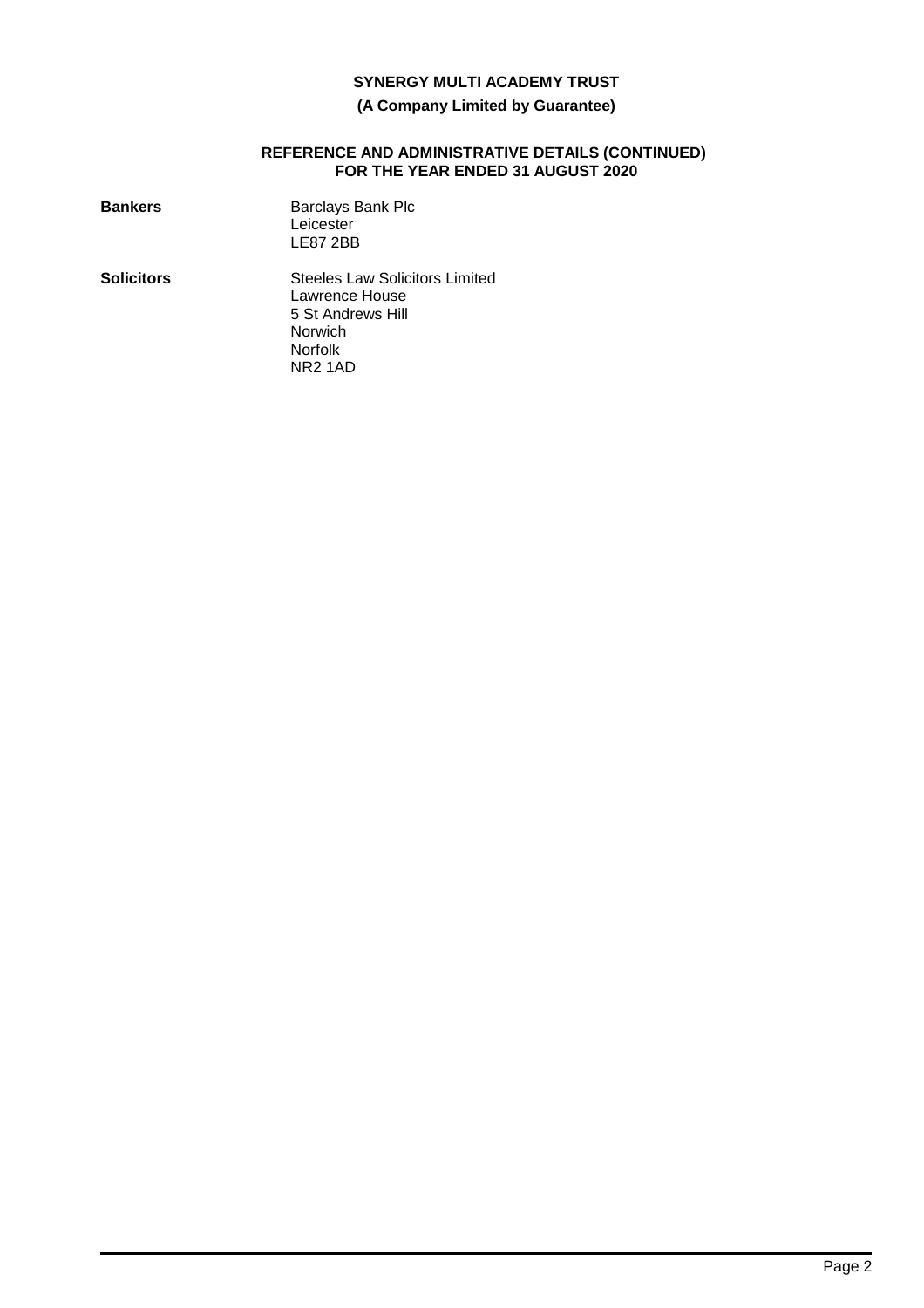# **(A Company Limited by Guarantee)**

#### **REFERENCE AND ADMINISTRATIVE DETAILS (CONTINUED) FOR THE YEAR ENDED 31 AUGUST 2020**

| <b>Bankers</b>    | <b>Barclays Bank Plc</b><br>Leicester<br><b>LE87 2BB</b>                                                                  |
|-------------------|---------------------------------------------------------------------------------------------------------------------------|
| <b>Solicitors</b> | Steeles Law Solicitors Limited<br>Lawrence House<br>5 St Andrews Hill<br>Norwich<br><b>Norfolk</b><br>NR <sub>2</sub> 1AD |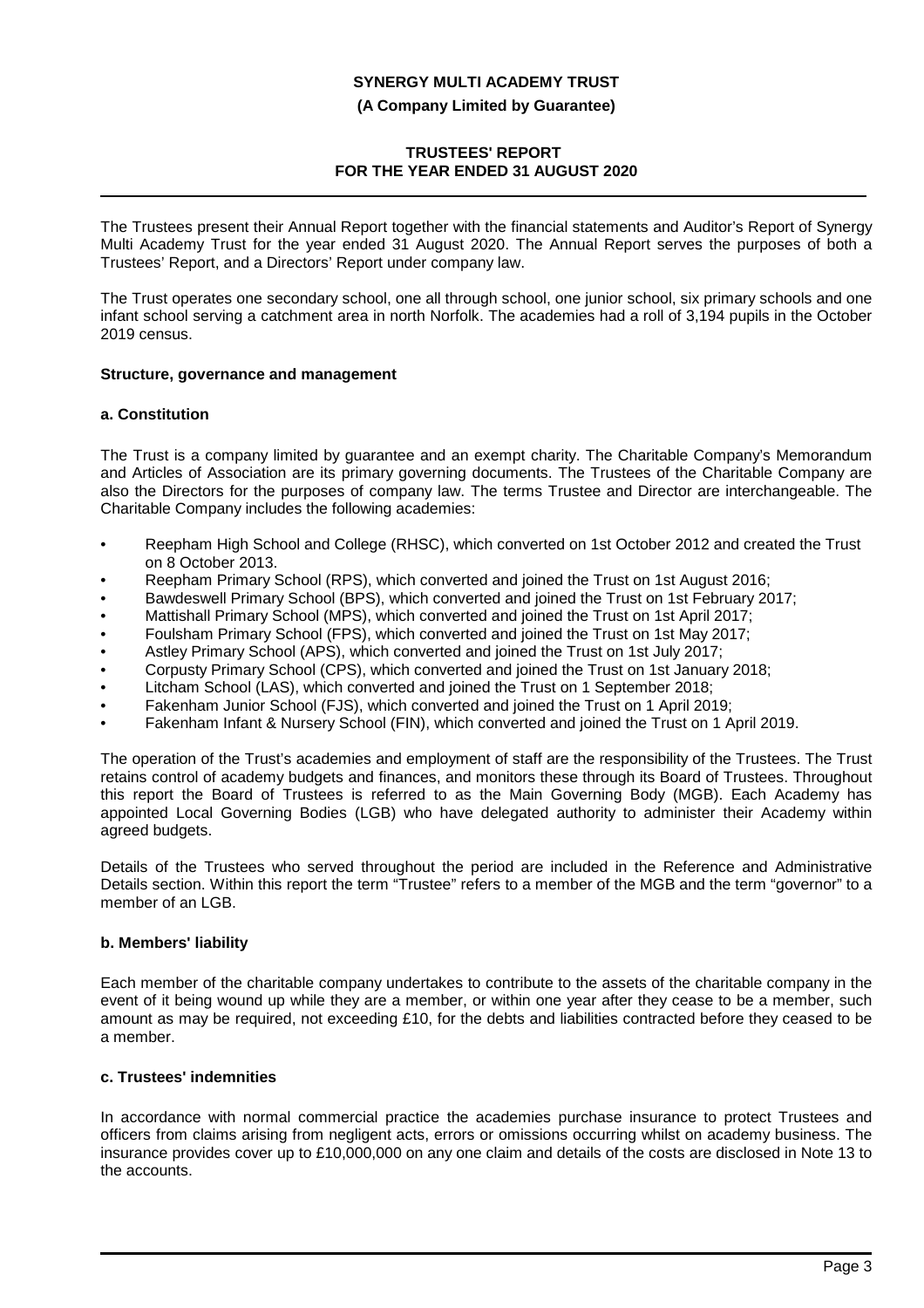**(A Company Limited by Guarantee)**

## **TRUSTEES' REPORT FOR THE YEAR ENDED 31 AUGUST 2020**

The Trustees present their Annual Report together with the financial statements and Auditor's Report of Synergy Multi Academy Trust for the year ended 31 August 2020. The Annual Report serves the purposes of both a Trustees' Report, and a Directors' Report under company law.

The Trust operates one secondary school, one all through school, one junior school, six primary schools and one infant school serving a catchment area in north Norfolk. The academies had a roll of 3,194 pupils in the October 2019 census.

### **Structure, governance and management**

### **a. Constitution**

The Trust is a company limited by guarantee and an exempt charity. The Charitable Company's Memorandum and Articles of Association are its primary governing documents. The Trustees of the Charitable Company are also the Directors for the purposes of company law. The terms Trustee and Director are interchangeable. The Charitable Company includes the following academies:

- Reepham High School and College (RHSC), which converted on 1st October 2012 and created the Trust on 8 October 2013.
- Reepham Primary School (RPS), which converted and joined the Trust on 1st August 2016;
- Bawdeswell Primary School (BPS), which converted and joined the Trust on 1st February 2017;
- Mattishall Primary School (MPS), which converted and joined the Trust on 1st April 2017;
- Foulsham Primary School (FPS), which converted and joined the Trust on 1st May 2017;
- Astley Primary School (APS), which converted and joined the Trust on 1st July 2017;
- Corpusty Primary School (CPS), which converted and joined the Trust on 1st January 2018;
- Litcham School (LAS), which converted and joined the Trust on 1 September 2018;
- Fakenham Junior School (FJS), which converted and joined the Trust on 1 April 2019;
- Fakenham Infant & Nursery School (FIN), which converted and joined the Trust on 1 April 2019.

The operation of the Trust's academies and employment of staff are the responsibility of the Trustees. The Trust retains control of academy budgets and finances, and monitors these through its Board of Trustees. Throughout this report the Board of Trustees is referred to as the Main Governing Body (MGB). Each Academy has appointed Local Governing Bodies (LGB) who have delegated authority to administer their Academy within agreed budgets.

Details of the Trustees who served throughout the period are included in the Reference and Administrative Details section. Within this report the term "Trustee" refers to a member of the MGB and the term "governor" to a member of an LGB.

### **b. Members' liability**

Each member of the charitable company undertakes to contribute to the assets of the charitable company in the event of it being wound up while they are a member, or within one year after they cease to be a member, such amount as may be required, not exceeding £10, for the debts and liabilities contracted before they ceased to be a member.

### **c. Trustees' indemnities**

In accordance with normal commercial practice the academies purchase insurance to protect Trustees and officers from claims arising from negligent acts, errors or omissions occurring whilst on academy business. The insurance provides cover up to £10,000,000 on any one claim and details of the costs are disclosed in Note 13 to the accounts.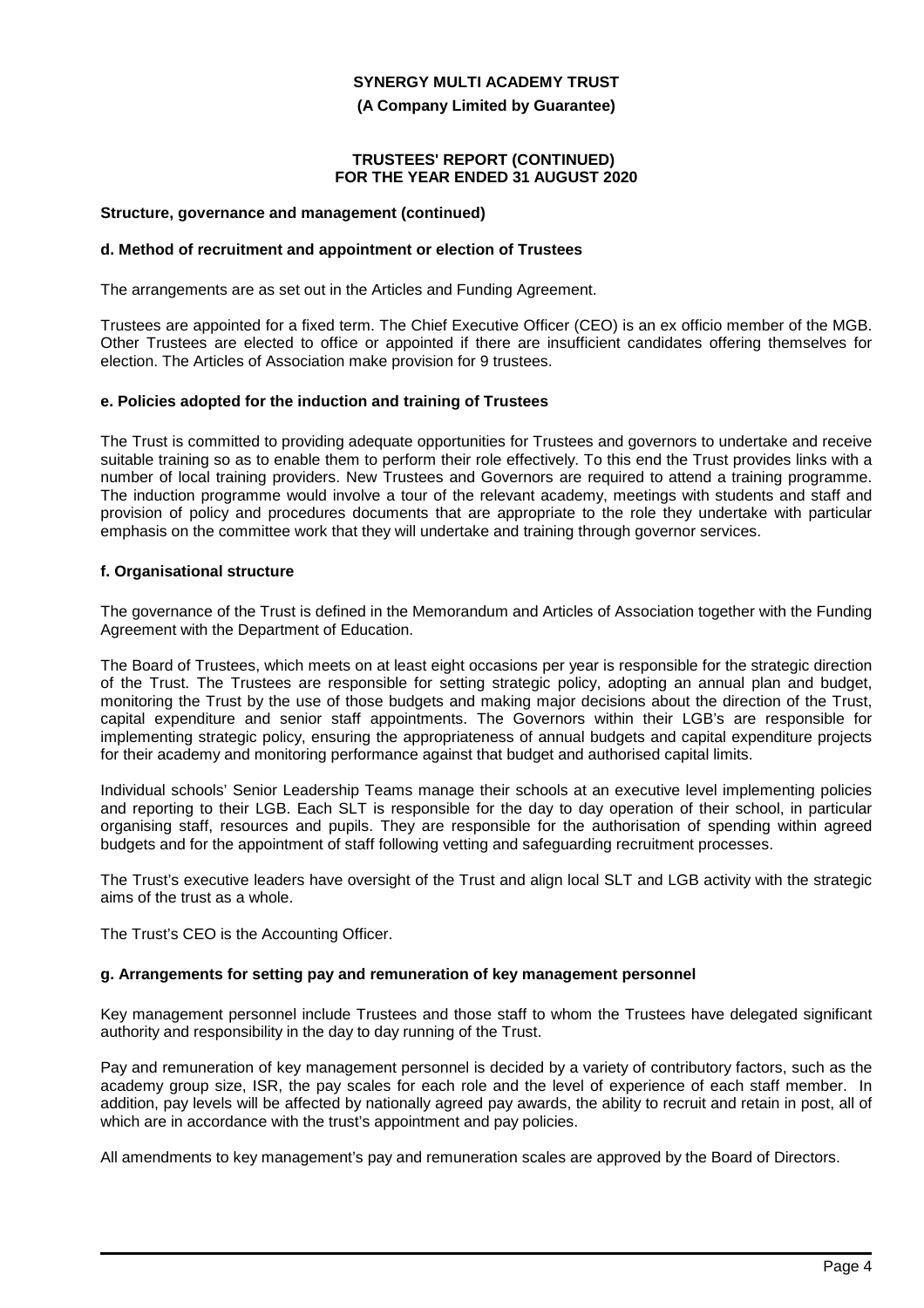**(A Company Limited by Guarantee)**

#### **TRUSTEES' REPORT (CONTINUED) FOR THE YEAR ENDED 31 AUGUST 2020**

#### **Structure, governance and management (continued)**

### **d. Method of recruitment and appointment or election of Trustees**

The arrangements are as set out in the Articles and Funding Agreement.

Trustees are appointed for a fixed term. The Chief Executive Officer (CEO) is an ex officio member of the MGB. Other Trustees are elected to office or appointed if there are insufficient candidates offering themselves for election. The Articles of Association make provision for 9 trustees.

### **e. Policies adopted for the induction and training of Trustees**

The Trust is committed to providing adequate opportunities for Trustees and governors to undertake and receive suitable training so as to enable them to perform their role effectively. To this end the Trust provides links with a number of local training providers. New Trustees and Governors are required to attend a training programme. The induction programme would involve a tour of the relevant academy, meetings with students and staff and provision of policy and procedures documents that are appropriate to the role they undertake with particular emphasis on the committee work that they will undertake and training through governor services.

### **f. Organisational structure**

The governance of the Trust is defined in the Memorandum and Articles of Association together with the Funding Agreement with the Department of Education.

The Board of Trustees, which meets on at least eight occasions per year is responsible for the strategic direction of the Trust. The Trustees are responsible for setting strategic policy, adopting an annual plan and budget, monitoring the Trust by the use of those budgets and making major decisions about the direction of the Trust, capital expenditure and senior staff appointments. The Governors within their LGB's are responsible for implementing strategic policy, ensuring the appropriateness of annual budgets and capital expenditure projects for their academy and monitoring performance against that budget and authorised capital limits.

Individual schools' Senior Leadership Teams manage their schools at an executive level implementing policies and reporting to their LGB. Each SLT is responsible for the day to day operation of their school, in particular organising staff, resources and pupils. They are responsible for the authorisation of spending within agreed budgets and for the appointment of staff following vetting and safeguarding recruitment processes.

The Trust's executive leaders have oversight of the Trust and align local SLT and LGB activity with the strategic aims of the trust as a whole.

The Trust's CEO is the Accounting Officer.

### **g. Arrangements for setting pay and remuneration of key management personnel**

Key management personnel include Trustees and those staff to whom the Trustees have delegated significant authority and responsibility in the day to day running of the Trust.

Pay and remuneration of key management personnel is decided by a variety of contributory factors, such as the academy group size, ISR, the pay scales for each role and the level of experience of each staff member. In addition, pay levels will be affected by nationally agreed pay awards, the ability to recruit and retain in post, all of which are in accordance with the trust's appointment and pay policies.

All amendments to key management's pay and remuneration scales are approved by the Board of Directors.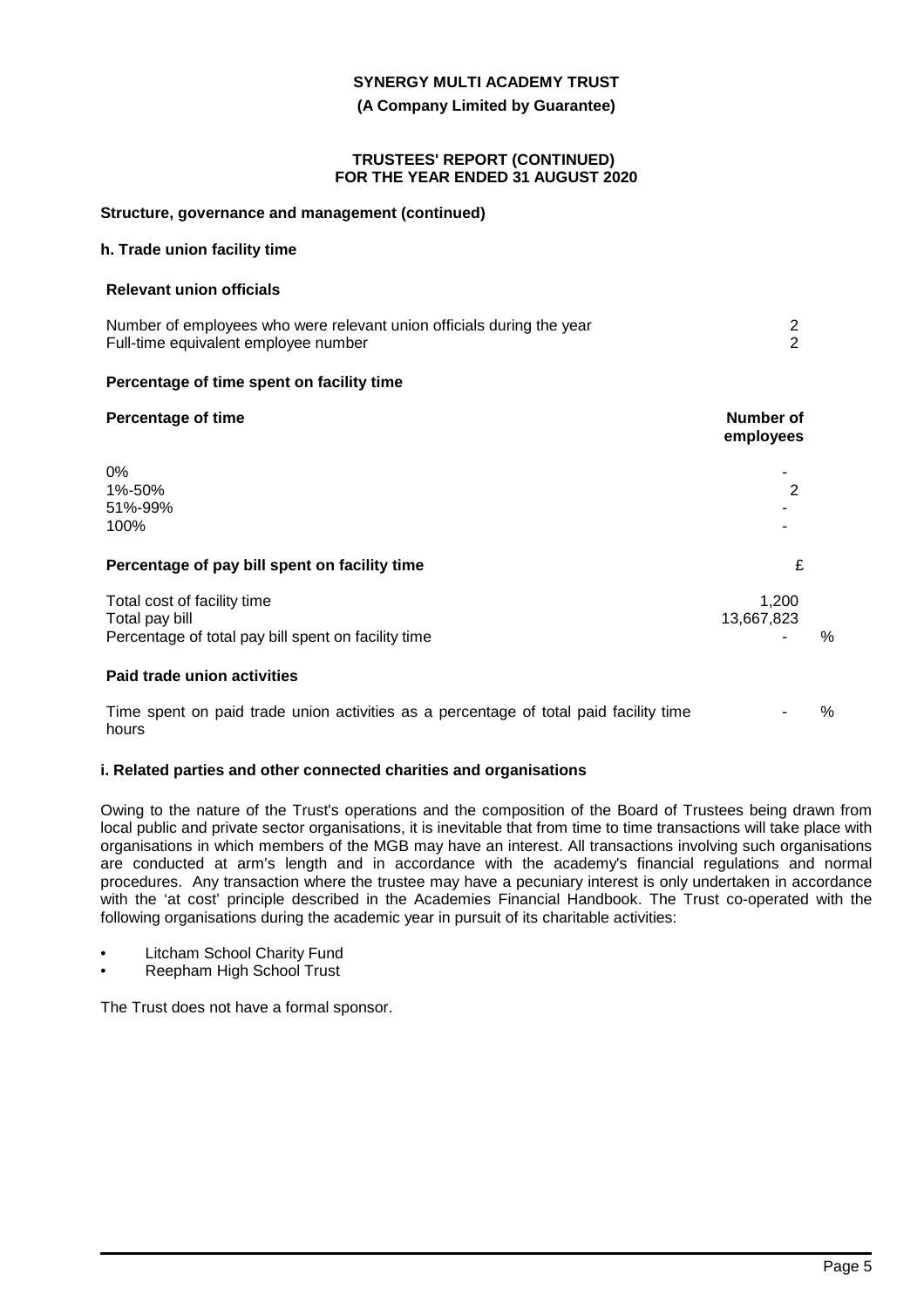**(A Company Limited by Guarantee)**

#### **TRUSTEES' REPORT (CONTINUED) FOR THE YEAR ENDED 31 AUGUST 2020**

#### **Structure, governance and management (continued)**

### **h. Trade union facility time**

#### **Relevant union officials**

| Number of employees who were relevant union officials during the year |  |
|-----------------------------------------------------------------------|--|
| Full-time equivalent employee number                                  |  |

### **Percentage of time spent on facility time**

| <b>Percentage of time</b>                                                                            | <b>Number of</b><br>employees |   |
|------------------------------------------------------------------------------------------------------|-------------------------------|---|
| 0%<br>1%-50%<br>51%-99%<br>100%                                                                      | 2                             |   |
| Percentage of pay bill spent on facility time                                                        | £                             |   |
| Total cost of facility time<br>Total pay bill<br>Percentage of total pay bill spent on facility time | 1,200<br>13,667,823           | % |
| Paid trade union activities                                                                          |                               |   |
| Time spent on paid trade union activities as a percentage of total paid facility time<br>hours       |                               | % |

### **i. Related parties and other connected charities and organisations**

Owing to the nature of the Trust's operations and the composition of the Board of Trustees being drawn from local public and private sector organisations, it is inevitable that from time to time transactions will take place with organisations in which members of the MGB may have an interest. All transactions involving such organisations are conducted at arm's length and in accordance with the academy's financial regulations and normal procedures. Any transaction where the trustee may have a pecuniary interest is only undertaken in accordance with the 'at cost' principle described in the Academies Financial Handbook. The Trust co-operated with the following organisations during the academic year in pursuit of its charitable activities:

- Litcham School Charity Fund
- Reepham High School Trust

The Trust does not have a formal sponsor.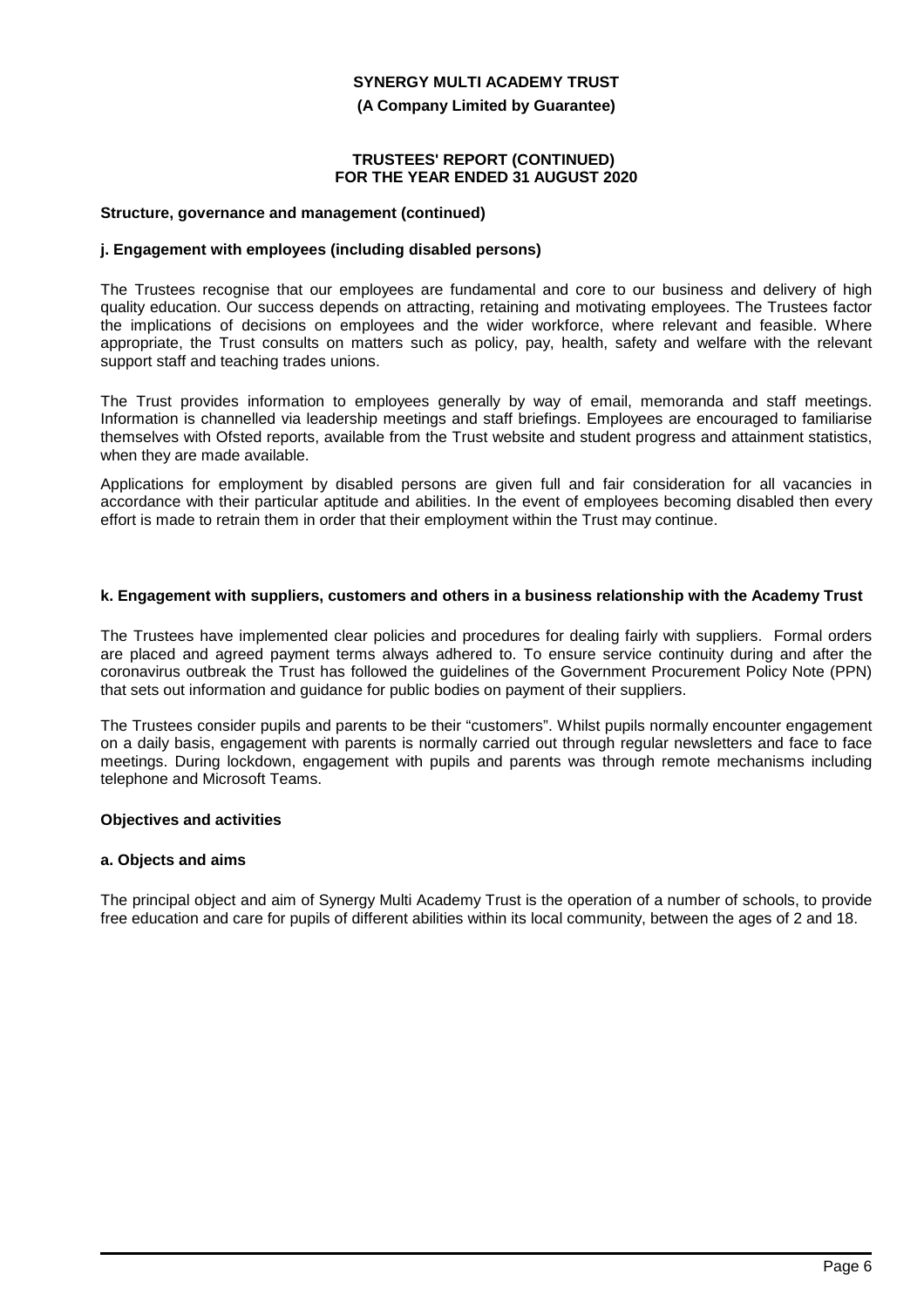**(A Company Limited by Guarantee)**

#### **TRUSTEES' REPORT (CONTINUED) FOR THE YEAR ENDED 31 AUGUST 2020**

#### **Structure, governance and management (continued)**

### **j. Engagement with employees (including disabled persons)**

The Trustees recognise that our employees are fundamental and core to our business and delivery of high quality education. Our success depends on attracting, retaining and motivating employees. The Trustees factor the implications of decisions on employees and the wider workforce, where relevant and feasible. Where appropriate, the Trust consults on matters such as policy, pay, health, safety and welfare with the relevant support staff and teaching trades unions.

The Trust provides information to employees generally by way of email, memoranda and staff meetings. Information is channelled via leadership meetings and staff briefings. Employees are encouraged to familiarise themselves with Ofsted reports, available from the Trust website and student progress and attainment statistics, when they are made available.

Applications for employment by disabled persons are given full and fair consideration for all vacancies in accordance with their particular aptitude and abilities. In the event of employees becoming disabled then every effort is made to retrain them in order that their employment within the Trust may continue.

### **k. Engagement with suppliers, customers and others in a business relationship with the Academy Trust**

The Trustees have implemented clear policies and procedures for dealing fairly with suppliers. Formal orders are placed and agreed payment terms always adhered to. To ensure service continuity during and after the coronavirus outbreak the Trust has followed the guidelines of the Government Procurement Policy Note (PPN) that sets out information and guidance for public bodies on payment of their suppliers.

The Trustees consider pupils and parents to be their "customers". Whilst pupils normally encounter engagement on a daily basis, engagement with parents is normally carried out through regular newsletters and face to face meetings. During lockdown, engagement with pupils and parents was through remote mechanisms including telephone and Microsoft Teams.

#### **Objectives and activities**

#### **a. Objects and aims**

The principal object and aim of Synergy Multi Academy Trust is the operation of a number of schools, to provide free education and care for pupils of different abilities within its local community, between the ages of 2 and 18.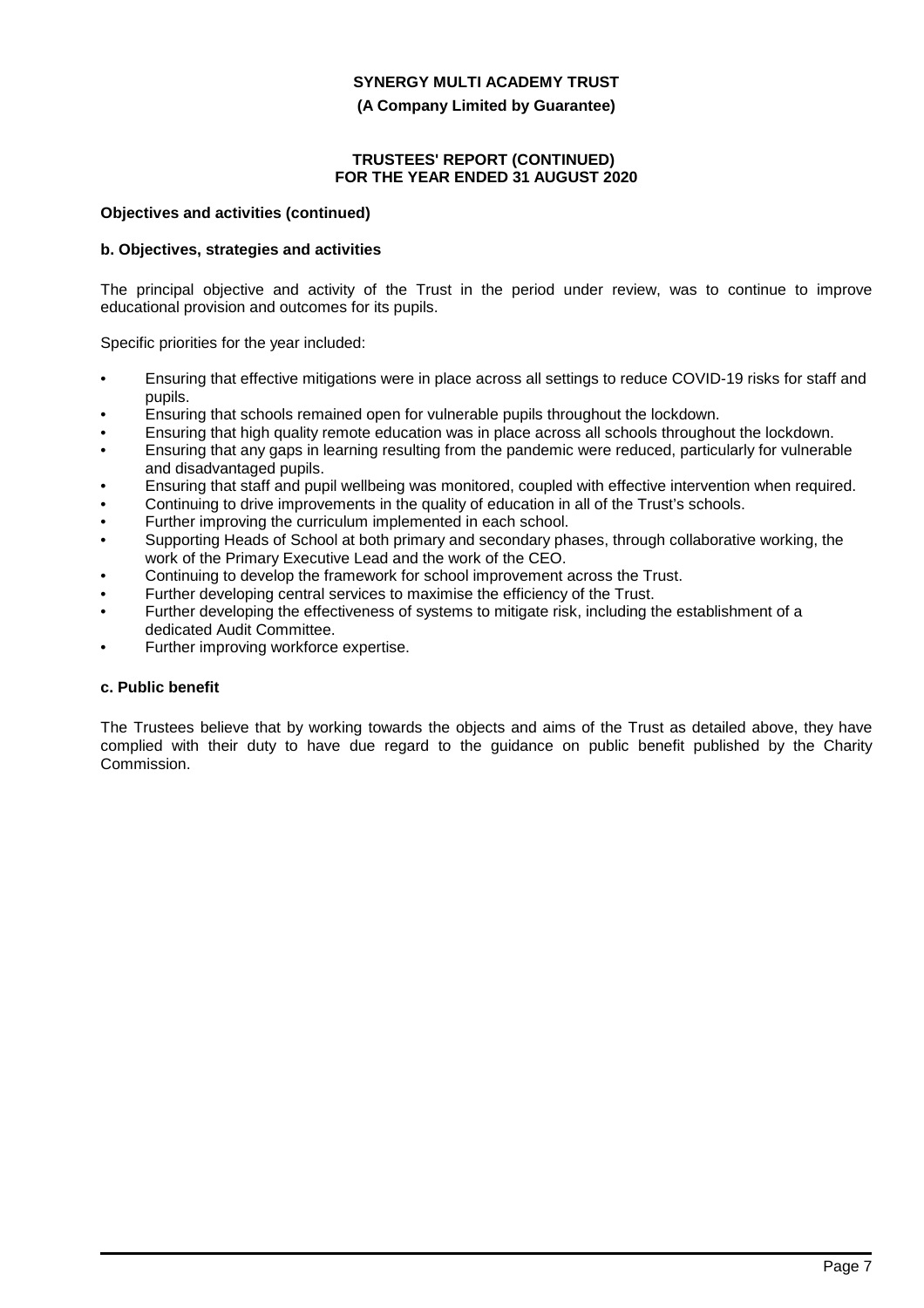**(A Company Limited by Guarantee)**

### **TRUSTEES' REPORT (CONTINUED) FOR THE YEAR ENDED 31 AUGUST 2020**

### **Objectives and activities (continued)**

### **b. Objectives, strategies and activities**

The principal objective and activity of the Trust in the period under review, was to continue to improve educational provision and outcomes for its pupils.

Specific priorities for the year included:

- Ensuring that effective mitigations were in place across all settings to reduce COVID-19 risks for staff and pupils.
- Ensuring that schools remained open for vulnerable pupils throughout the lockdown.
- Ensuring that high quality remote education was in place across all schools throughout the lockdown.
- Ensuring that any gaps in learning resulting from the pandemic were reduced, particularly for vulnerable and disadvantaged pupils.
- Ensuring that staff and pupil wellbeing was monitored, coupled with effective intervention when required.
- Continuing to drive improvements in the quality of education in all of the Trust's schools.
- Further improving the curriculum implemented in each school.
- Supporting Heads of School at both primary and secondary phases, through collaborative working, the work of the Primary Executive Lead and the work of the CEO.
- Continuing to develop the framework for school improvement across the Trust.
- Further developing central services to maximise the efficiency of the Trust.
- Further developing the effectiveness of systems to mitigate risk, including the establishment of a dedicated Audit Committee.
- Further improving workforce expertise.

### **c. Public benefit**

The Trustees believe that by working towards the objects and aims of the Trust as detailed above, they have complied with their duty to have due regard to the guidance on public benefit published by the Charity Commission.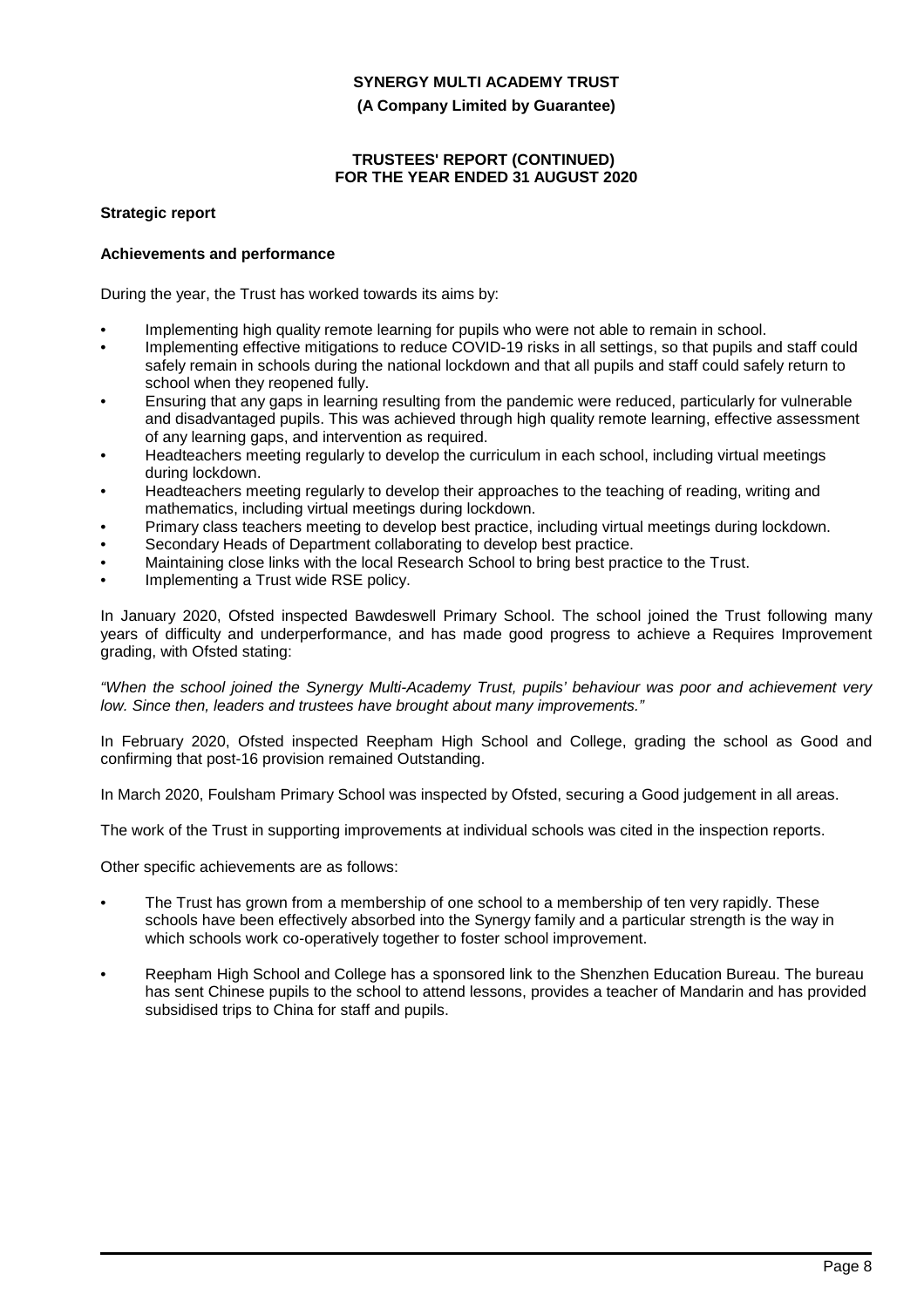**(A Company Limited by Guarantee)**

### **TRUSTEES' REPORT (CONTINUED) FOR THE YEAR ENDED 31 AUGUST 2020**

### **Strategic report**

### **Achievements and performance**

During the year, the Trust has worked towards its aims by:

- Implementing high quality remote learning for pupils who were not able to remain in school.
- Implementing effective mitigations to reduce COVID-19 risks in all settings, so that pupils and staff could safely remain in schools during the national lockdown and that all pupils and staff could safely return to school when they reopened fully.
- Ensuring that any gaps in learning resulting from the pandemic were reduced, particularly for vulnerable and disadvantaged pupils. This was achieved through high quality remote learning, effective assessment of any learning gaps, and intervention as required.
- Headteachers meeting regularly to develop the curriculum in each school, including virtual meetings during lockdown.
- Headteachers meeting regularly to develop their approaches to the teaching of reading, writing and mathematics, including virtual meetings during lockdown.
- Primary class teachers meeting to develop best practice, including virtual meetings during lockdown.
- Secondary Heads of Department collaborating to develop best practice.
- Maintaining close links with the local Research School to bring best practice to the Trust.
- Implementing a Trust wide RSE policy.

In January 2020, Ofsted inspected Bawdeswell Primary School. The school joined the Trust following many years of difficulty and underperformance, and has made good progress to achieve a Requires Improvement grading, with Ofsted stating:

*"When the school joined the Synergy Multi-Academy Trust, pupils' behaviour was poor and achievement very low. Since then, leaders and trustees have brought about many improvements."*

In February 2020, Ofsted inspected Reepham High School and College, grading the school as Good and confirming that post-16 provision remained Outstanding.

In March 2020, Foulsham Primary School was inspected by Ofsted, securing a Good judgement in all areas.

The work of the Trust in supporting improvements at individual schools was cited in the inspection reports.

Other specific achievements are as follows:

- The Trust has grown from a membership of one school to a membership of ten very rapidly. These schools have been effectively absorbed into the Synergy family and a particular strength is the way in which schools work co-operatively together to foster school improvement.
- Reepham High School and College has a sponsored link to the Shenzhen Education Bureau. The bureau has sent Chinese pupils to the school to attend lessons, provides a teacher of Mandarin and has provided subsidised trips to China for staff and pupils.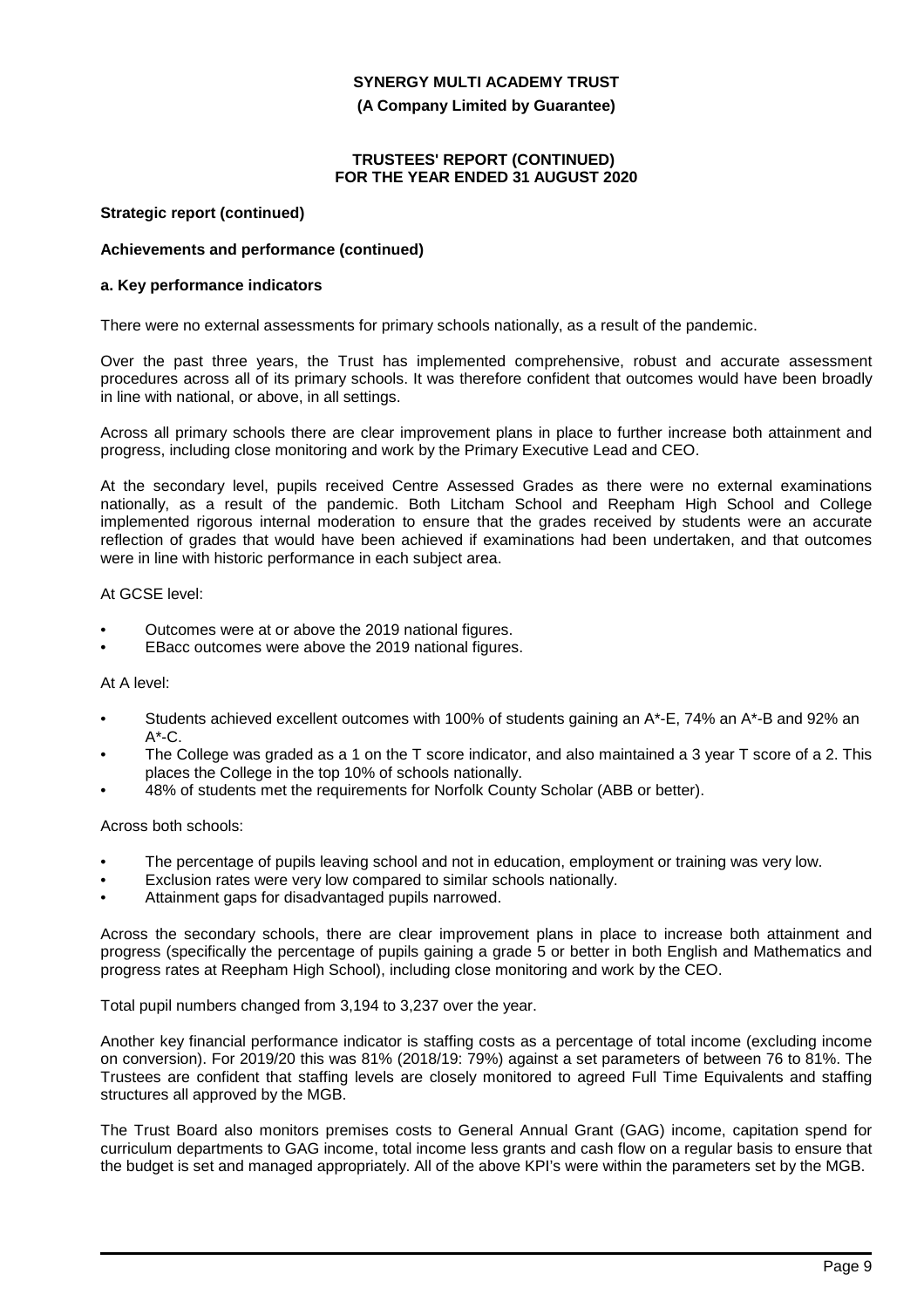**(A Company Limited by Guarantee)**

#### **TRUSTEES' REPORT (CONTINUED) FOR THE YEAR ENDED 31 AUGUST 2020**

#### **Strategic report (continued)**

#### **Achievements and performance (continued)**

#### **a. Key performance indicators**

There were no external assessments for primary schools nationally, as a result of the pandemic.

Over the past three years, the Trust has implemented comprehensive, robust and accurate assessment procedures across all of its primary schools. It was therefore confident that outcomes would have been broadly in line with national, or above, in all settings.

Across all primary schools there are clear improvement plans in place to further increase both attainment and progress, including close monitoring and work by the Primary Executive Lead and CEO.

At the secondary level, pupils received Centre Assessed Grades as there were no external examinations nationally, as a result of the pandemic. Both Litcham School and Reepham High School and College implemented rigorous internal moderation to ensure that the grades received by students were an accurate reflection of grades that would have been achieved if examinations had been undertaken, and that outcomes were in line with historic performance in each subject area.

#### At GCSE level:

- Outcomes were at or above the 2019 national figures.
- EBacc outcomes were above the 2019 national figures.

#### At A level:

- Students achieved excellent outcomes with 100% of students gaining an A\*-E, 74% an A\*-B and 92% an  $A^*$ -C.
- The College was graded as a 1 on the T score indicator, and also maintained a 3 year T score of a 2. This places the College in the top 10% of schools nationally.
- 48% of students met the requirements for Norfolk County Scholar (ABB or better).

## Across both schools:

- The percentage of pupils leaving school and not in education, employment or training was very low.
- Exclusion rates were very low compared to similar schools nationally.
- Attainment gaps for disadvantaged pupils narrowed.

Across the secondary schools, there are clear improvement plans in place to increase both attainment and progress (specifically the percentage of pupils gaining a grade 5 or better in both English and Mathematics and progress rates at Reepham High School), including close monitoring and work by the CEO.

Total pupil numbers changed from 3,194 to 3,237 over the year.

Another key financial performance indicator is staffing costs as a percentage of total income (excluding income on conversion). For 2019/20 this was 81% (2018/19: 79%) against a set parameters of between 76 to 81%. The Trustees are confident that staffing levels are closely monitored to agreed Full Time Equivalents and staffing structures all approved by the MGB.

The Trust Board also monitors premises costs to General Annual Grant (GAG) income, capitation spend for curriculum departments to GAG income, total income less grants and cash flow on a regular basis to ensure that the budget is set and managed appropriately. All of the above KPI's were within the parameters set by the MGB.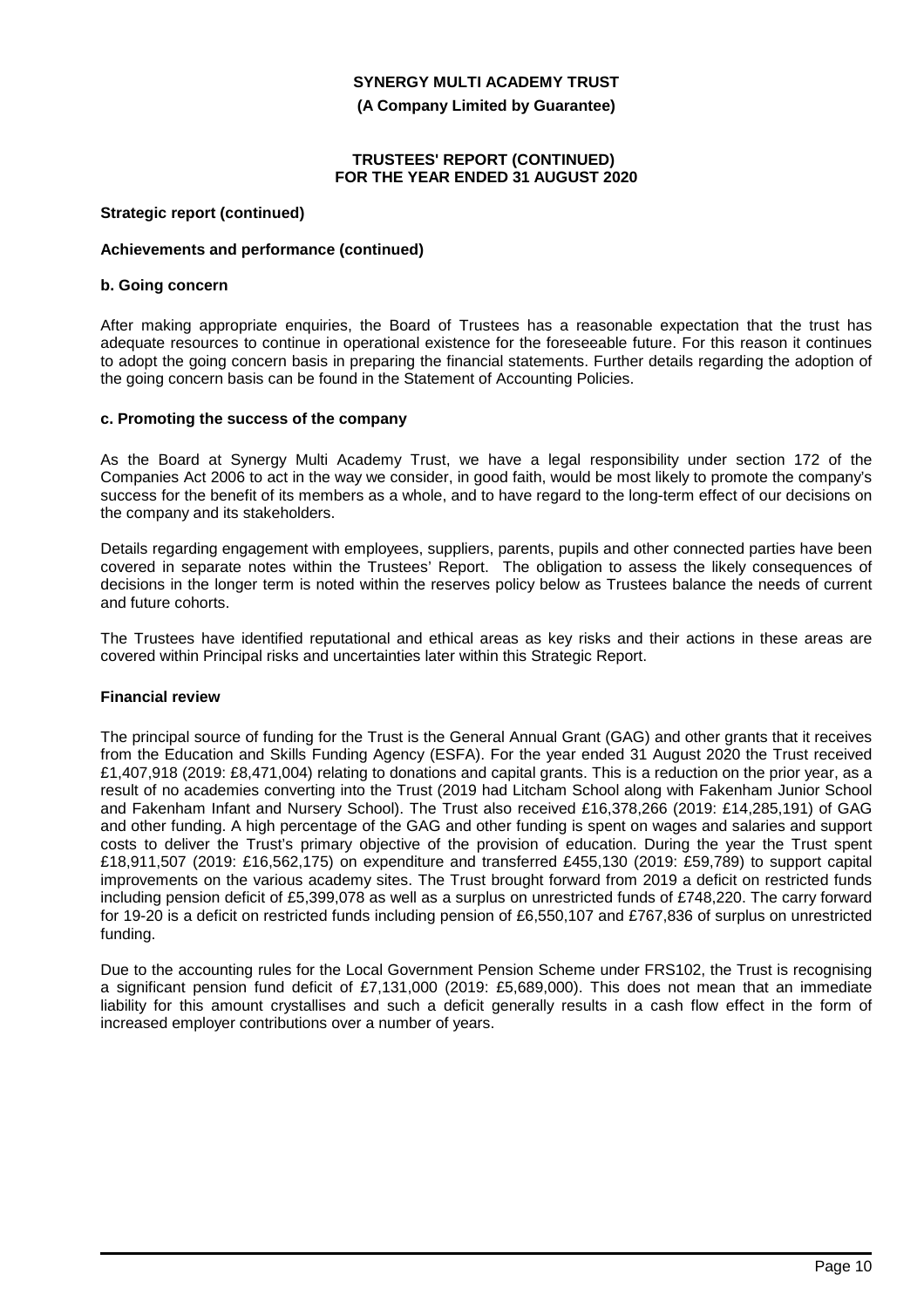**(A Company Limited by Guarantee)**

### **TRUSTEES' REPORT (CONTINUED) FOR THE YEAR ENDED 31 AUGUST 2020**

### **Strategic report (continued)**

### **Achievements and performance (continued)**

#### **b. Going concern**

After making appropriate enquiries, the Board of Trustees has a reasonable expectation that the trust has adequate resources to continue in operational existence for the foreseeable future. For this reason it continues to adopt the going concern basis in preparing the financial statements. Further details regarding the adoption of the going concern basis can be found in the Statement of Accounting Policies.

### **c. Promoting the success of the company**

As the Board at Synergy Multi Academy Trust, we have a legal responsibility under section 172 of the Companies Act 2006 to act in the way we consider, in good faith, would be most likely to promote the company's success for the benefit of its members as a whole, and to have regard to the long-term effect of our decisions on the company and its stakeholders.

Details regarding engagement with employees, suppliers, parents, pupils and other connected parties have been covered in separate notes within the Trustees' Report. The obligation to assess the likely consequences of decisions in the longer term is noted within the reserves policy below as Trustees balance the needs of current and future cohorts.

The Trustees have identified reputational and ethical areas as key risks and their actions in these areas are covered within Principal risks and uncertainties later within this Strategic Report.

### **Financial review**

The principal source of funding for the Trust is the General Annual Grant (GAG) and other grants that it receives from the Education and Skills Funding Agency (ESFA). For the year ended 31 August 2020 the Trust received £1,407,918 (2019: £8,471,004) relating to donations and capital grants. This is a reduction on the prior year, as a result of no academies converting into the Trust (2019 had Litcham School along with Fakenham Junior School and Fakenham Infant and Nursery School). The Trust also received £16,378,266 (2019: £14,285,191) of GAG and other funding. A high percentage of the GAG and other funding is spent on wages and salaries and support costs to deliver the Trust's primary objective of the provision of education. During the year the Trust spent £18,911,507 (2019: £16,562,175) on expenditure and transferred £455,130 (2019: £59,789) to support capital improvements on the various academy sites. The Trust brought forward from 2019 a deficit on restricted funds including pension deficit of £5,399,078 as well as a surplus on unrestricted funds of £748,220. The carry forward for 19-20 is a deficit on restricted funds including pension of £6,550,107 and £767,836 of surplus on unrestricted funding.

Due to the accounting rules for the Local Government Pension Scheme under FRS102, the Trust is recognising a significant pension fund deficit of £7,131,000 (2019: £5,689,000). This does not mean that an immediate liability for this amount crystallises and such a deficit generally results in a cash flow effect in the form of increased employer contributions over a number of years.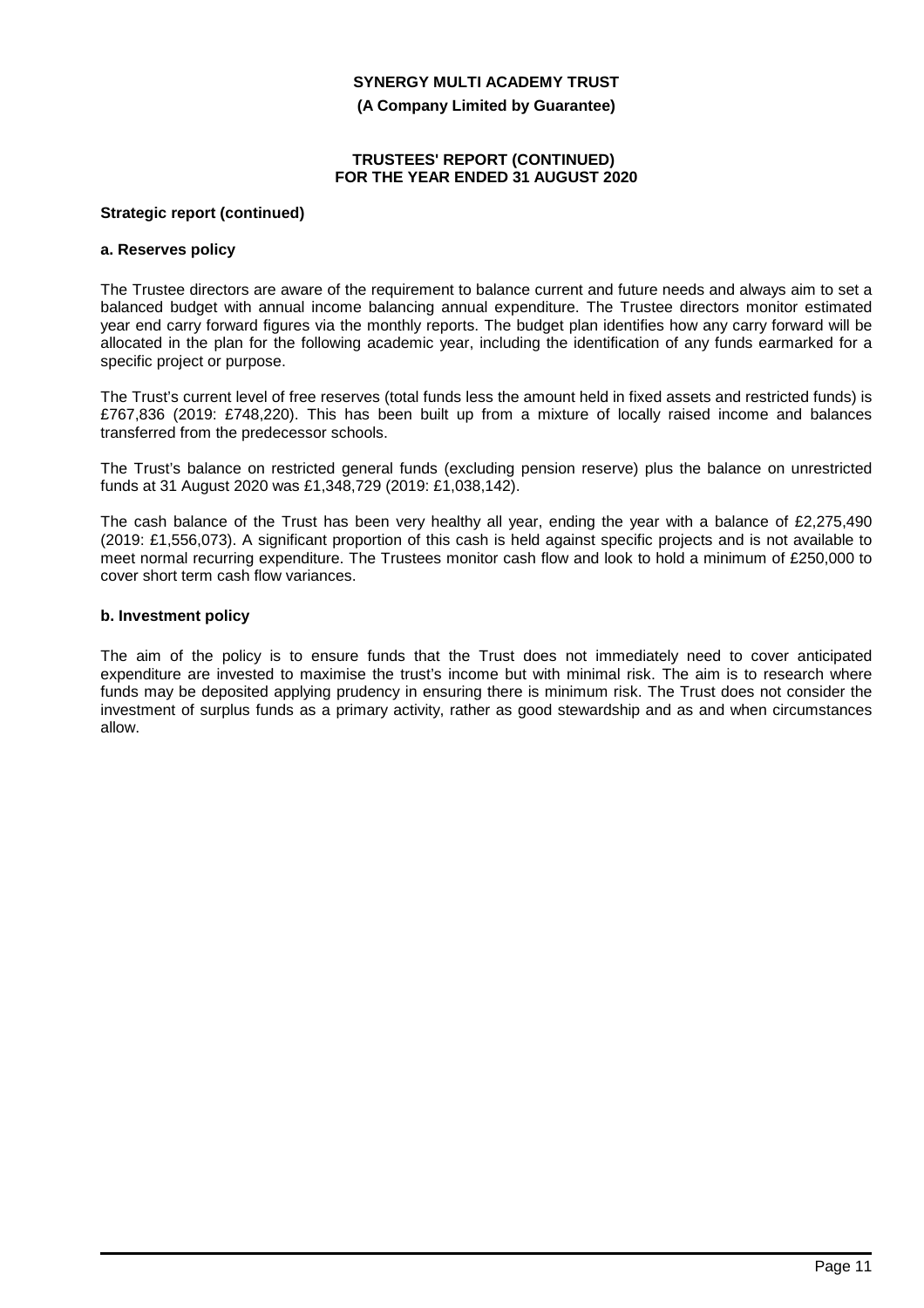**(A Company Limited by Guarantee)**

#### **TRUSTEES' REPORT (CONTINUED) FOR THE YEAR ENDED 31 AUGUST 2020**

#### **Strategic report (continued)**

#### **a. Reserves policy**

The Trustee directors are aware of the requirement to balance current and future needs and always aim to set a balanced budget with annual income balancing annual expenditure. The Trustee directors monitor estimated year end carry forward figures via the monthly reports. The budget plan identifies how any carry forward will be allocated in the plan for the following academic year, including the identification of any funds earmarked for a specific project or purpose.

The Trust's current level of free reserves (total funds less the amount held in fixed assets and restricted funds) is £767,836 (2019: £748,220). This has been built up from a mixture of locally raised income and balances transferred from the predecessor schools.

The Trust's balance on restricted general funds (excluding pension reserve) plus the balance on unrestricted funds at 31 August 2020 was £1,348,729 (2019: £1,038,142).

The cash balance of the Trust has been very healthy all year, ending the year with a balance of £2,275,490 (2019: £1,556,073). A significant proportion of this cash is held against specific projects and is not available to meet normal recurring expenditure. The Trustees monitor cash flow and look to hold a minimum of £250,000 to cover short term cash flow variances.

### **b. Investment policy**

The aim of the policy is to ensure funds that the Trust does not immediately need to cover anticipated expenditure are invested to maximise the trust's income but with minimal risk. The aim is to research where funds may be deposited applying prudency in ensuring there is minimum risk. The Trust does not consider the investment of surplus funds as a primary activity, rather as good stewardship and as and when circumstances allow.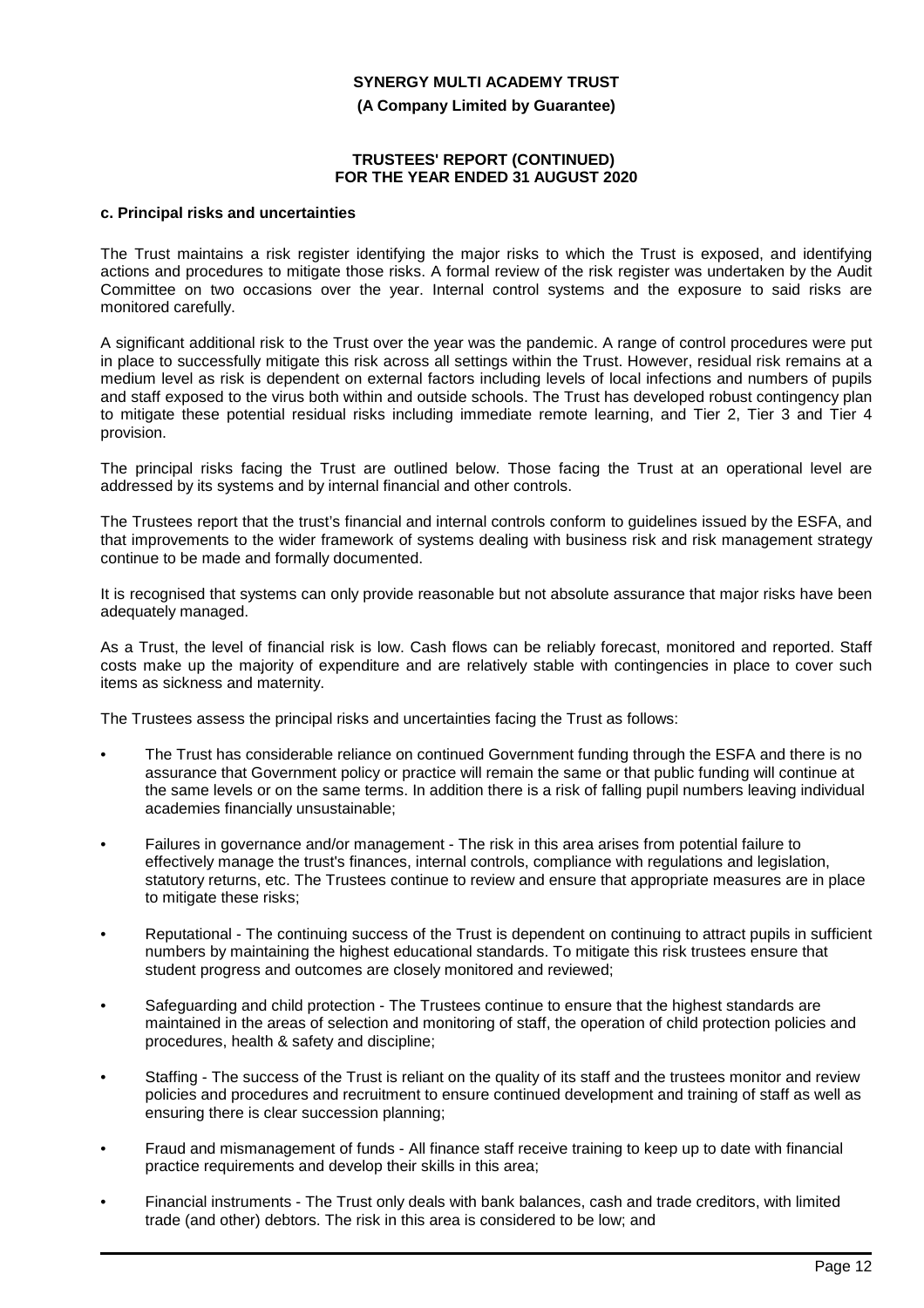**(A Company Limited by Guarantee)**

#### **TRUSTEES' REPORT (CONTINUED) FOR THE YEAR ENDED 31 AUGUST 2020**

#### **c. Principal risks and uncertainties**

The Trust maintains a risk register identifying the major risks to which the Trust is exposed, and identifying actions and procedures to mitigate those risks. A formal review of the risk register was undertaken by the Audit Committee on two occasions over the year. Internal control systems and the exposure to said risks are monitored carefully.

A significant additional risk to the Trust over the year was the pandemic. A range of control procedures were put in place to successfully mitigate this risk across all settings within the Trust. However, residual risk remains at a medium level as risk is dependent on external factors including levels of local infections and numbers of pupils and staff exposed to the virus both within and outside schools. The Trust has developed robust contingency plan to mitigate these potential residual risks including immediate remote learning, and Tier 2, Tier 3 and Tier 4 provision.

The principal risks facing the Trust are outlined below. Those facing the Trust at an operational level are addressed by its systems and by internal financial and other controls.

The Trustees report that the trust's financial and internal controls conform to guidelines issued by the ESFA, and that improvements to the wider framework of systems dealing with business risk and risk management strategy continue to be made and formally documented.

It is recognised that systems can only provide reasonable but not absolute assurance that major risks have been adequately managed.

As a Trust, the level of financial risk is low. Cash flows can be reliably forecast, monitored and reported. Staff costs make up the majority of expenditure and are relatively stable with contingencies in place to cover such items as sickness and maternity.

The Trustees assess the principal risks and uncertainties facing the Trust as follows:

- The Trust has considerable reliance on continued Government funding through the ESFA and there is no assurance that Government policy or practice will remain the same or that public funding will continue at the same levels or on the same terms. In addition there is a risk of falling pupil numbers leaving individual academies financially unsustainable;
- Failures in governance and/or management The risk in this area arises from potential failure to effectively manage the trust's finances, internal controls, compliance with regulations and legislation, statutory returns, etc. The Trustees continue to review and ensure that appropriate measures are in place to mitigate these risks;
- Reputational The continuing success of the Trust is dependent on continuing to attract pupils in sufficient numbers by maintaining the highest educational standards. To mitigate this risk trustees ensure that student progress and outcomes are closely monitored and reviewed;
- Safeguarding and child protection The Trustees continue to ensure that the highest standards are maintained in the areas of selection and monitoring of staff, the operation of child protection policies and procedures, health & safety and discipline;
- Staffing The success of the Trust is reliant on the quality of its staff and the trustees monitor and review policies and procedures and recruitment to ensure continued development and training of staff as well as ensuring there is clear succession planning;
- Fraud and mismanagement of funds All finance staff receive training to keep up to date with financial practice requirements and develop their skills in this area;
- Financial instruments The Trust only deals with bank balances, cash and trade creditors, with limited trade (and other) debtors. The risk in this area is considered to be low; and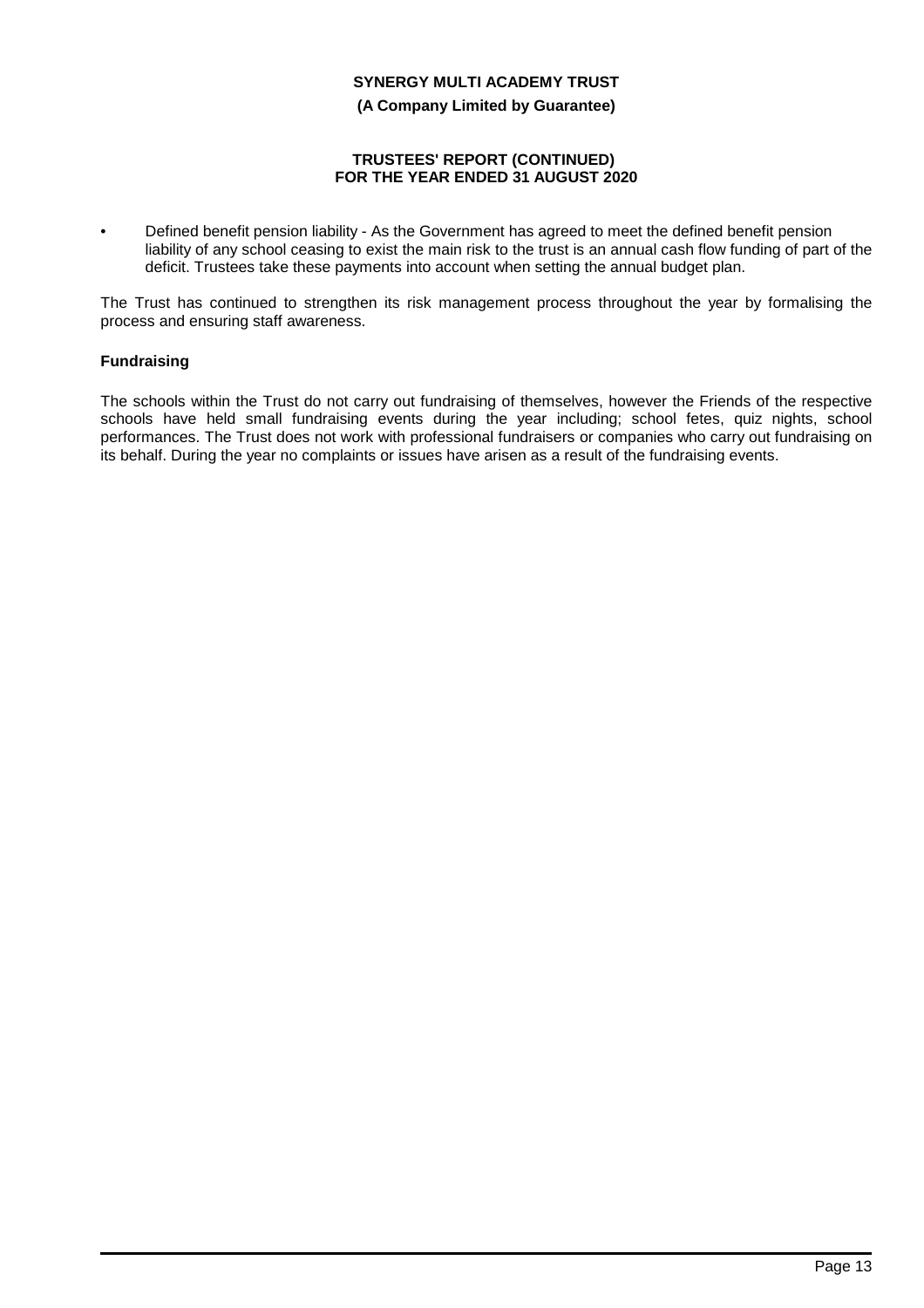**(A Company Limited by Guarantee)**

### **TRUSTEES' REPORT (CONTINUED) FOR THE YEAR ENDED 31 AUGUST 2020**

• Defined benefit pension liability - As the Government has agreed to meet the defined benefit pension liability of any school ceasing to exist the main risk to the trust is an annual cash flow funding of part of the deficit. Trustees take these payments into account when setting the annual budget plan.

The Trust has continued to strengthen its risk management process throughout the year by formalising the process and ensuring staff awareness.

# **Fundraising**

The schools within the Trust do not carry out fundraising of themselves, however the Friends of the respective schools have held small fundraising events during the year including; school fetes, quiz nights, school performances. The Trust does not work with professional fundraisers or companies who carry out fundraising on its behalf. During the year no complaints or issues have arisen as a result of the fundraising events.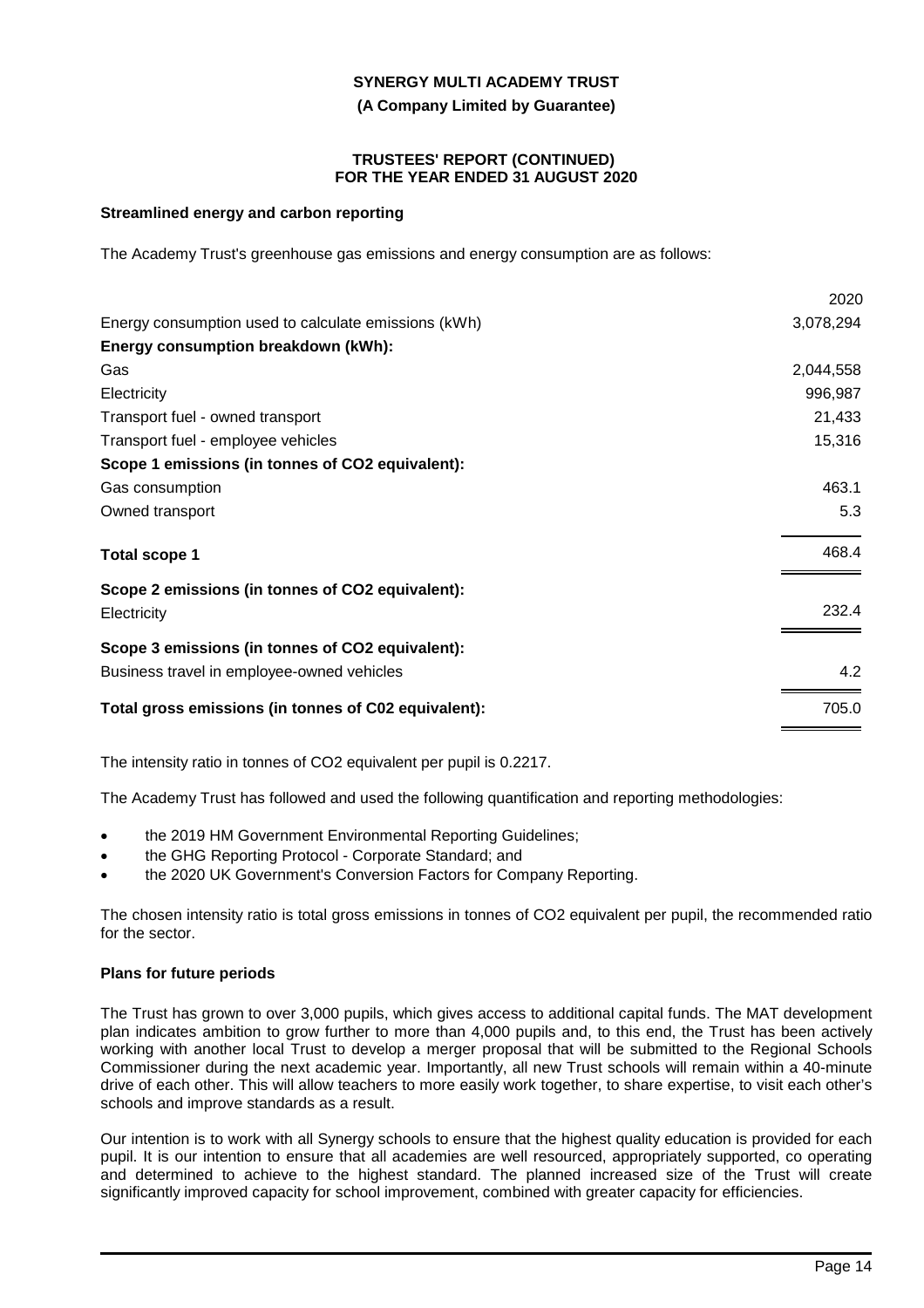**(A Company Limited by Guarantee)**

#### **TRUSTEES' REPORT (CONTINUED) FOR THE YEAR ENDED 31 AUGUST 2020**

### **Streamlined energy and carbon reporting**

The Academy Trust's greenhouse gas emissions and energy consumption are as follows:

|                                                      | 2020      |
|------------------------------------------------------|-----------|
| Energy consumption used to calculate emissions (kWh) | 3,078,294 |
| Energy consumption breakdown (kWh):                  |           |
| Gas                                                  | 2,044,558 |
| Electricity                                          | 996,987   |
| Transport fuel - owned transport                     | 21,433    |
| Transport fuel - employee vehicles                   | 15,316    |
| Scope 1 emissions (in tonnes of CO2 equivalent):     |           |
| Gas consumption                                      | 463.1     |
| Owned transport                                      | 5.3       |
| <b>Total scope 1</b>                                 | 468.4     |
| Scope 2 emissions (in tonnes of CO2 equivalent):     |           |
| Electricity                                          | 232.4     |
| Scope 3 emissions (in tonnes of CO2 equivalent):     |           |
| Business travel in employee-owned vehicles           | 4.2       |
| Total gross emissions (in tonnes of C02 equivalent): | 705.0     |
|                                                      |           |

The intensity ratio in tonnes of CO2 equivalent per pupil is 0.2217.

The Academy Trust has followed and used the following quantification and reporting methodologies:

- the 2019 HM Government Environmental Reporting Guidelines;
- the GHG Reporting Protocol Corporate Standard; and
- the 2020 UK Government's Conversion Factors for Company Reporting.

The chosen intensity ratio is total gross emissions in tonnes of CO2 equivalent per pupil, the recommended ratio for the sector.

### **Plans for future periods**

The Trust has grown to over 3,000 pupils, which gives access to additional capital funds. The MAT development plan indicates ambition to grow further to more than 4,000 pupils and, to this end, the Trust has been actively working with another local Trust to develop a merger proposal that will be submitted to the Regional Schools Commissioner during the next academic year. Importantly, all new Trust schools will remain within a 40-minute drive of each other. This will allow teachers to more easily work together, to share expertise, to visit each other's schools and improve standards as a result.

Our intention is to work with all Synergy schools to ensure that the highest quality education is provided for each pupil. It is our intention to ensure that all academies are well resourced, appropriately supported, co operating and determined to achieve to the highest standard. The planned increased size of the Trust will create significantly improved capacity for school improvement, combined with greater capacity for efficiencies.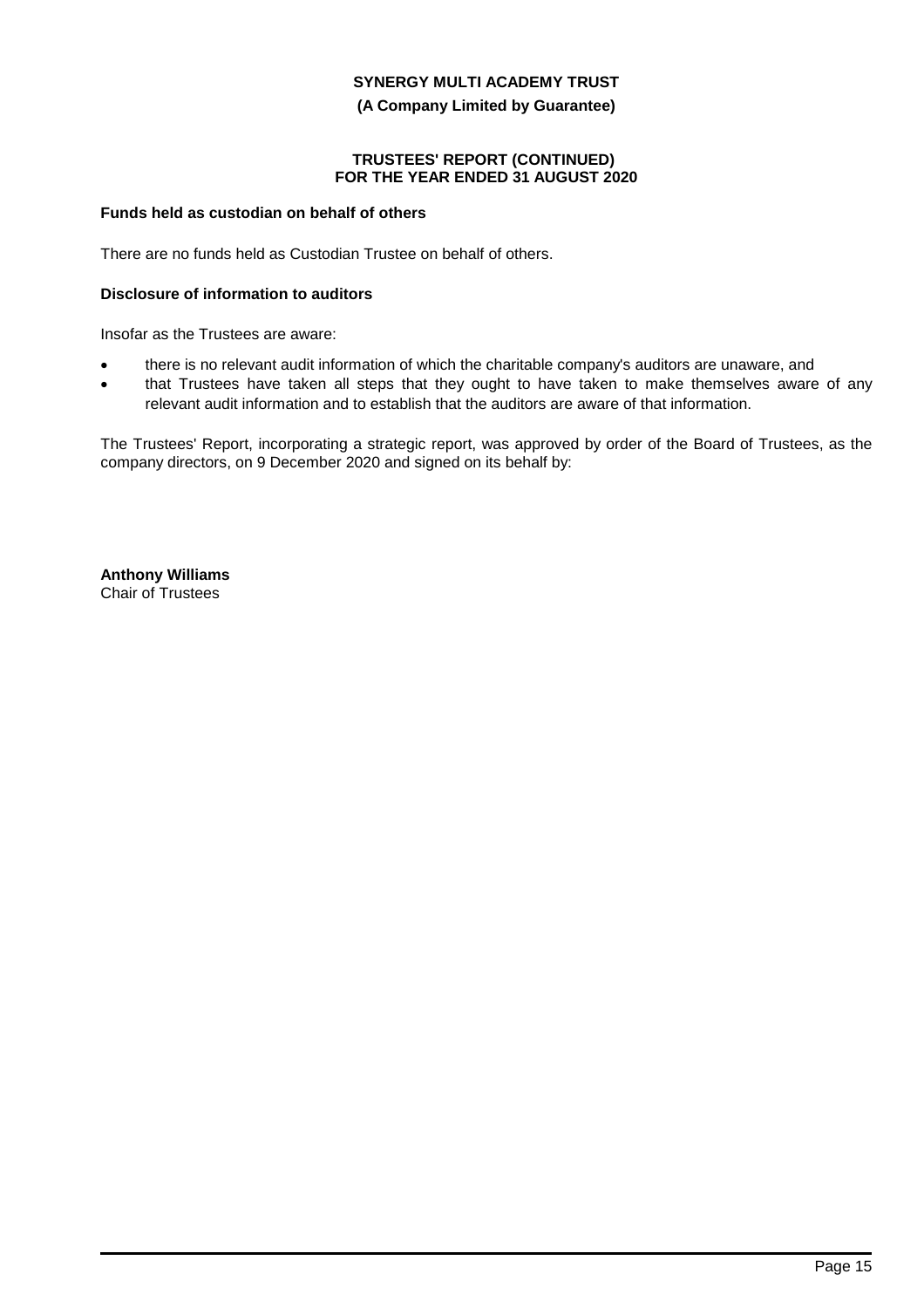#### **(A Company Limited by Guarantee)**

#### **TRUSTEES' REPORT (CONTINUED) FOR THE YEAR ENDED 31 AUGUST 2020**

### **Funds held as custodian on behalf of others**

There are no funds held as Custodian Trustee on behalf of others.

### **Disclosure of information to auditors**

Insofar as the Trustees are aware:

- there is no relevant audit information of which the charitable company's auditors are unaware, and
- that Trustees have taken all steps that they ought to have taken to make themselves aware of any relevant audit information and to establish that the auditors are aware of that information.

The Trustees' Report, incorporating a strategic report, was approved by order of the Board of Trustees, as the company directors, on 9 December 2020 and signed on its behalf by:

**Anthony Williams** Chair of Trustees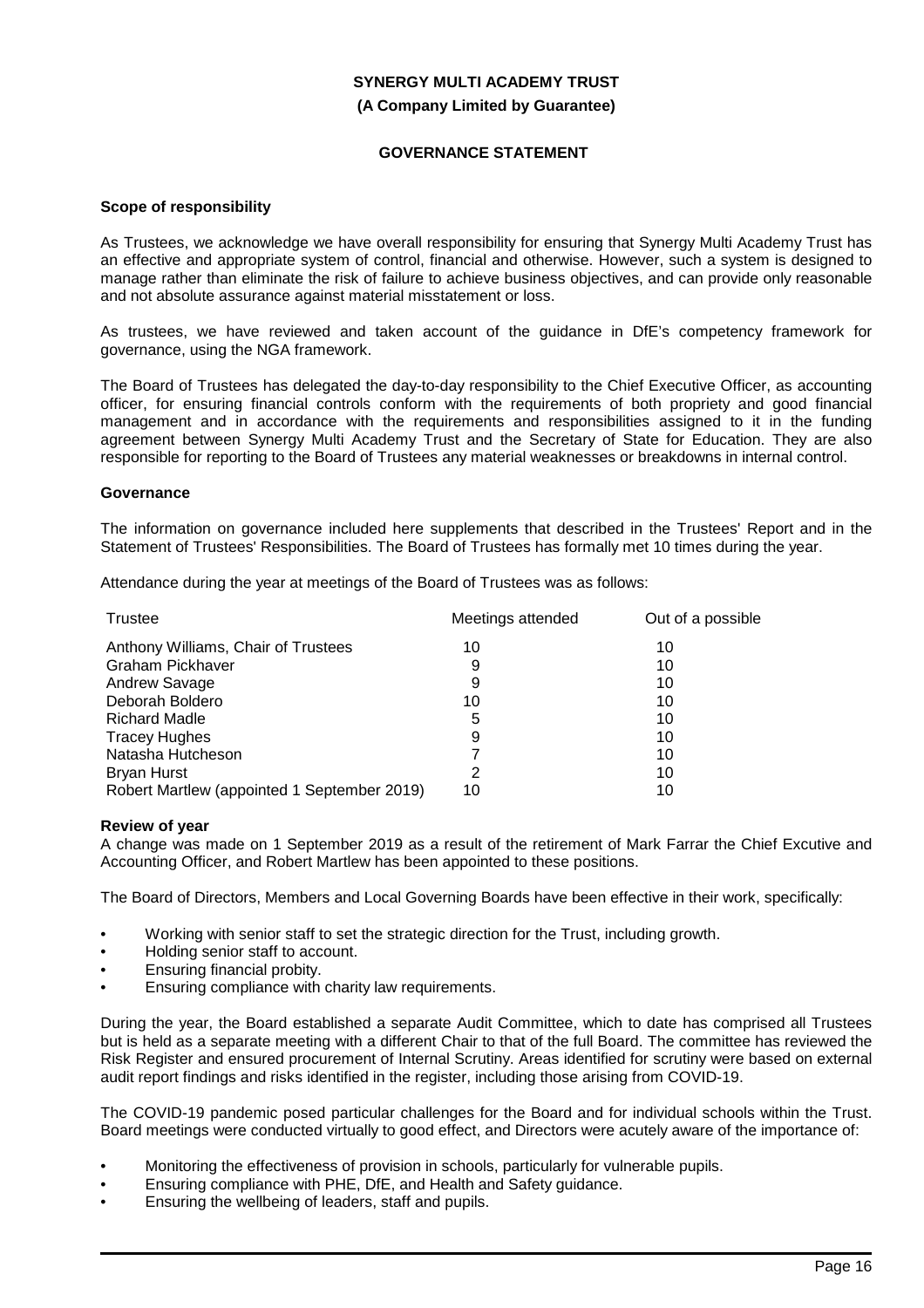### **(A Company Limited by Guarantee)**

### **GOVERNANCE STATEMENT**

#### **Scope of responsibility**

As Trustees, we acknowledge we have overall responsibility for ensuring that Synergy Multi Academy Trust has an effective and appropriate system of control, financial and otherwise. However, such a system is designed to manage rather than eliminate the risk of failure to achieve business objectives, and can provide only reasonable and not absolute assurance against material misstatement or loss.

As trustees, we have reviewed and taken account of the guidance in DfE's competency framework for governance, using the NGA framework.

The Board of Trustees has delegated the day-to-day responsibility to the Chief Executive Officer, as accounting officer, for ensuring financial controls conform with the requirements of both propriety and good financial management and in accordance with the requirements and responsibilities assigned to it in the funding agreement between Synergy Multi Academy Trust and the Secretary of State for Education. They are also responsible for reporting to the Board of Trustees any material weaknesses or breakdowns in internal control.

#### **Governance**

The information on governance included here supplements that described in the Trustees' Report and in the Statement of Trustees' Responsibilities. The Board of Trustees has formally met 10 times during the year.

Attendance during the year at meetings of the Board of Trustees was as follows:

| Trustee                                     | Meetings attended | Out of a possible |
|---------------------------------------------|-------------------|-------------------|
| Anthony Williams, Chair of Trustees         | 10                | 10                |
| <b>Graham Pickhaver</b>                     | 9                 | 10                |
| Andrew Savage                               | 9                 | 10                |
| Deborah Boldero                             | 10                | 10                |
| <b>Richard Madle</b>                        | 5                 | 10                |
| <b>Tracey Hughes</b>                        | 9                 | 10                |
| Natasha Hutcheson                           |                   | 10                |
| <b>Bryan Hurst</b>                          | 2                 | 10                |
| Robert Martlew (appointed 1 September 2019) | 10                | 10                |

#### **Review of year**

A change was made on 1 September 2019 as a result of the retirement of Mark Farrar the Chief Excutive and Accounting Officer, and Robert Martlew has been appointed to these positions.

The Board of Directors, Members and Local Governing Boards have been effective in their work, specifically:

- Working with senior staff to set the strategic direction for the Trust, including growth.
- Holding senior staff to account.
- Ensuring financial probity.
- Ensuring compliance with charity law requirements.

During the year, the Board established a separate Audit Committee, which to date has comprised all Trustees but is held as a separate meeting with a different Chair to that of the full Board. The committee has reviewed the Risk Register and ensured procurement of Internal Scrutiny. Areas identified for scrutiny were based on external audit report findings and risks identified in the register, including those arising from COVID-19.

The COVID-19 pandemic posed particular challenges for the Board and for individual schools within the Trust. Board meetings were conducted virtually to good effect, and Directors were acutely aware of the importance of:

- Monitoring the effectiveness of provision in schools, particularly for vulnerable pupils.
- Ensuring compliance with PHE, DfE, and Health and Safety guidance.
- Ensuring the wellbeing of leaders, staff and pupils.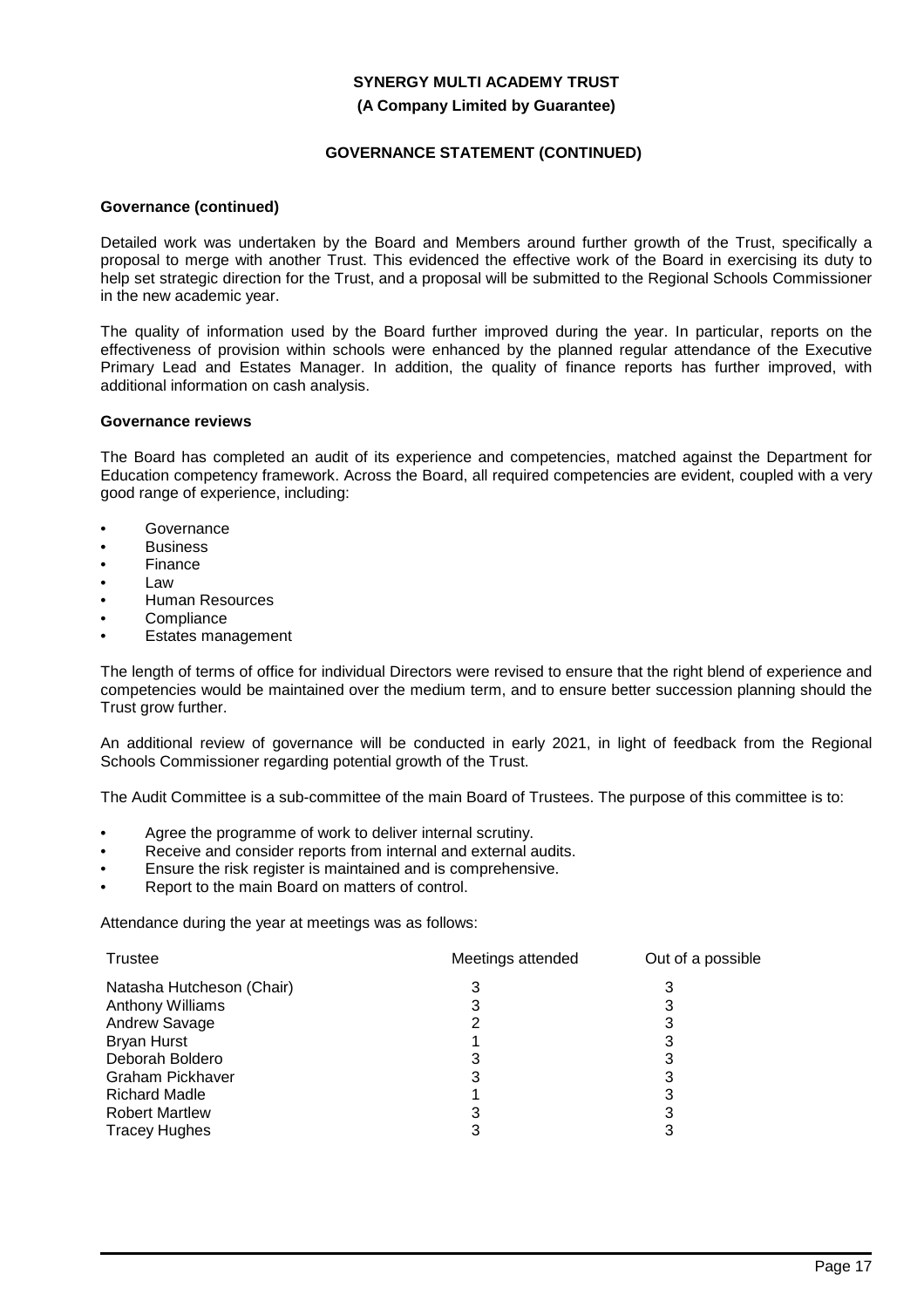### **(A Company Limited by Guarantee)**

### **GOVERNANCE STATEMENT (CONTINUED)**

### **Governance (continued)**

Detailed work was undertaken by the Board and Members around further growth of the Trust, specifically a proposal to merge with another Trust. This evidenced the effective work of the Board in exercising its duty to help set strategic direction for the Trust, and a proposal will be submitted to the Regional Schools Commissioner in the new academic year.

The quality of information used by the Board further improved during the year. In particular, reports on the effectiveness of provision within schools were enhanced by the planned regular attendance of the Executive Primary Lead and Estates Manager. In addition, the quality of finance reports has further improved, with additional information on cash analysis.

### **Governance reviews**

The Board has completed an audit of its experience and competencies, matched against the Department for Education competency framework. Across the Board, all required competencies are evident, coupled with a very good range of experience, including:

- Governance
- **Business**
- Finance
- Law
- Human Resources
- **Compliance**
- Estates management

The length of terms of office for individual Directors were revised to ensure that the right blend of experience and competencies would be maintained over the medium term, and to ensure better succession planning should the Trust grow further.

An additional review of governance will be conducted in early 2021, in light of feedback from the Regional Schools Commissioner regarding potential growth of the Trust.

The Audit Committee is a sub-committee of the main Board of Trustees. The purpose of this committee is to:

- Agree the programme of work to deliver internal scrutiny.
- Receive and consider reports from internal and external audits.
- Ensure the risk register is maintained and is comprehensive.
- Report to the main Board on matters of control.

Attendance during the year at meetings was as follows:

| Trustee                   | Meetings attended | Out of a possible |
|---------------------------|-------------------|-------------------|
| Natasha Hutcheson (Chair) | 3                 | 3                 |
| Anthony Williams          |                   |                   |
| Andrew Savage             |                   |                   |
| <b>Bryan Hurst</b>        |                   |                   |
| Deborah Boldero           |                   |                   |
| Graham Pickhaver          | 3                 | 3                 |
| <b>Richard Madle</b>      |                   |                   |
| <b>Robert Martlew</b>     |                   |                   |
| <b>Tracey Hughes</b>      | 3                 |                   |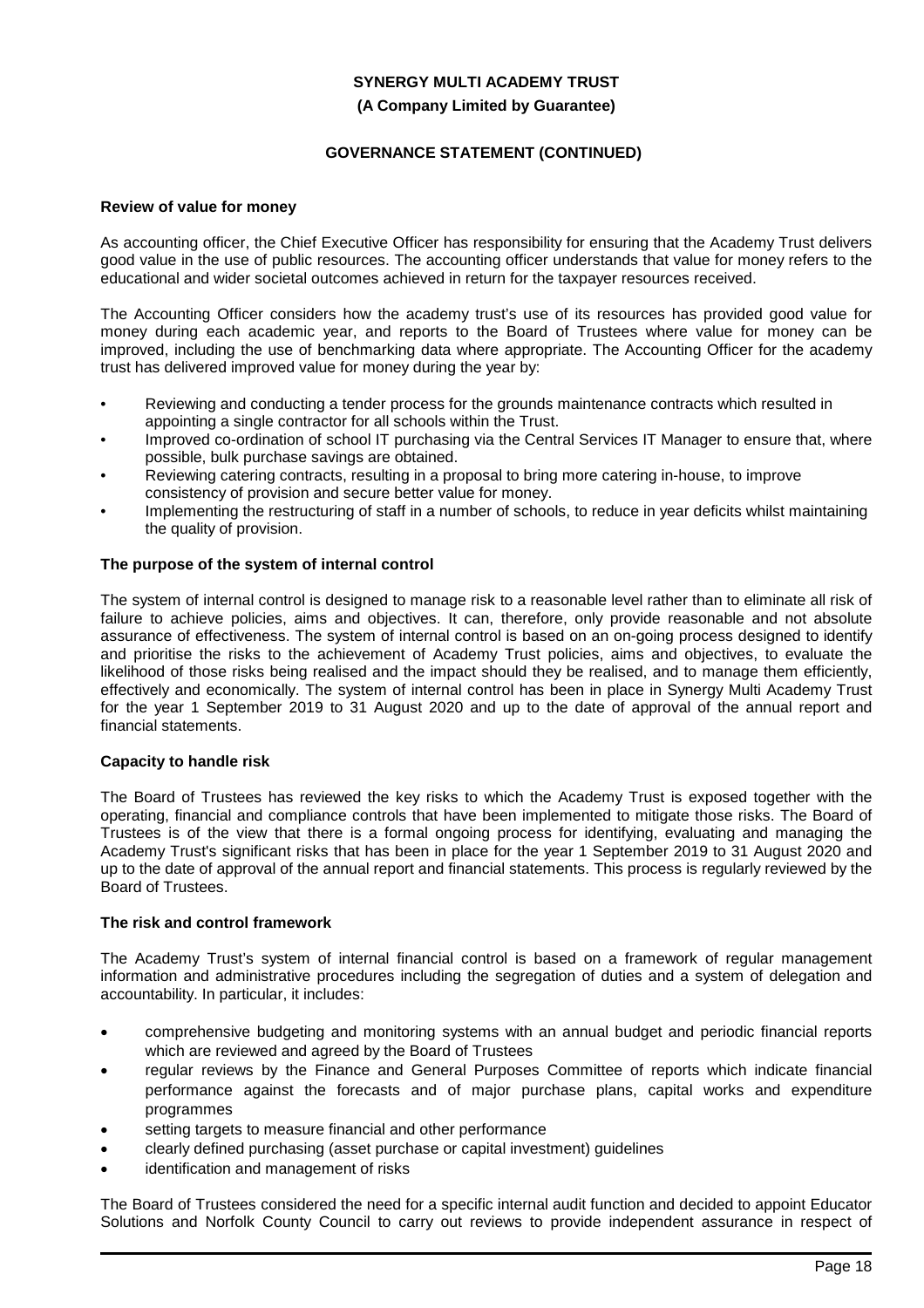# **SYNERGY MULTI ACADEMY TRUST (A Company Limited by Guarantee)**

# **GOVERNANCE STATEMENT (CONTINUED)**

### **Review of value for money**

As accounting officer, the Chief Executive Officer has responsibility for ensuring that the Academy Trust delivers good value in the use of public resources. The accounting officer understands that value for money refers to the educational and wider societal outcomes achieved in return for the taxpayer resources received.

The Accounting Officer considers how the academy trust's use of its resources has provided good value for money during each academic year, and reports to the Board of Trustees where value for money can be improved, including the use of benchmarking data where appropriate. The Accounting Officer for the academy trust has delivered improved value for money during the year by:

- Reviewing and conducting a tender process for the grounds maintenance contracts which resulted in appointing a single contractor for all schools within the Trust.
- Improved co-ordination of school IT purchasing via the Central Services IT Manager to ensure that, where possible, bulk purchase savings are obtained.
- Reviewing catering contracts, resulting in a proposal to bring more catering in-house, to improve consistency of provision and secure better value for money.
- Implementing the restructuring of staff in a number of schools, to reduce in year deficits whilst maintaining the quality of provision.

### **The purpose of the system of internal control**

The system of internal control is designed to manage risk to a reasonable level rather than to eliminate all risk of failure to achieve policies, aims and objectives. It can, therefore, only provide reasonable and not absolute assurance of effectiveness. The system of internal control is based on an on-going process designed to identify and prioritise the risks to the achievement of Academy Trust policies, aims and objectives, to evaluate the likelihood of those risks being realised and the impact should they be realised, and to manage them efficiently, effectively and economically. The system of internal control has been in place in Synergy Multi Academy Trust for the year 1 September 2019 to 31 August 2020 and up to the date of approval of the annual report and financial statements.

#### **Capacity to handle risk**

The Board of Trustees has reviewed the key risks to which the Academy Trust is exposed together with the operating, financial and compliance controls that have been implemented to mitigate those risks. The Board of Trustees is of the view that there is a formal ongoing process for identifying, evaluating and managing the Academy Trust's significant risks that has been in place for the year 1 September 2019 to 31 August 2020 and up to the date of approval of the annual report and financial statements. This process is regularly reviewed by the Board of Trustees.

#### **The risk and control framework**

The Academy Trust's system of internal financial control is based on a framework of regular management information and administrative procedures including the segregation of duties and a system of delegation and accountability. In particular, it includes:

- comprehensive budgeting and monitoring systems with an annual budget and periodic financial reports which are reviewed and agreed by the Board of Trustees
- regular reviews by the Finance and General Purposes Committee of reports which indicate financial performance against the forecasts and of major purchase plans, capital works and expenditure programmes
- setting targets to measure financial and other performance
- clearly defined purchasing (asset purchase or capital investment) guidelines
- identification and management of risks

The Board of Trustees considered the need for a specific internal audit function and decided to appoint Educator Solutions and Norfolk County Council to carry out reviews to provide independent assurance in respect of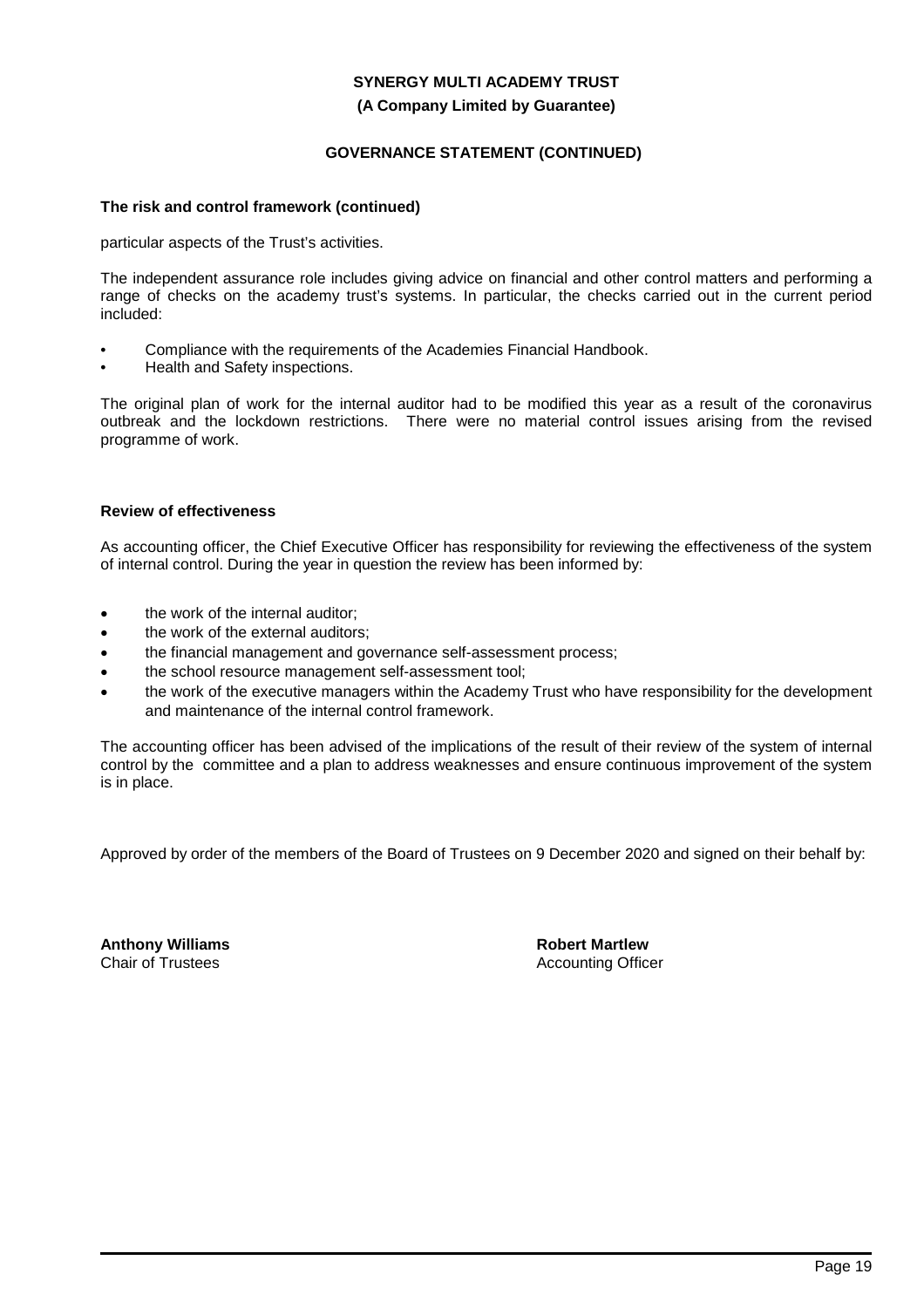### **(A Company Limited by Guarantee)**

### **GOVERNANCE STATEMENT (CONTINUED)**

#### **The risk and control framework (continued)**

particular aspects of the Trust's activities.

The independent assurance role includes giving advice on financial and other control matters and performing a range of checks on the academy trust's systems. In particular, the checks carried out in the current period included:

- Compliance with the requirements of the Academies Financial Handbook.
- Health and Safety inspections.

The original plan of work for the internal auditor had to be modified this year as a result of the coronavirus outbreak and the lockdown restrictions. There were no material control issues arising from the revised programme of work.

### **Review of effectiveness**

As accounting officer, the Chief Executive Officer has responsibility for reviewing the effectiveness of the system of internal control. During the year in question the review has been informed by:

- the work of the internal auditor;
- the work of the external auditors:
- the financial management and governance self-assessment process;
- the school resource management self-assessment tool;
- the work of the executive managers within the Academy Trust who have responsibility for the development and maintenance of the internal control framework.

The accounting officer has been advised of the implications of the result of their review of the system of internal control by the committee and a plan to address weaknesses and ensure continuous improvement of the system is in place.

Approved by order of the members of the Board of Trustees on 9 December 2020 and signed on their behalf by:

**Anthony Williams** Chair of Trustees

**Robert Martlew** Accounting Officer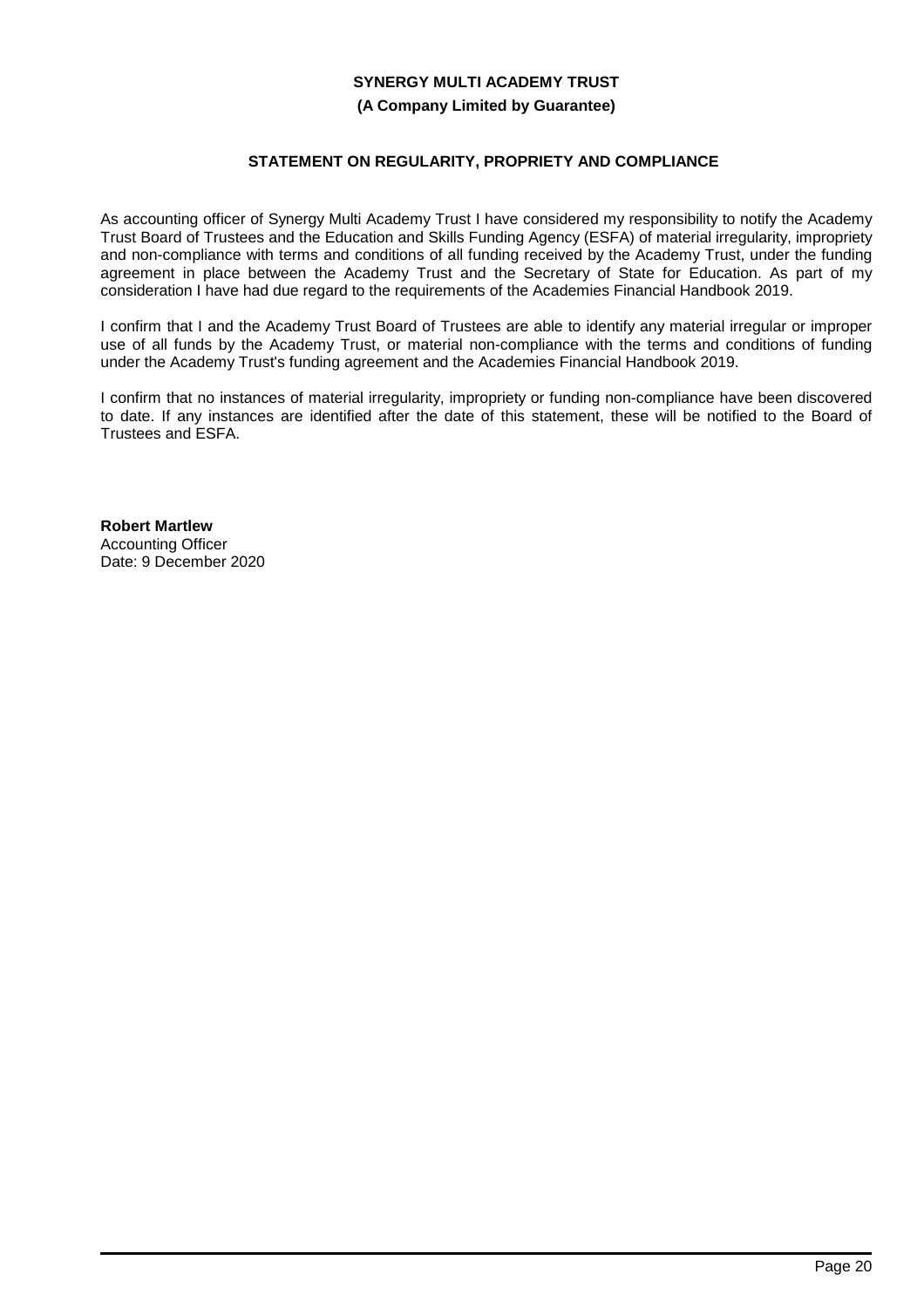### **(A Company Limited by Guarantee)**

# **STATEMENT ON REGULARITY, PROPRIETY AND COMPLIANCE**

As accounting officer of Synergy Multi Academy Trust I have considered my responsibility to notify the Academy Trust Board of Trustees and the Education and Skills Funding Agency (ESFA) of material irregularity, impropriety and non-compliance with terms and conditions of all funding received by the Academy Trust, under the funding agreement in place between the Academy Trust and the Secretary of State for Education. As part of my consideration I have had due regard to the requirements of the Academies Financial Handbook 2019.

I confirm that I and the Academy Trust Board of Trustees are able to identify any material irregular or improper use of all funds by the Academy Trust, or material non-compliance with the terms and conditions of funding under the Academy Trust's funding agreement and the Academies Financial Handbook 2019.

I confirm that no instances of material irregularity, impropriety or funding non-compliance have been discovered to date. If any instances are identified after the date of this statement, these will be notified to the Board of Trustees and ESFA.

**Robert Martlew** Accounting Officer Date: 9 December 2020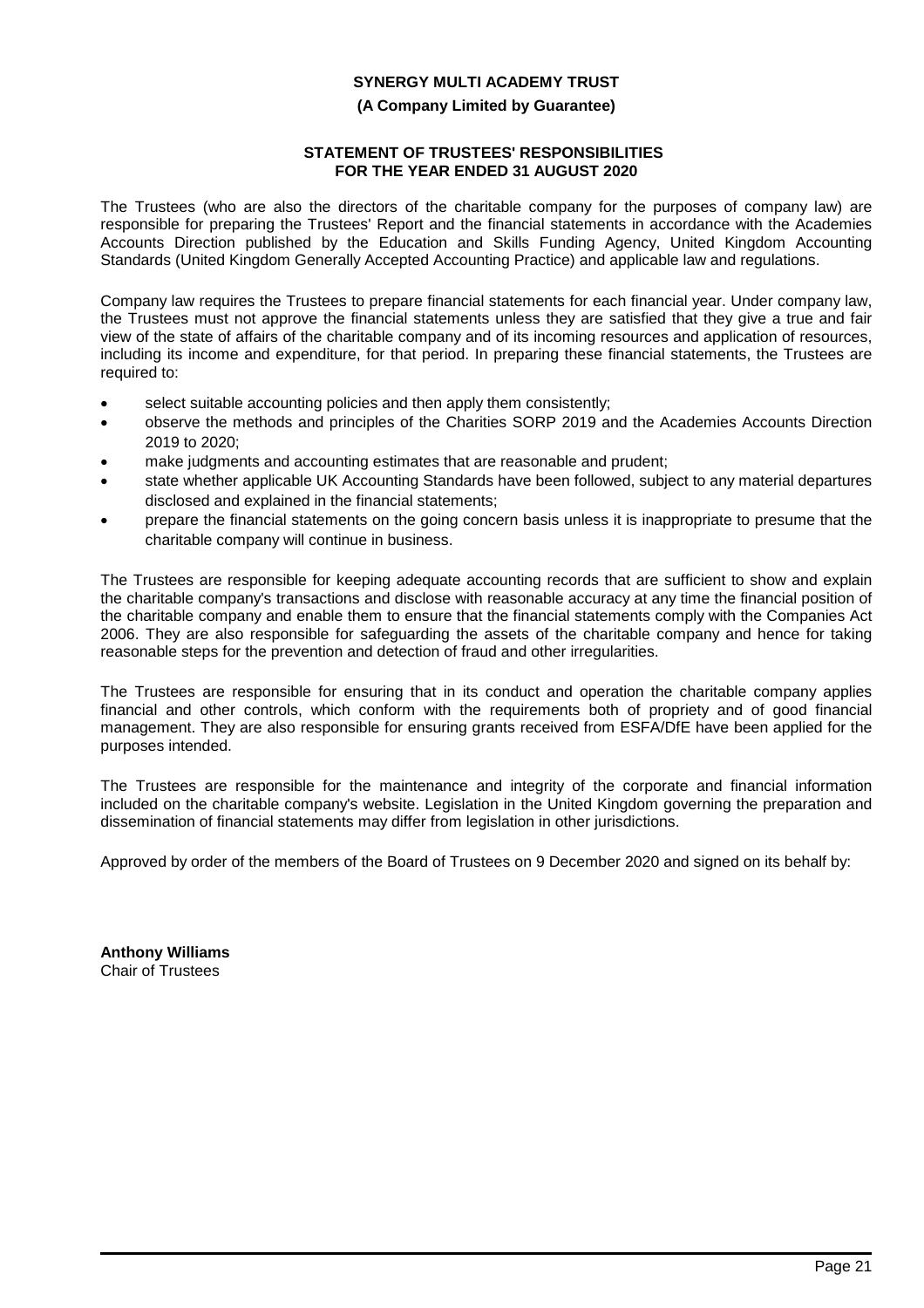### **(A Company Limited by Guarantee)**

### **STATEMENT OF TRUSTEES' RESPONSIBILITIES FOR THE YEAR ENDED 31 AUGUST 2020**

The Trustees (who are also the directors of the charitable company for the purposes of company law) are responsible for preparing the Trustees' Report and the financial statements in accordance with the Academies Accounts Direction published by the Education and Skills Funding Agency, United Kingdom Accounting Standards (United Kingdom Generally Accepted Accounting Practice) and applicable law and regulations.

Company law requires the Trustees to prepare financial statements for each financial year. Under company law, the Trustees must not approve the financial statements unless they are satisfied that they give a true and fair view of the state of affairs of the charitable company and of its incoming resources and application of resources, including its income and expenditure, for that period. In preparing these financial statements, the Trustees are required to:

- select suitable accounting policies and then apply them consistently;
- observe the methods and principles of the Charities SORP 2019 and the Academies Accounts Direction 2019 to 2020;
- make judgments and accounting estimates that are reasonable and prudent;
- state whether applicable UK Accounting Standards have been followed, subject to any material departures disclosed and explained in the financial statements;
- prepare the financial statements on the going concern basis unless it is inappropriate to presume that the charitable company will continue in business.

The Trustees are responsible for keeping adequate accounting records that are sufficient to show and explain the charitable company's transactions and disclose with reasonable accuracy at any time the financial position of the charitable company and enable them to ensure that the financial statements comply with the Companies Act 2006. They are also responsible for safeguarding the assets of the charitable company and hence for taking reasonable steps for the prevention and detection of fraud and other irregularities.

The Trustees are responsible for ensuring that in its conduct and operation the charitable company applies financial and other controls, which conform with the requirements both of propriety and of good financial management. They are also responsible for ensuring grants received from ESFA/DfE have been applied for the purposes intended.

The Trustees are responsible for the maintenance and integrity of the corporate and financial information included on the charitable company's website. Legislation in the United Kingdom governing the preparation and dissemination of financial statements may differ from legislation in other jurisdictions.

Approved by order of the members of the Board of Trustees on 9 December 2020 and signed on its behalf by:

**Anthony Williams** Chair of Trustees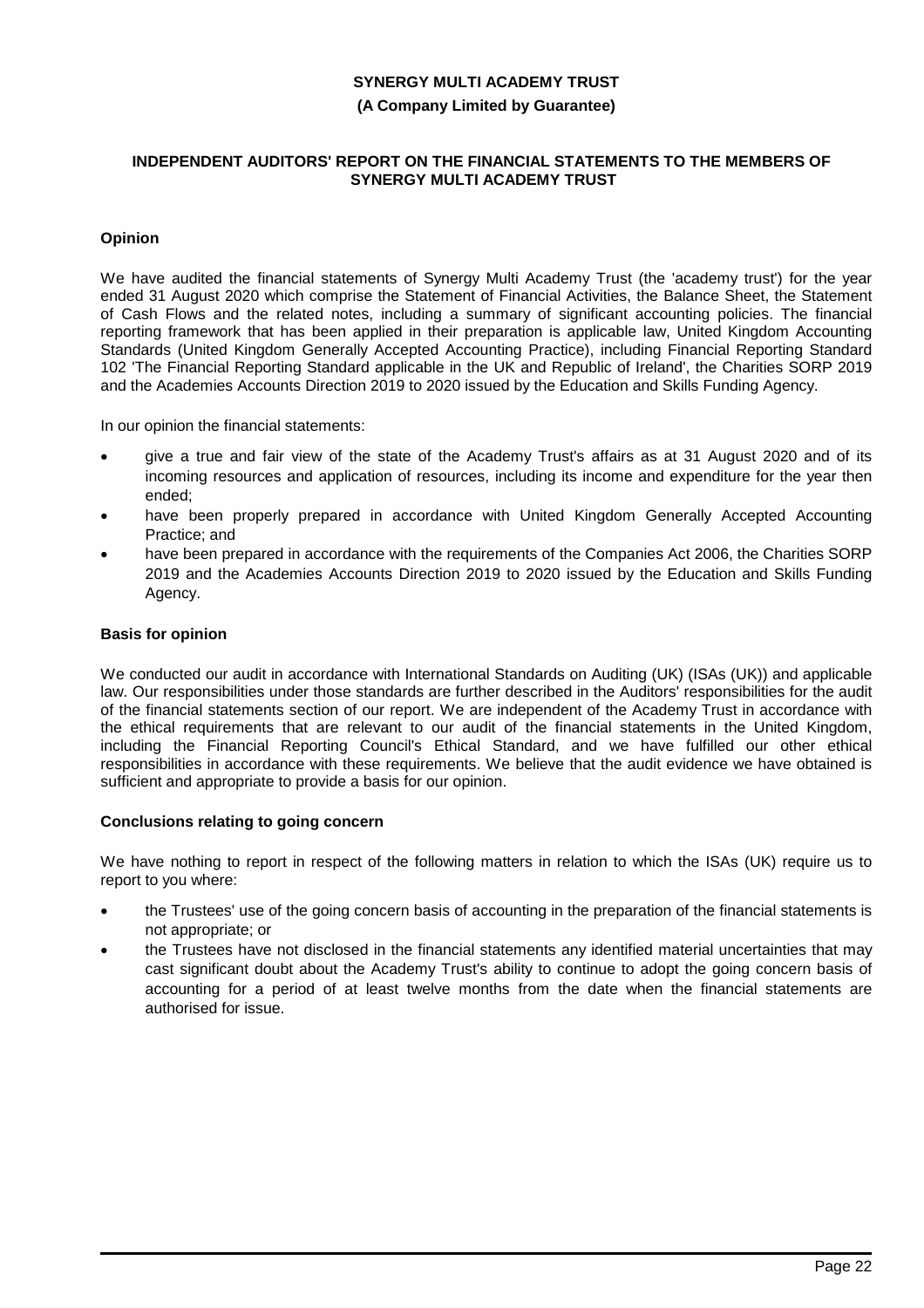#### **(A Company Limited by Guarantee)**

### **INDEPENDENT AUDITORS' REPORT ON THE FINANCIAL STATEMENTS TO THE MEMBERS OF SYNERGY MULTI ACADEMY TRUST**

### **Opinion**

We have audited the financial statements of Synergy Multi Academy Trust (the 'academy trust') for the year ended 31 August 2020 which comprise the Statement of Financial Activities, the Balance Sheet, the Statement of Cash Flows and the related notes, including a summary of significant accounting policies. The financial reporting framework that has been applied in their preparation is applicable law, United Kingdom Accounting Standards (United Kingdom Generally Accepted Accounting Practice), including Financial Reporting Standard 102 'The Financial Reporting Standard applicable in the UK and Republic of Ireland', the Charities SORP 2019 and the Academies Accounts Direction 2019 to 2020 issued by the Education and Skills Funding Agency.

In our opinion the financial statements:

- give a true and fair view of the state of the Academy Trust's affairs as at 31 August 2020 and of its incoming resources and application of resources, including its income and expenditure for the year then ended;
- have been properly prepared in accordance with United Kingdom Generally Accepted Accounting Practice; and
- have been prepared in accordance with the requirements of the Companies Act 2006, the Charities SORP 2019 and the Academies Accounts Direction 2019 to 2020 issued by the Education and Skills Funding Agency.

### **Basis for opinion**

We conducted our audit in accordance with International Standards on Auditing (UK) (ISAs (UK)) and applicable law. Our responsibilities under those standards are further described in the Auditors' responsibilities for the audit of the financial statements section of our report. We are independent of the Academy Trust in accordance with the ethical requirements that are relevant to our audit of the financial statements in the United Kingdom, including the Financial Reporting Council's Ethical Standard, and we have fulfilled our other ethical responsibilities in accordance with these requirements. We believe that the audit evidence we have obtained is sufficient and appropriate to provide a basis for our opinion.

### **Conclusions relating to going concern**

We have nothing to report in respect of the following matters in relation to which the ISAs (UK) require us to report to you where:

- the Trustees' use of the going concern basis of accounting in the preparation of the financial statements is not appropriate; or
- the Trustees have not disclosed in the financial statements any identified material uncertainties that may cast significant doubt about the Academy Trust's ability to continue to adopt the going concern basis of accounting for a period of at least twelve months from the date when the financial statements are authorised for issue.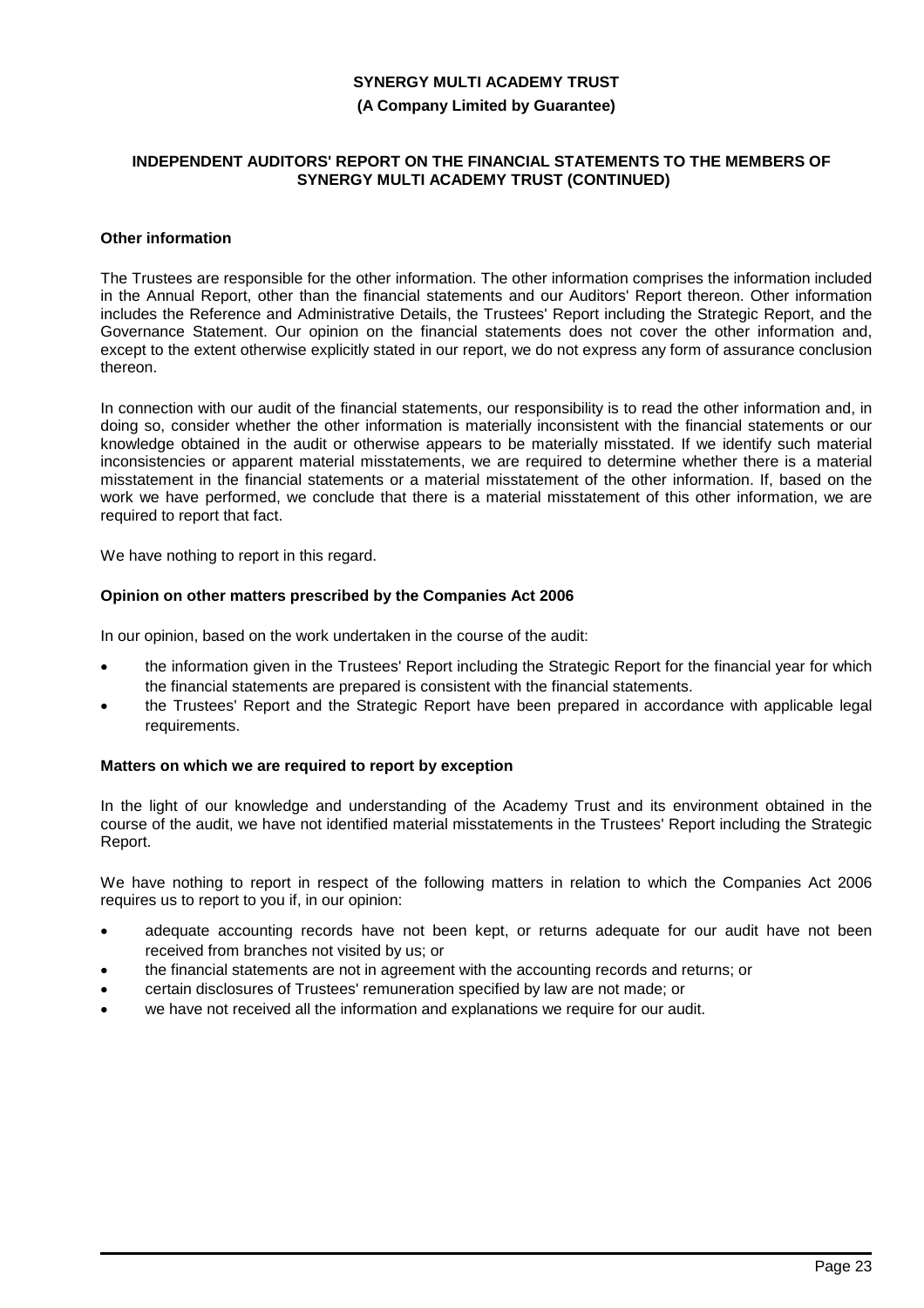#### **(A Company Limited by Guarantee)**

#### **INDEPENDENT AUDITORS' REPORT ON THE FINANCIAL STATEMENTS TO THE MEMBERS OF SYNERGY MULTI ACADEMY TRUST (CONTINUED)**

### **Other information**

The Trustees are responsible for the other information. The other information comprises the information included in the Annual Report, other than the financial statements and our Auditors' Report thereon. Other information includes the Reference and Administrative Details, the Trustees' Report including the Strategic Report, and the Governance Statement. Our opinion on the financial statements does not cover the other information and, except to the extent otherwise explicitly stated in our report, we do not express any form of assurance conclusion thereon.

In connection with our audit of the financial statements, our responsibility is to read the other information and, in doing so, consider whether the other information is materially inconsistent with the financial statements or our knowledge obtained in the audit or otherwise appears to be materially misstated. If we identify such material inconsistencies or apparent material misstatements, we are required to determine whether there is a material misstatement in the financial statements or a material misstatement of the other information. If, based on the work we have performed, we conclude that there is a material misstatement of this other information, we are required to report that fact.

We have nothing to report in this regard.

### **Opinion on other matters prescribed by the Companies Act 2006**

In our opinion, based on the work undertaken in the course of the audit:

- the information given in the Trustees' Report including the Strategic Report for the financial year for which the financial statements are prepared is consistent with the financial statements.
- the Trustees' Report and the Strategic Report have been prepared in accordance with applicable legal requirements.

#### **Matters on which we are required to report by exception**

In the light of our knowledge and understanding of the Academy Trust and its environment obtained in the course of the audit, we have not identified material misstatements in the Trustees' Report including the Strategic Report.

We have nothing to report in respect of the following matters in relation to which the Companies Act 2006 requires us to report to you if, in our opinion:

- adequate accounting records have not been kept, or returns adequate for our audit have not been received from branches not visited by us; or
- the financial statements are not in agreement with the accounting records and returns; or
- certain disclosures of Trustees' remuneration specified by law are not made; or
- we have not received all the information and explanations we require for our audit.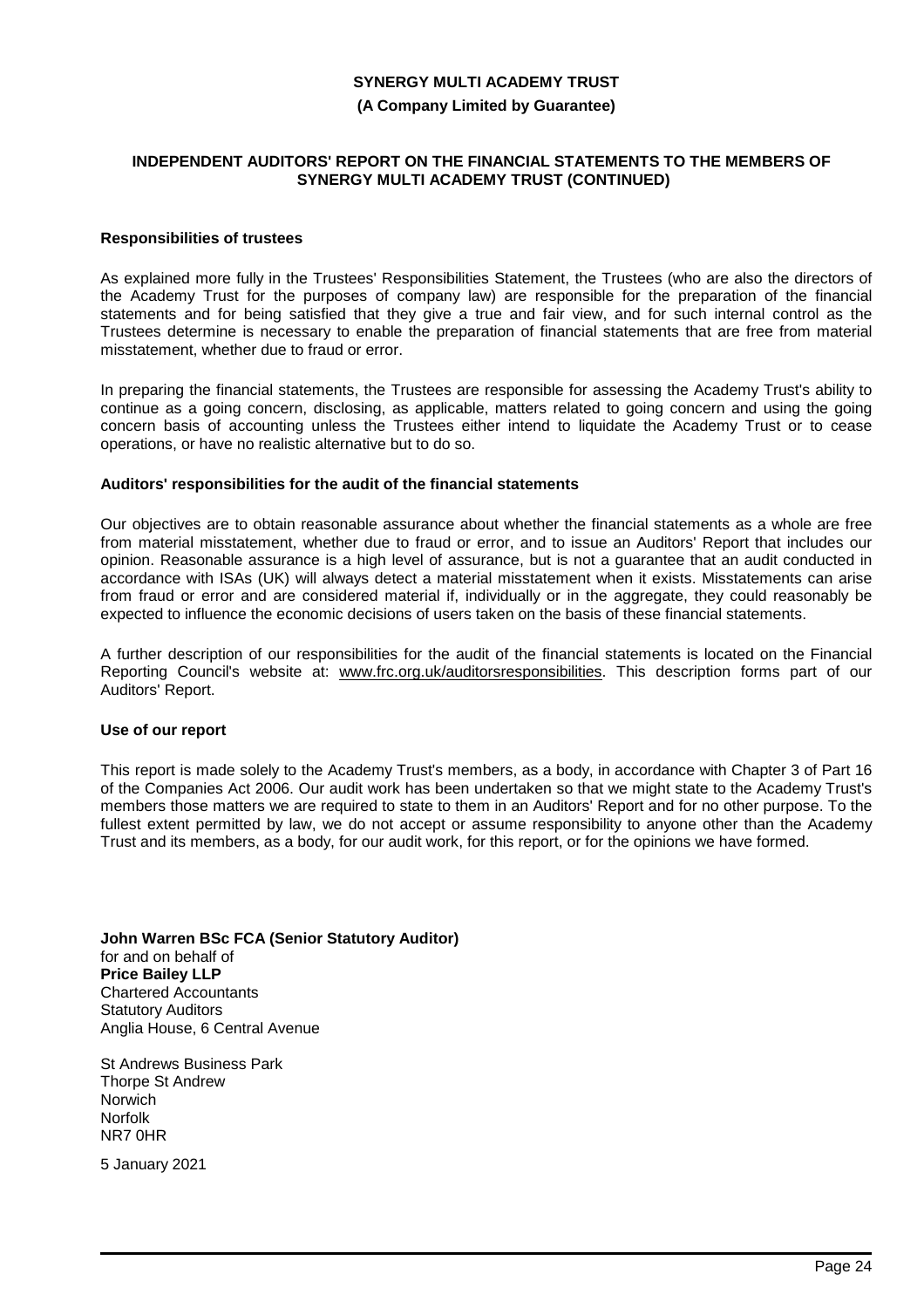#### **(A Company Limited by Guarantee)**

#### **INDEPENDENT AUDITORS' REPORT ON THE FINANCIAL STATEMENTS TO THE MEMBERS OF SYNERGY MULTI ACADEMY TRUST (CONTINUED)**

### **Responsibilities of trustees**

As explained more fully in the Trustees' Responsibilities Statement, the Trustees (who are also the directors of the Academy Trust for the purposes of company law) are responsible for the preparation of the financial statements and for being satisfied that they give a true and fair view, and for such internal control as the Trustees determine is necessary to enable the preparation of financial statements that are free from material misstatement, whether due to fraud or error.

In preparing the financial statements, the Trustees are responsible for assessing the Academy Trust's ability to continue as a going concern, disclosing, as applicable, matters related to going concern and using the going concern basis of accounting unless the Trustees either intend to liquidate the Academy Trust or to cease operations, or have no realistic alternative but to do so.

#### **Auditors' responsibilities for the audit of the financial statements**

Our objectives are to obtain reasonable assurance about whether the financial statements as a whole are free from material misstatement, whether due to fraud or error, and to issue an Auditors' Report that includes our opinion. Reasonable assurance is a high level of assurance, but is not a guarantee that an audit conducted in accordance with ISAs (UK) will always detect a material misstatement when it exists. Misstatements can arise from fraud or error and are considered material if, individually or in the aggregate, they could reasonably be expected to influence the economic decisions of users taken on the basis of these financial statements.

A further description of our responsibilities for the audit of the financial statements is located on the Financial Reporting Council's website at: www.frc.org.uk/auditorsresponsibilities. This description forms part of our Auditors' Report.

#### **Use of our report**

This report is made solely to the Academy Trust's members, as a body, in accordance with Chapter 3 of Part 16 of the Companies Act 2006. Our audit work has been undertaken so that we might state to the Academy Trust's members those matters we are required to state to them in an Auditors' Report and for no other purpose. To the fullest extent permitted by law, we do not accept or assume responsibility to anyone other than the Academy Trust and its members, as a body, for our audit work, for this report, or for the opinions we have formed.

**John Warren BSc FCA (Senior Statutory Auditor)** for and on behalf of **Price Bailey LLP** Chartered Accountants Statutory Auditors Anglia House, 6 Central Avenue

St Andrews Business Park Thorpe St Andrew Norwich Norfolk NR7 0HR

5 January 2021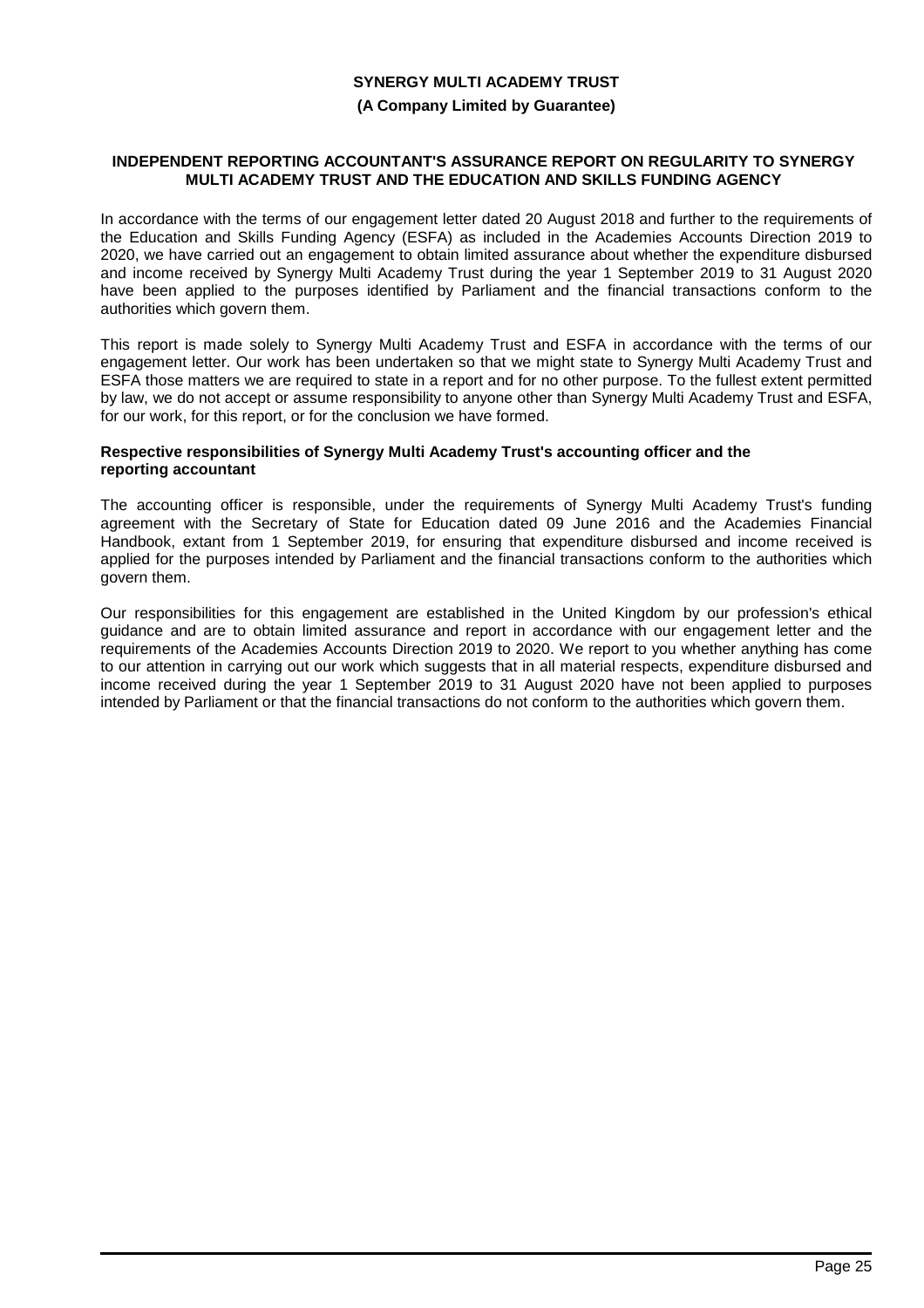#### **(A Company Limited by Guarantee)**

#### **INDEPENDENT REPORTING ACCOUNTANT'S ASSURANCE REPORT ON REGULARITY TO SYNERGY MULTI ACADEMY TRUST AND THE EDUCATION AND SKILLS FUNDING AGENCY**

In accordance with the terms of our engagement letter dated 20 August 2018 and further to the requirements of the Education and Skills Funding Agency (ESFA) as included in the Academies Accounts Direction 2019 to 2020, we have carried out an engagement to obtain limited assurance about whether the expenditure disbursed and income received by Synergy Multi Academy Trust during the year 1 September 2019 to 31 August 2020 have been applied to the purposes identified by Parliament and the financial transactions conform to the authorities which govern them.

This report is made solely to Synergy Multi Academy Trust and ESFA in accordance with the terms of our engagement letter. Our work has been undertaken so that we might state to Synergy Multi Academy Trust and ESFA those matters we are required to state in a report and for no other purpose. To the fullest extent permitted by law, we do not accept or assume responsibility to anyone other than Synergy Multi Academy Trust and ESFA, for our work, for this report, or for the conclusion we have formed.

#### **Respective responsibilities of Synergy Multi Academy Trust's accounting officer and the reporting accountant**

The accounting officer is responsible, under the requirements of Synergy Multi Academy Trust's funding agreement with the Secretary of State for Education dated 09 June 2016 and the Academies Financial Handbook, extant from 1 September 2019, for ensuring that expenditure disbursed and income received is applied for the purposes intended by Parliament and the financial transactions conform to the authorities which govern them.

Our responsibilities for this engagement are established in the United Kingdom by our profession's ethical guidance and are to obtain limited assurance and report in accordance with our engagement letter and the requirements of the Academies Accounts Direction 2019 to 2020. We report to you whether anything has come to our attention in carrying out our work which suggests that in all material respects, expenditure disbursed and income received during the year 1 September 2019 to 31 August 2020 have not been applied to purposes intended by Parliament or that the financial transactions do not conform to the authorities which govern them.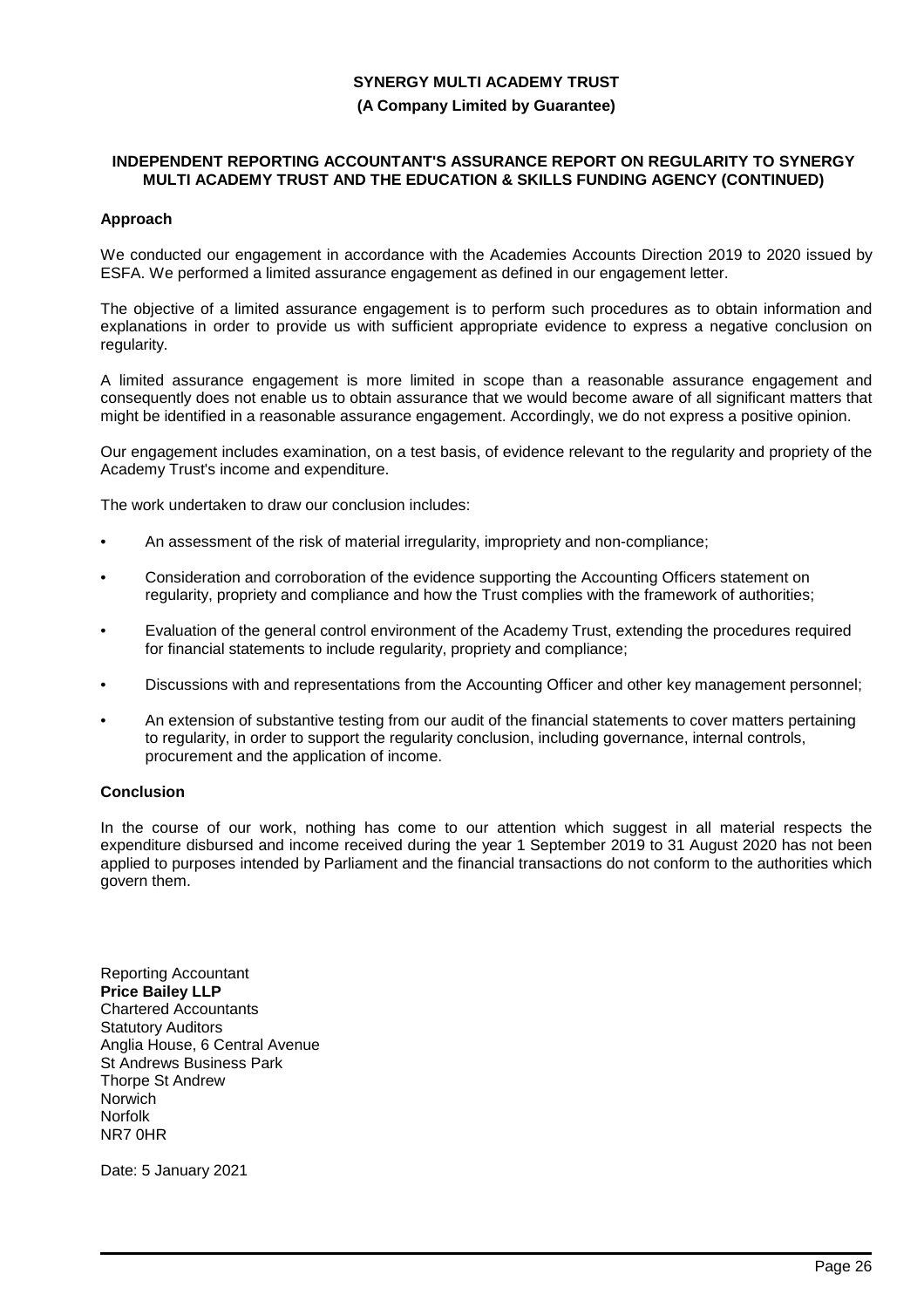# **SYNERGY MULTI ACADEMY TRUST (A Company Limited by Guarantee)**

#### **INDEPENDENT REPORTING ACCOUNTANT'S ASSURANCE REPORT ON REGULARITY TO SYNERGY MULTI ACADEMY TRUST AND THE EDUCATION & SKILLS FUNDING AGENCY (CONTINUED)**

### **Approach**

We conducted our engagement in accordance with the Academies Accounts Direction 2019 to 2020 issued by ESFA. We performed a limited assurance engagement as defined in our engagement letter.

The objective of a limited assurance engagement is to perform such procedures as to obtain information and explanations in order to provide us with sufficient appropriate evidence to express a negative conclusion on regularity.

A limited assurance engagement is more limited in scope than a reasonable assurance engagement and consequently does not enable us to obtain assurance that we would become aware of all significant matters that might be identified in a reasonable assurance engagement. Accordingly, we do not express a positive opinion.

Our engagement includes examination, on a test basis, of evidence relevant to the regularity and propriety of the Academy Trust's income and expenditure.

The work undertaken to draw our conclusion includes:

- An assessment of the risk of material irregularity, impropriety and non-compliance;
- Consideration and corroboration of the evidence supporting the Accounting Officers statement on regularity, propriety and compliance and how the Trust complies with the framework of authorities;
- Evaluation of the general control environment of the Academy Trust, extending the procedures required for financial statements to include regularity, propriety and compliance;
- Discussions with and representations from the Accounting Officer and other key management personnel;
- An extension of substantive testing from our audit of the financial statements to cover matters pertaining to regularity, in order to support the regularity conclusion, including governance, internal controls, procurement and the application of income.

# **Conclusion**

In the course of our work, nothing has come to our attention which suggest in all material respects the expenditure disbursed and income received during the year 1 September 2019 to 31 August 2020 has not been applied to purposes intended by Parliament and the financial transactions do not conform to the authorities which govern them.

Reporting Accountant **Price Bailey LLP** Chartered Accountants Statutory Auditors Anglia House, 6 Central Avenue St Andrews Business Park Thorpe St Andrew Norwich Norfolk NR7 0HR

Date: 5 January 2021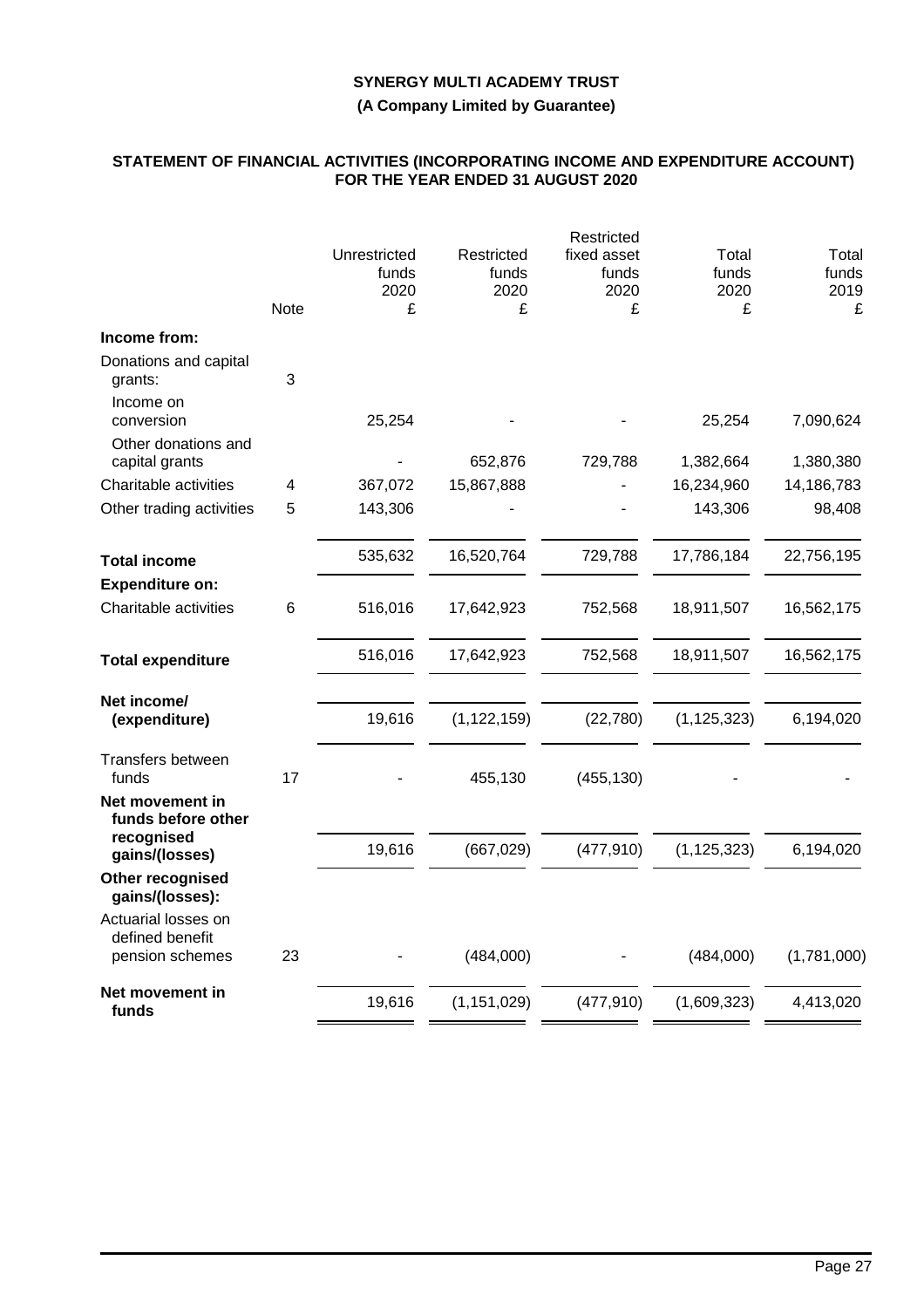**(A Company Limited by Guarantee)**

### **STATEMENT OF FINANCIAL ACTIVITIES (INCORPORATING INCOME AND EXPENDITURE ACCOUNT) FOR THE YEAR ENDED 31 AUGUST 2020**

|                                        |             |                               |                             | Restricted                   |                        |                        |
|----------------------------------------|-------------|-------------------------------|-----------------------------|------------------------------|------------------------|------------------------|
|                                        |             | Unrestricted<br>funds<br>2020 | Restricted<br>funds<br>2020 | fixed asset<br>funds<br>2020 | Total<br>funds<br>2020 | Total<br>funds<br>2019 |
|                                        | <b>Note</b> | £                             | £                           | £                            | £                      | £                      |
| Income from:                           |             |                               |                             |                              |                        |                        |
| Donations and capital<br>grants:       | 3           |                               |                             |                              |                        |                        |
| Income on<br>conversion                |             | 25,254                        |                             |                              | 25,254                 | 7,090,624              |
| Other donations and<br>capital grants  |             |                               | 652,876                     | 729,788                      | 1,382,664              | 1,380,380              |
| Charitable activities                  | 4           | 367,072                       | 15,867,888                  |                              | 16,234,960             | 14,186,783             |
| Other trading activities               | 5           | 143,306                       |                             |                              | 143,306                | 98,408                 |
| <b>Total income</b>                    |             | 535,632                       | 16,520,764                  | 729,788                      | 17,786,184             | 22,756,195             |
| <b>Expenditure on:</b>                 |             |                               |                             |                              |                        |                        |
| Charitable activities                  | 6           | 516,016                       | 17,642,923                  | 752,568                      | 18,911,507             | 16,562,175             |
| <b>Total expenditure</b>               |             | 516,016                       | 17,642,923                  | 752,568                      | 18,911,507             | 16,562,175             |
| Net income/<br>(expenditure)           |             | 19,616                        | (1, 122, 159)               | (22,780)                     | (1, 125, 323)          | 6,194,020              |
| Transfers between<br>funds             | 17          |                               | 455,130                     | (455, 130)                   |                        |                        |
| Net movement in<br>funds before other  |             |                               |                             |                              |                        |                        |
| recognised<br>gains/(losses)           |             | 19,616                        | (667, 029)                  | (477, 910)                   | (1, 125, 323)          | 6,194,020              |
| Other recognised<br>gains/(losses):    |             |                               |                             |                              |                        |                        |
| Actuarial losses on<br>defined benefit |             |                               |                             |                              |                        |                        |
| pension schemes                        | 23          |                               | (484,000)                   |                              | (484,000)              | (1,781,000)            |
| Net movement in<br>funds               |             | 19,616                        | (1, 151, 029)               | (477, 910)                   | (1,609,323)            | 4,413,020              |
|                                        |             |                               |                             |                              |                        |                        |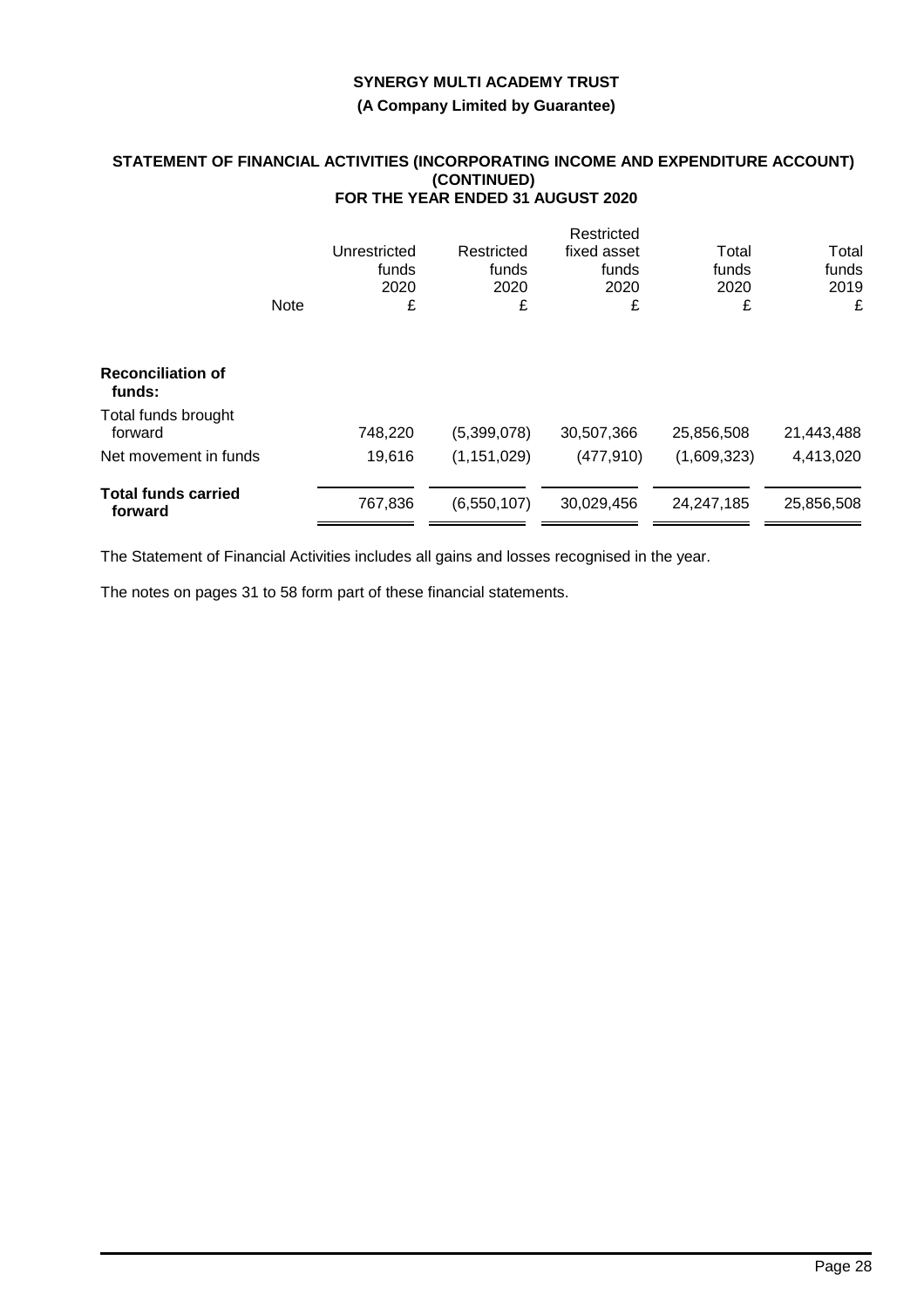**(A Company Limited by Guarantee)**

### **STATEMENT OF FINANCIAL ACTIVITIES (INCORPORATING INCOME AND EXPENDITURE ACCOUNT) (CONTINUED) FOR THE YEAR ENDED 31 AUGUST 2020**

|                                       |             |              |               | Restricted  |             |            |
|---------------------------------------|-------------|--------------|---------------|-------------|-------------|------------|
|                                       |             | Unrestricted | Restricted    | fixed asset | Total       | Total      |
|                                       |             | funds        | funds         | funds       | funds       | funds      |
|                                       |             | 2020         | 2020          | 2020        | 2020        | 2019       |
|                                       | <b>Note</b> | £            | £             | £           | £           | £          |
| <b>Reconciliation of</b><br>funds:    |             |              |               |             |             |            |
|                                       |             |              |               |             |             |            |
| Total funds brought<br>forward        |             | 748,220      | (5,399,078)   | 30,507,366  | 25,856,508  | 21,443,488 |
| Net movement in funds                 |             | 19,616       | (1, 151, 029) | (477, 910)  | (1,609,323) | 4,413,020  |
| <b>Total funds carried</b><br>forward |             | 767,836      | (6,550,107)   | 30,029,456  | 24,247,185  | 25,856,508 |
|                                       |             |              |               |             |             |            |

The Statement of Financial Activities includes all gains and losses recognised in the year.

The notes on pages 31 to 58 form part of these financial statements.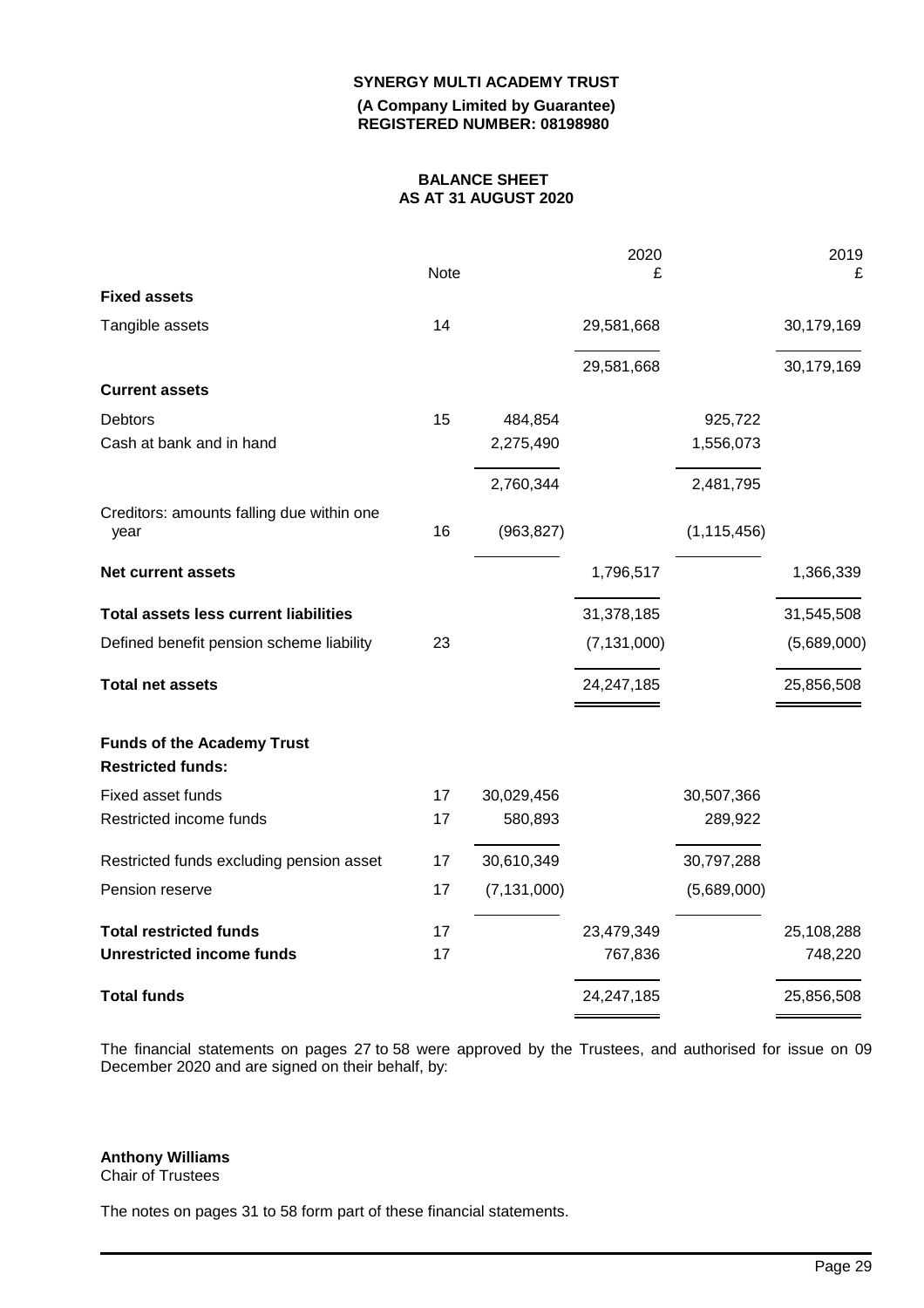**(A Company Limited by Guarantee) REGISTERED NUMBER: 08198980**

# **BALANCE SHEET AS AT 31 AUGUST 2020**

|                                                               | Note |               | 2020<br>£     |               | 2019<br>£   |
|---------------------------------------------------------------|------|---------------|---------------|---------------|-------------|
| <b>Fixed assets</b>                                           |      |               |               |               |             |
| Tangible assets                                               | 14   |               | 29,581,668    |               | 30,179,169  |
|                                                               |      |               | 29,581,668    |               | 30,179,169  |
| <b>Current assets</b>                                         |      |               |               |               |             |
| <b>Debtors</b>                                                | 15   | 484,854       |               | 925,722       |             |
| Cash at bank and in hand                                      |      | 2,275,490     |               | 1,556,073     |             |
|                                                               |      | 2,760,344     |               | 2,481,795     |             |
| Creditors: amounts falling due within one<br>year             | 16   | (963, 827)    |               | (1, 115, 456) |             |
| <b>Net current assets</b>                                     |      |               | 1,796,517     |               | 1,366,339   |
| <b>Total assets less current liabilities</b>                  |      |               | 31,378,185    |               | 31,545,508  |
| Defined benefit pension scheme liability                      | 23   |               | (7, 131, 000) |               | (5,689,000) |
| <b>Total net assets</b>                                       |      |               | 24,247,185    |               | 25,856,508  |
| <b>Funds of the Academy Trust</b><br><b>Restricted funds:</b> |      |               |               |               |             |
| Fixed asset funds                                             | 17   | 30,029,456    |               | 30,507,366    |             |
| Restricted income funds                                       | 17   | 580,893       |               | 289,922       |             |
| Restricted funds excluding pension asset                      | 17   | 30,610,349    |               | 30,797,288    |             |
| Pension reserve                                               | 17   | (7, 131, 000) |               | (5,689,000)   |             |
| <b>Total restricted funds</b>                                 | 17   |               | 23,479,349    |               | 25,108,288  |
| <b>Unrestricted income funds</b>                              | 17   |               | 767,836       |               | 748,220     |
| <b>Total funds</b>                                            |      |               | 24,247,185    |               | 25,856,508  |

The financial statements on pages 27 to 58 were approved by the Trustees, and authorised for issue on 09 December 2020 and are signed on their behalf, by:

### **Anthony Williams**

Chair of Trustees

The notes on pages 31 to 58 form part of these financial statements.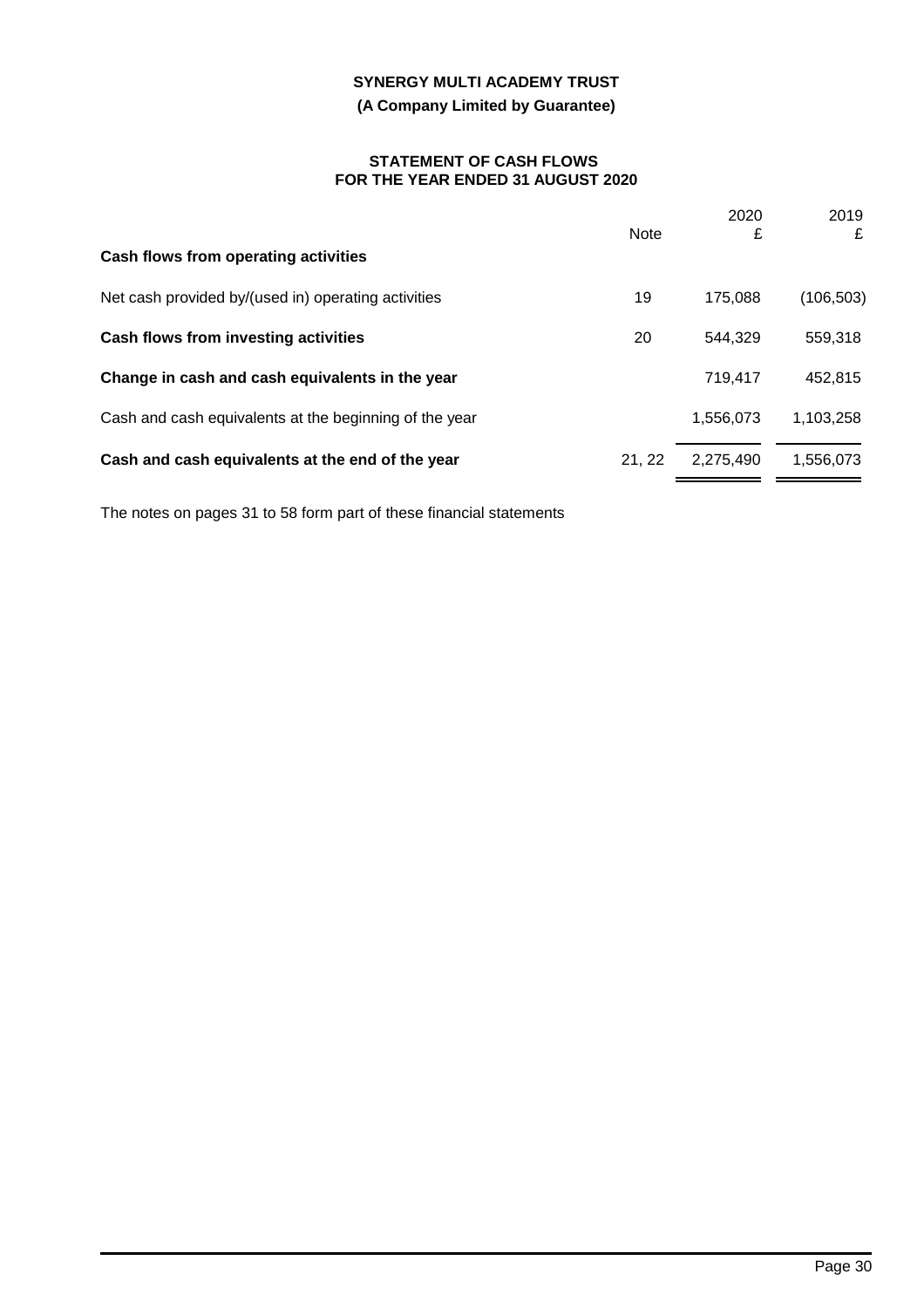# **(A Company Limited by Guarantee)**

#### **STATEMENT OF CASH FLOWS FOR THE YEAR ENDED 31 AUGUST 2020**

|                                                        | <b>Note</b> | 2020<br>£ | 2019<br>£  |
|--------------------------------------------------------|-------------|-----------|------------|
| Cash flows from operating activities                   |             |           |            |
| Net cash provided by/(used in) operating activities    | 19          | 175,088   | (106, 503) |
| <b>Cash flows from investing activities</b>            | 20          | 544,329   | 559,318    |
| Change in cash and cash equivalents in the year        |             | 719,417   | 452,815    |
| Cash and cash equivalents at the beginning of the year |             | 1,556,073 | 1,103,258  |
| Cash and cash equivalents at the end of the year       | 21.22       | 2,275,490 | 1,556,073  |
|                                                        |             |           |            |

The notes on pages 31 to 58 form part of these financial statements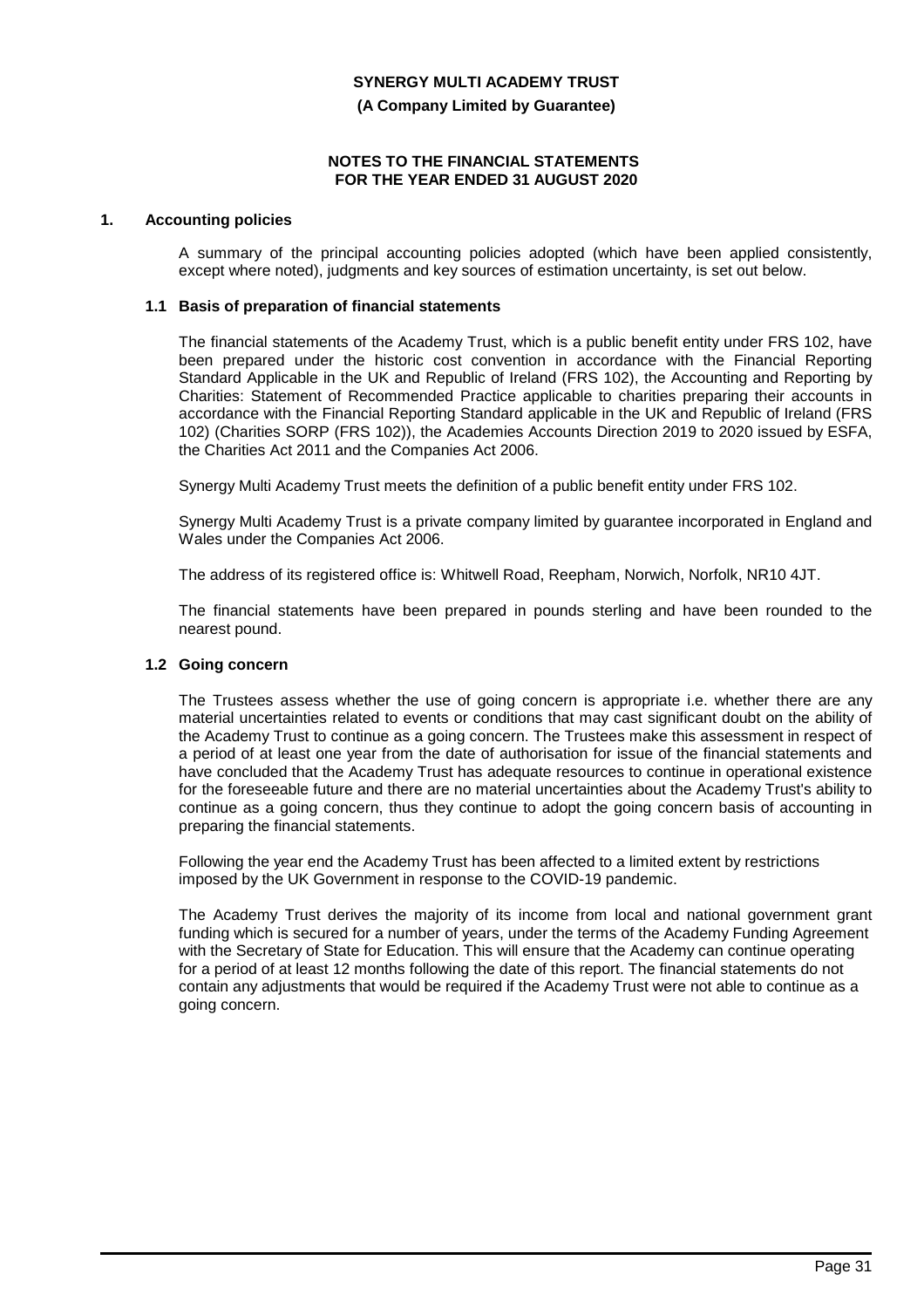**(A Company Limited by Guarantee)**

#### **NOTES TO THE FINANCIAL STATEMENTS FOR THE YEAR ENDED 31 AUGUST 2020**

### **1. Accounting policies**

A summary of the principal accounting policies adopted (which have been applied consistently, except where noted), judgments and key sources of estimation uncertainty, is set out below.

#### **1.1 Basis of preparation of financial statements**

The financial statements of the Academy Trust, which is a public benefit entity under FRS 102, have been prepared under the historic cost convention in accordance with the Financial Reporting Standard Applicable in the UK and Republic of Ireland (FRS 102), the Accounting and Reporting by Charities: Statement of Recommended Practice applicable to charities preparing their accounts in accordance with the Financial Reporting Standard applicable in the UK and Republic of Ireland (FRS 102) (Charities SORP (FRS 102)), the Academies Accounts Direction 2019 to 2020 issued by ESFA, the Charities Act 2011 and the Companies Act 2006.

Synergy Multi Academy Trust meets the definition of a public benefit entity under FRS 102.

Synergy Multi Academy Trust is a private company limited by guarantee incorporated in England and Wales under the Companies Act 2006.

The address of its registered office is: Whitwell Road, Reepham, Norwich, Norfolk, NR10 4JT.

The financial statements have been prepared in pounds sterling and have been rounded to the nearest pound.

#### **1.2 Going concern**

The Trustees assess whether the use of going concern is appropriate i.e. whether there are any material uncertainties related to events or conditions that may cast significant doubt on the ability of the Academy Trust to continue as a going concern. The Trustees make this assessment in respect of a period of at least one year from the date of authorisation for issue of the financial statements and have concluded that the Academy Trust has adequate resources to continue in operational existence for the foreseeable future and there are no material uncertainties about the Academy Trust's ability to continue as a going concern, thus they continue to adopt the going concern basis of accounting in preparing the financial statements.

Following the year end the Academy Trust has been affected to a limited extent by restrictions imposed by the UK Government in response to the COVID-19 pandemic.

The Academy Trust derives the majority of its income from local and national government grant funding which is secured for a number of years, under the terms of the Academy Funding Agreement with the Secretary of State for Education. This will ensure that the Academy can continue operating for a period of at least 12 months following the date of this report. The financial statements do not contain any adjustments that would be required if the Academy Trust were not able to continue as a going concern.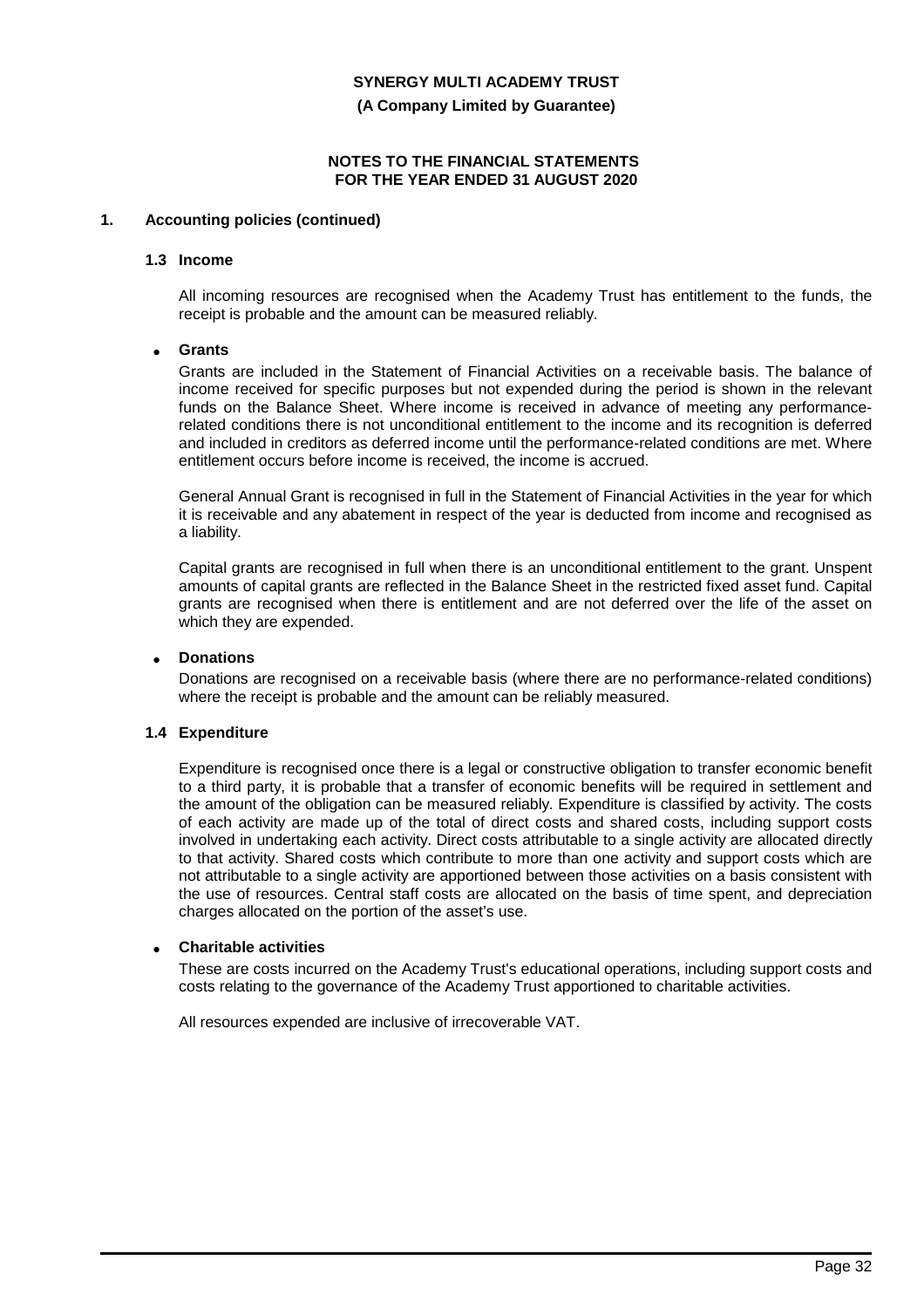**(A Company Limited by Guarantee)**

### **NOTES TO THE FINANCIAL STATEMENTS FOR THE YEAR ENDED 31 AUGUST 2020**

### **1. Accounting policies (continued)**

#### **1.3 Income**

All incoming resources are recognised when the Academy Trust has entitlement to the funds, the receipt is probable and the amount can be measured reliably.

### • **Grants**

Grants are included in the Statement of Financial Activities on a receivable basis. The balance of income received for specific purposes but not expended during the period is shown in the relevant funds on the Balance Sheet. Where income is received in advance of meeting any performancerelated conditions there is not unconditional entitlement to the income and its recognition is deferred and included in creditors as deferred income until the performance-related conditions are met. Where entitlement occurs before income is received, the income is accrued.

General Annual Grant is recognised in full in the Statement of Financial Activities in the year for which it is receivable and any abatement in respect of the year is deducted from income and recognised as a liability.

Capital grants are recognised in full when there is an unconditional entitlement to the grant. Unspent amounts of capital grants are reflected in the Balance Sheet in the restricted fixed asset fund. Capital grants are recognised when there is entitlement and are not deferred over the life of the asset on which they are expended.

#### • **Donations**

Donations are recognised on a receivable basis (where there are no performance-related conditions) where the receipt is probable and the amount can be reliably measured.

### **1.4 Expenditure**

Expenditure is recognised once there is a legal or constructive obligation to transfer economic benefit to a third party, it is probable that a transfer of economic benefits will be required in settlement and the amount of the obligation can be measured reliably. Expenditure is classified by activity. The costs of each activity are made up of the total of direct costs and shared costs, including support costs involved in undertaking each activity. Direct costs attributable to a single activity are allocated directly to that activity. Shared costs which contribute to more than one activity and support costs which are not attributable to a single activity are apportioned between those activities on a basis consistent with the use of resources. Central staff costs are allocated on the basis of time spent, and depreciation charges allocated on the portion of the asset's use.

#### • **Charitable activities**

These are costs incurred on the Academy Trust's educational operations, including support costs and costs relating to the governance of the Academy Trust apportioned to charitable activities.

All resources expended are inclusive of irrecoverable VAT.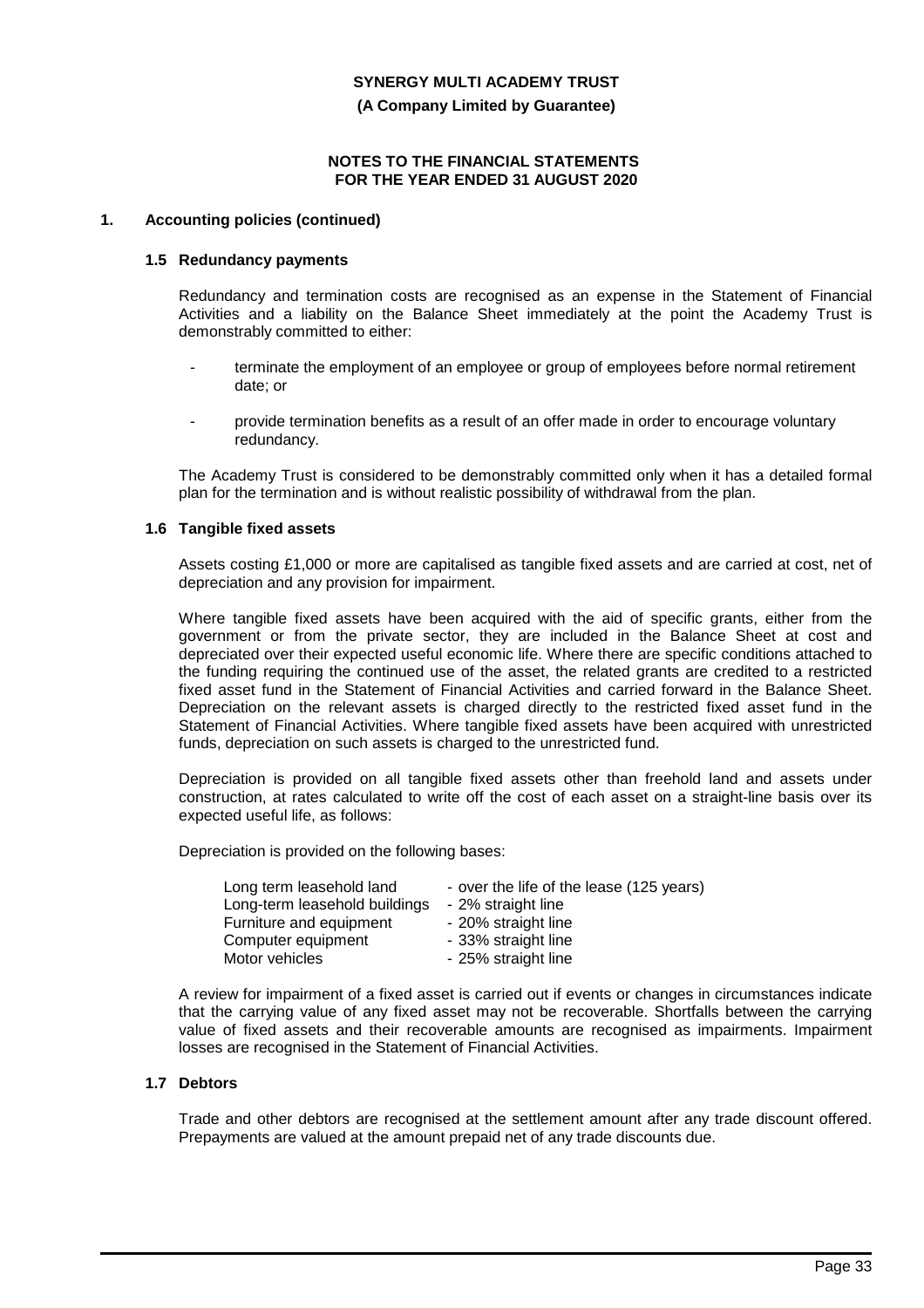**(A Company Limited by Guarantee)**

#### **NOTES TO THE FINANCIAL STATEMENTS FOR THE YEAR ENDED 31 AUGUST 2020**

#### **1. Accounting policies (continued)**

#### **1.5 Redundancy payments**

Redundancy and termination costs are recognised as an expense in the Statement of Financial Activities and a liability on the Balance Sheet immediately at the point the Academy Trust is demonstrably committed to either:

- terminate the employment of an employee or group of employees before normal retirement date; or
- provide termination benefits as a result of an offer made in order to encourage voluntary redundancy.

The Academy Trust is considered to be demonstrably committed only when it has a detailed formal plan for the termination and is without realistic possibility of withdrawal from the plan.

### **1.6 Tangible fixed assets**

Assets costing £1,000 or more are capitalised as tangible fixed assets and are carried at cost, net of depreciation and any provision for impairment.

Where tangible fixed assets have been acquired with the aid of specific grants, either from the government or from the private sector, they are included in the Balance Sheet at cost and depreciated over their expected useful economic life. Where there are specific conditions attached to the funding requiring the continued use of the asset, the related grants are credited to a restricted fixed asset fund in the Statement of Financial Activities and carried forward in the Balance Sheet. Depreciation on the relevant assets is charged directly to the restricted fixed asset fund in the Statement of Financial Activities. Where tangible fixed assets have been acquired with unrestricted funds, depreciation on such assets is charged to the unrestricted fund.

Depreciation is provided on all tangible fixed assets other than freehold land and assets under construction, at rates calculated to write off the cost of each asset on a straight-line basis over its expected useful life, as follows:

Depreciation is provided on the following bases:

| Long term leasehold land      | - over the life of the lease (125 years) |
|-------------------------------|------------------------------------------|
| Long-term leasehold buildings | - 2% straight line                       |
| Furniture and equipment       | - 20% straight line                      |
| Computer equipment            | - 33% straight line                      |
| Motor vehicles                | - 25% straight line                      |

A review for impairment of a fixed asset is carried out if events or changes in circumstances indicate that the carrying value of any fixed asset may not be recoverable. Shortfalls between the carrying value of fixed assets and their recoverable amounts are recognised as impairments. Impairment losses are recognised in the Statement of Financial Activities.

### **1.7 Debtors**

Trade and other debtors are recognised at the settlement amount after any trade discount offered. Prepayments are valued at the amount prepaid net of any trade discounts due.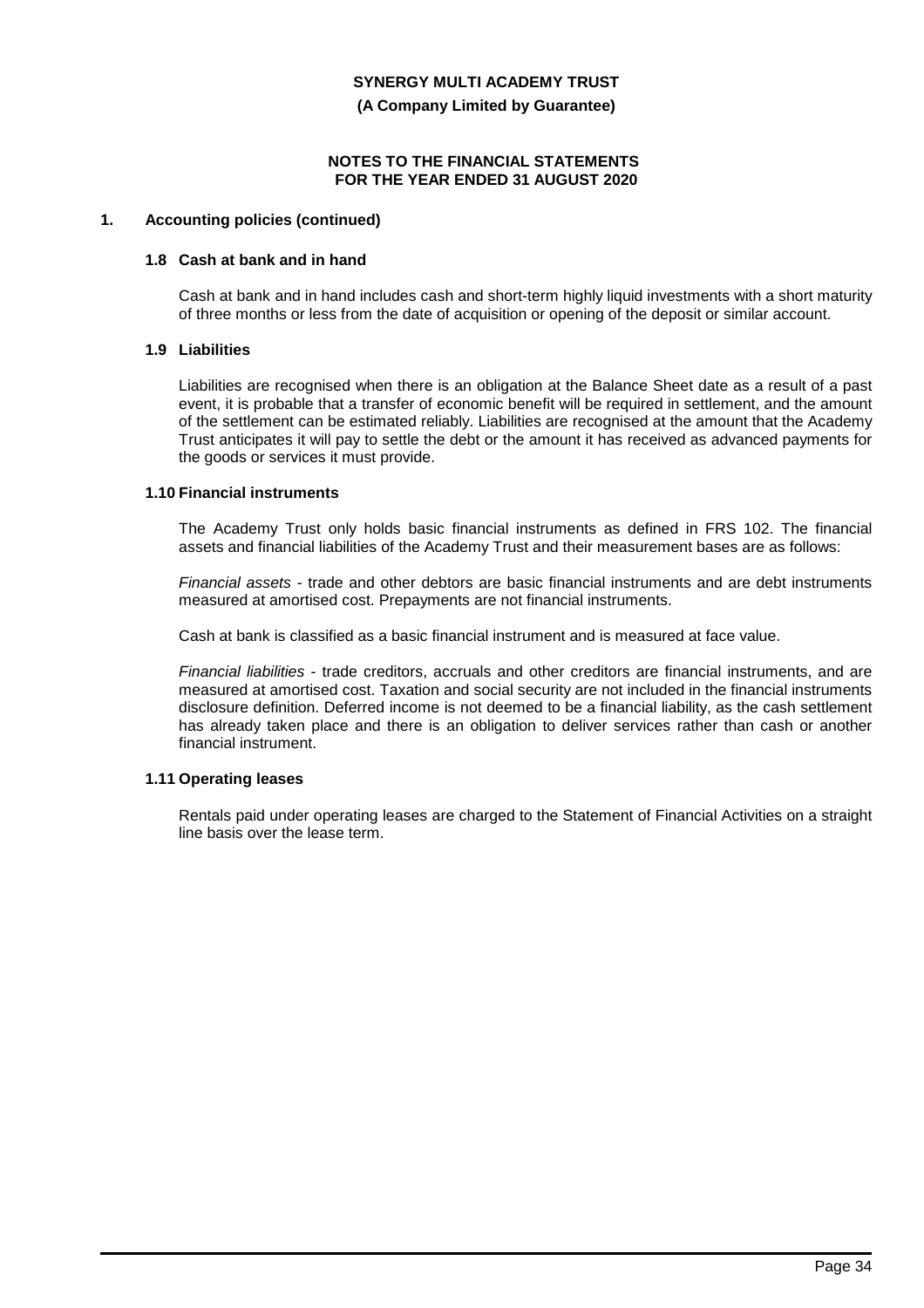**(A Company Limited by Guarantee)**

### **NOTES TO THE FINANCIAL STATEMENTS FOR THE YEAR ENDED 31 AUGUST 2020**

# **1. Accounting policies (continued)**

### **1.8 Cash at bank and in hand**

Cash at bank and in hand includes cash and short-term highly liquid investments with a short maturity of three months or less from the date of acquisition or opening of the deposit or similar account.

### **1.9 Liabilities**

Liabilities are recognised when there is an obligation at the Balance Sheet date as a result of a past event, it is probable that a transfer of economic benefit will be required in settlement, and the amount of the settlement can be estimated reliably. Liabilities are recognised at the amount that the Academy Trust anticipates it will pay to settle the debt or the amount it has received as advanced payments for the goods or services it must provide.

#### **1.10 Financial instruments**

The Academy Trust only holds basic financial instruments as defined in FRS 102. The financial assets and financial liabilities of the Academy Trust and their measurement bases are as follows:

*Financial assets* - trade and other debtors are basic financial instruments and are debt instruments measured at amortised cost. Prepayments are not financial instruments.

Cash at bank is classified as a basic financial instrument and is measured at face value.

*Financial liabilities* - trade creditors, accruals and other creditors are financial instruments, and are measured at amortised cost. Taxation and social security are not included in the financial instruments disclosure definition. Deferred income is not deemed to be a financial liability, as the cash settlement has already taken place and there is an obligation to deliver services rather than cash or another financial instrument.

### **1.11 Operating leases**

Rentals paid under operating leases are charged to the Statement of Financial Activities on a straight line basis over the lease term.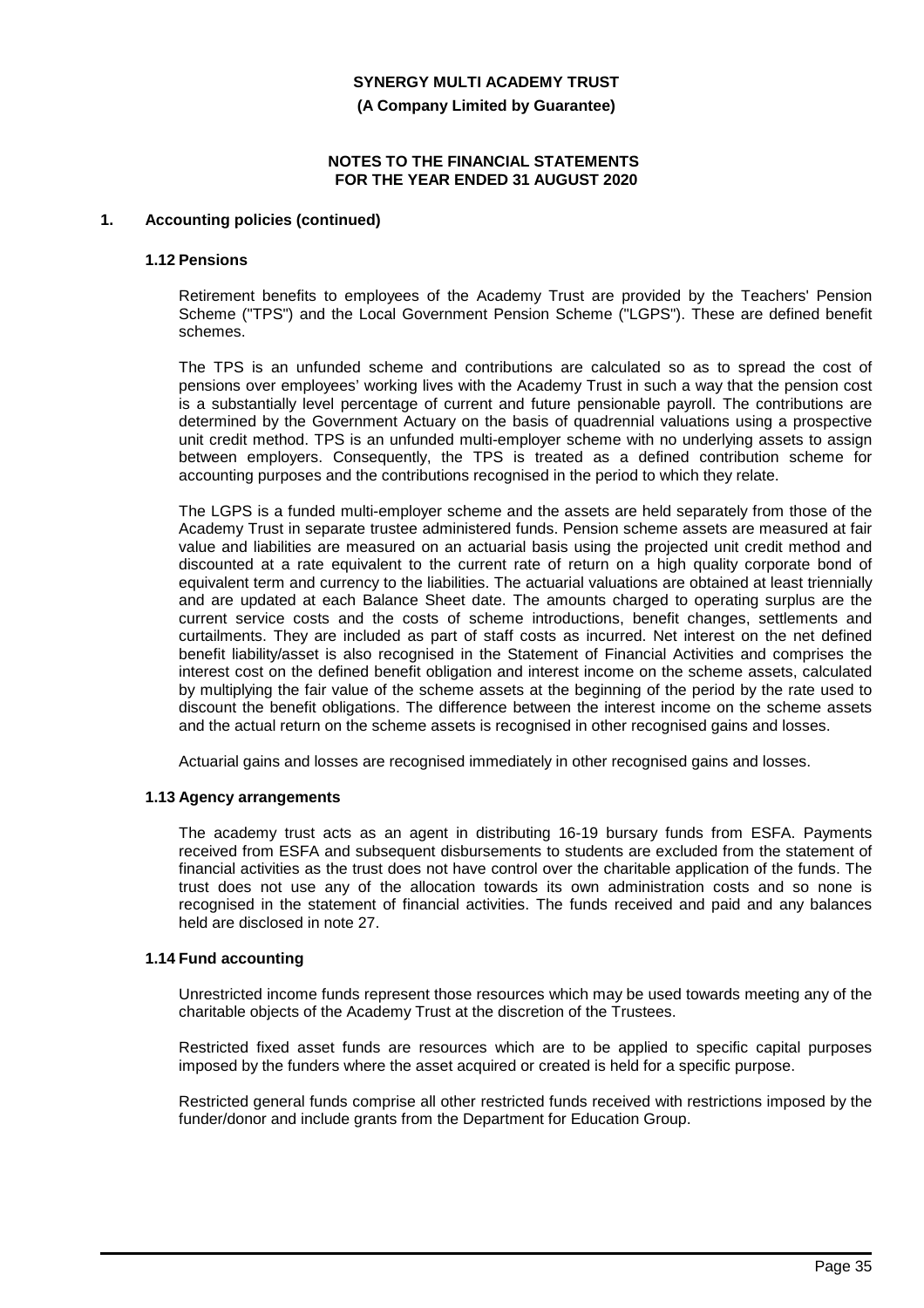**(A Company Limited by Guarantee)**

#### **NOTES TO THE FINANCIAL STATEMENTS FOR THE YEAR ENDED 31 AUGUST 2020**

### **1. Accounting policies (continued)**

#### **1.12 Pensions**

Retirement benefits to employees of the Academy Trust are provided by the Teachers' Pension Scheme ("TPS") and the Local Government Pension Scheme ("LGPS"). These are defined benefit schemes.

The TPS is an unfunded scheme and contributions are calculated so as to spread the cost of pensions over employees' working lives with the Academy Trust in such a way that the pension cost is a substantially level percentage of current and future pensionable payroll. The contributions are determined by the Government Actuary on the basis of quadrennial valuations using a prospective unit credit method. TPS is an unfunded multi-employer scheme with no underlying assets to assign between employers. Consequently, the TPS is treated as a defined contribution scheme for accounting purposes and the contributions recognised in the period to which they relate.

The LGPS is a funded multi-employer scheme and the assets are held separately from those of the Academy Trust in separate trustee administered funds. Pension scheme assets are measured at fair value and liabilities are measured on an actuarial basis using the projected unit credit method and discounted at a rate equivalent to the current rate of return on a high quality corporate bond of equivalent term and currency to the liabilities. The actuarial valuations are obtained at least triennially and are updated at each Balance Sheet date. The amounts charged to operating surplus are the current service costs and the costs of scheme introductions, benefit changes, settlements and curtailments. They are included as part of staff costs as incurred. Net interest on the net defined benefit liability/asset is also recognised in the Statement of Financial Activities and comprises the interest cost on the defined benefit obligation and interest income on the scheme assets, calculated by multiplying the fair value of the scheme assets at the beginning of the period by the rate used to discount the benefit obligations. The difference between the interest income on the scheme assets and the actual return on the scheme assets is recognised in other recognised gains and losses.

Actuarial gains and losses are recognised immediately in other recognised gains and losses.

#### **1.13 Agency arrangements**

The academy trust acts as an agent in distributing 16-19 bursary funds from ESFA. Payments received from ESFA and subsequent disbursements to students are excluded from the statement of financial activities as the trust does not have control over the charitable application of the funds. The trust does not use any of the allocation towards its own administration costs and so none is recognised in the statement of financial activities. The funds received and paid and any balances held are disclosed in note 27.

# **1.14 Fund accounting**

Unrestricted income funds represent those resources which may be used towards meeting any of the charitable objects of the Academy Trust at the discretion of the Trustees.

Restricted fixed asset funds are resources which are to be applied to specific capital purposes imposed by the funders where the asset acquired or created is held for a specific purpose.

Restricted general funds comprise all other restricted funds received with restrictions imposed by the funder/donor and include grants from the Department for Education Group.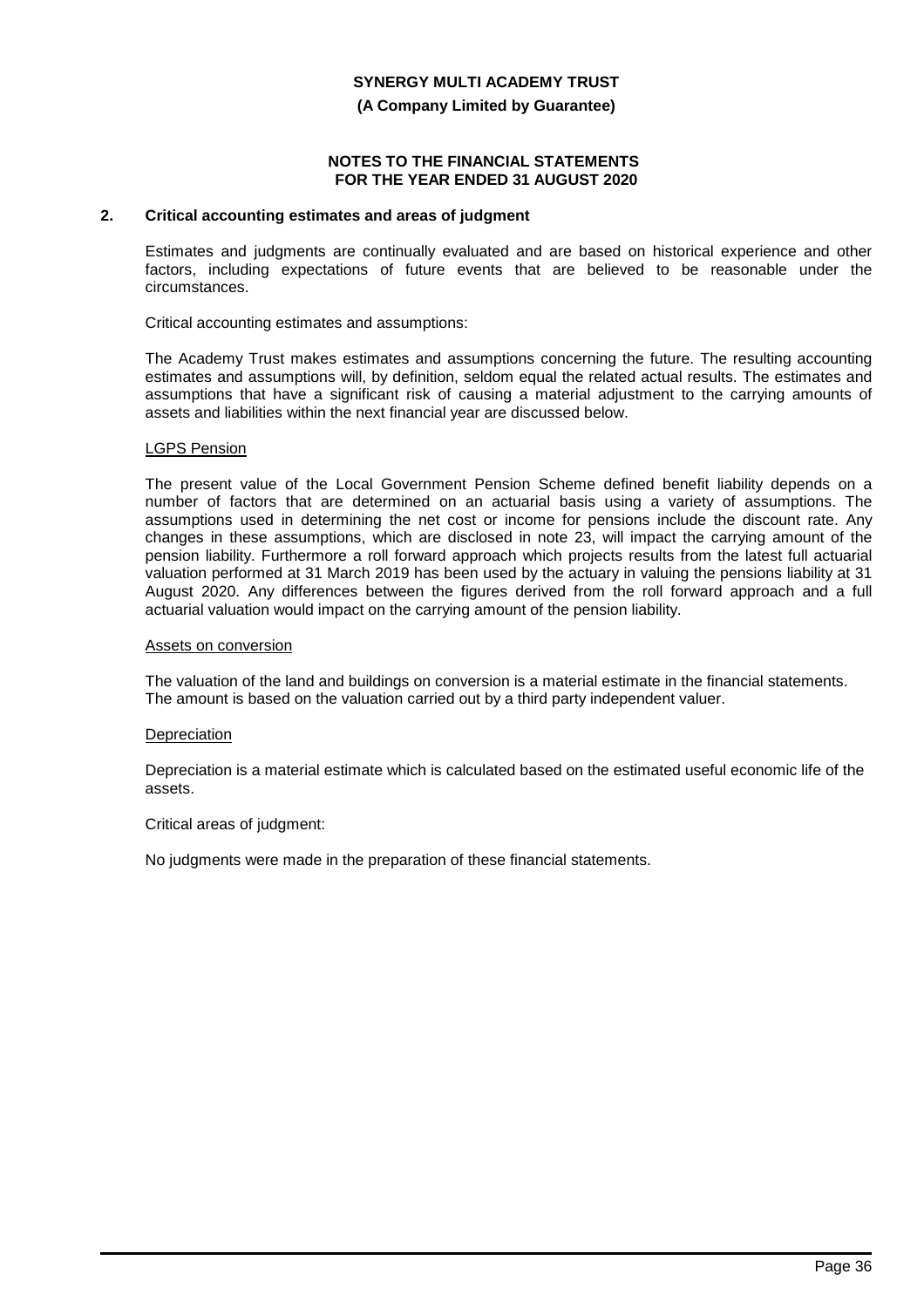#### **(A Company Limited by Guarantee)**

#### **NOTES TO THE FINANCIAL STATEMENTS FOR THE YEAR ENDED 31 AUGUST 2020**

### **2. Critical accounting estimates and areas of judgment**

Estimates and judgments are continually evaluated and are based on historical experience and other factors, including expectations of future events that are believed to be reasonable under the circumstances.

Critical accounting estimates and assumptions:

The Academy Trust makes estimates and assumptions concerning the future. The resulting accounting estimates and assumptions will, by definition, seldom equal the related actual results. The estimates and assumptions that have a significant risk of causing a material adjustment to the carrying amounts of assets and liabilities within the next financial year are discussed below.

#### LGPS Pension

The present value of the Local Government Pension Scheme defined benefit liability depends on a number of factors that are determined on an actuarial basis using a variety of assumptions. The assumptions used in determining the net cost or income for pensions include the discount rate. Any changes in these assumptions, which are disclosed in note 23, will impact the carrying amount of the pension liability. Furthermore a roll forward approach which projects results from the latest full actuarial valuation performed at 31 March 2019 has been used by the actuary in valuing the pensions liability at 31 August 2020. Any differences between the figures derived from the roll forward approach and a full actuarial valuation would impact on the carrying amount of the pension liability.

#### Assets on conversion

The valuation of the land and buildings on conversion is a material estimate in the financial statements. The amount is based on the valuation carried out by a third party independent valuer.

#### Depreciation

Depreciation is a material estimate which is calculated based on the estimated useful economic life of the assets.

Critical areas of judgment:

No judgments were made in the preparation of these financial statements.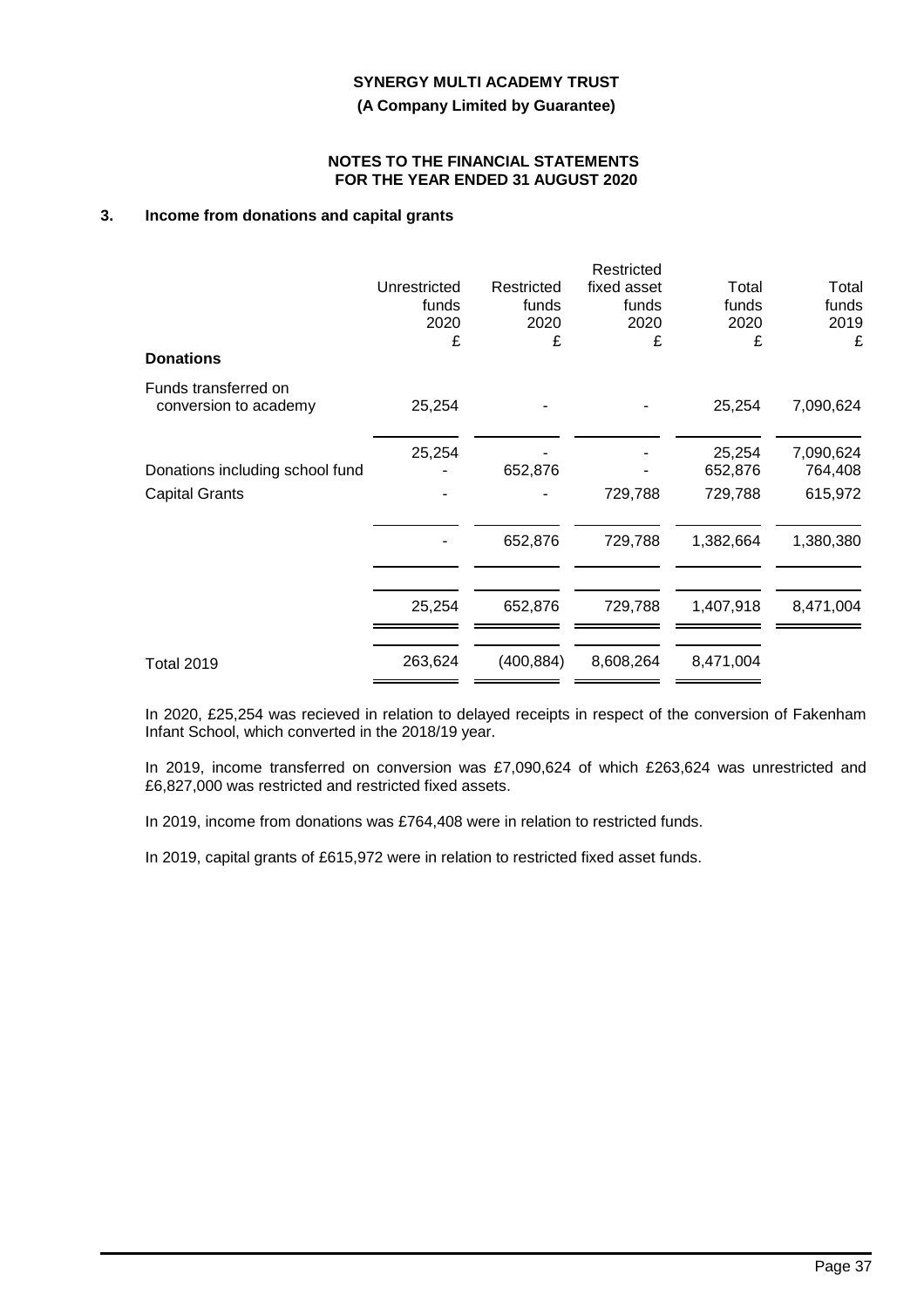**(A Company Limited by Guarantee)**

#### **NOTES TO THE FINANCIAL STATEMENTS FOR THE YEAR ENDED 31 AUGUST 2020**

# **3. Income from donations and capital grants**

|              |                    | Restricted         |                    |                    |
|--------------|--------------------|--------------------|--------------------|--------------------|
| Unrestricted | Restricted         | fixed asset        | Total              | Total              |
|              |                    |                    |                    | funds              |
|              |                    |                    |                    | 2019               |
|              |                    |                    |                    | £                  |
| 25,254       |                    |                    | 25,254             | 7,090,624          |
| 25,254       |                    |                    | 25,254             | 7,090,624          |
|              | 652,876            |                    | 652,876            | 764,408            |
|              |                    | 729,788            | 729,788            | 615,972            |
|              | 652,876            | 729,788            | 1,382,664          | 1,380,380          |
|              |                    |                    |                    |                    |
| 25,254       | 652,876            | 729,788            | 1,407,918          | 8,471,004          |
| 263,624      | (400, 884)         | 8,608,264          | 8,471,004          |                    |
|              | funds<br>2020<br>£ | funds<br>2020<br>£ | funds<br>2020<br>£ | funds<br>2020<br>£ |

In 2020, £25,254 was recieved in relation to delayed receipts in respect of the conversion of Fakenham Infant School, which converted in the 2018/19 year.

In 2019, income transferred on conversion was £7,090,624 of which £263,624 was unrestricted and £6,827,000 was restricted and restricted fixed assets.

In 2019, income from donations was £764,408 were in relation to restricted funds.

In 2019, capital grants of £615,972 were in relation to restricted fixed asset funds.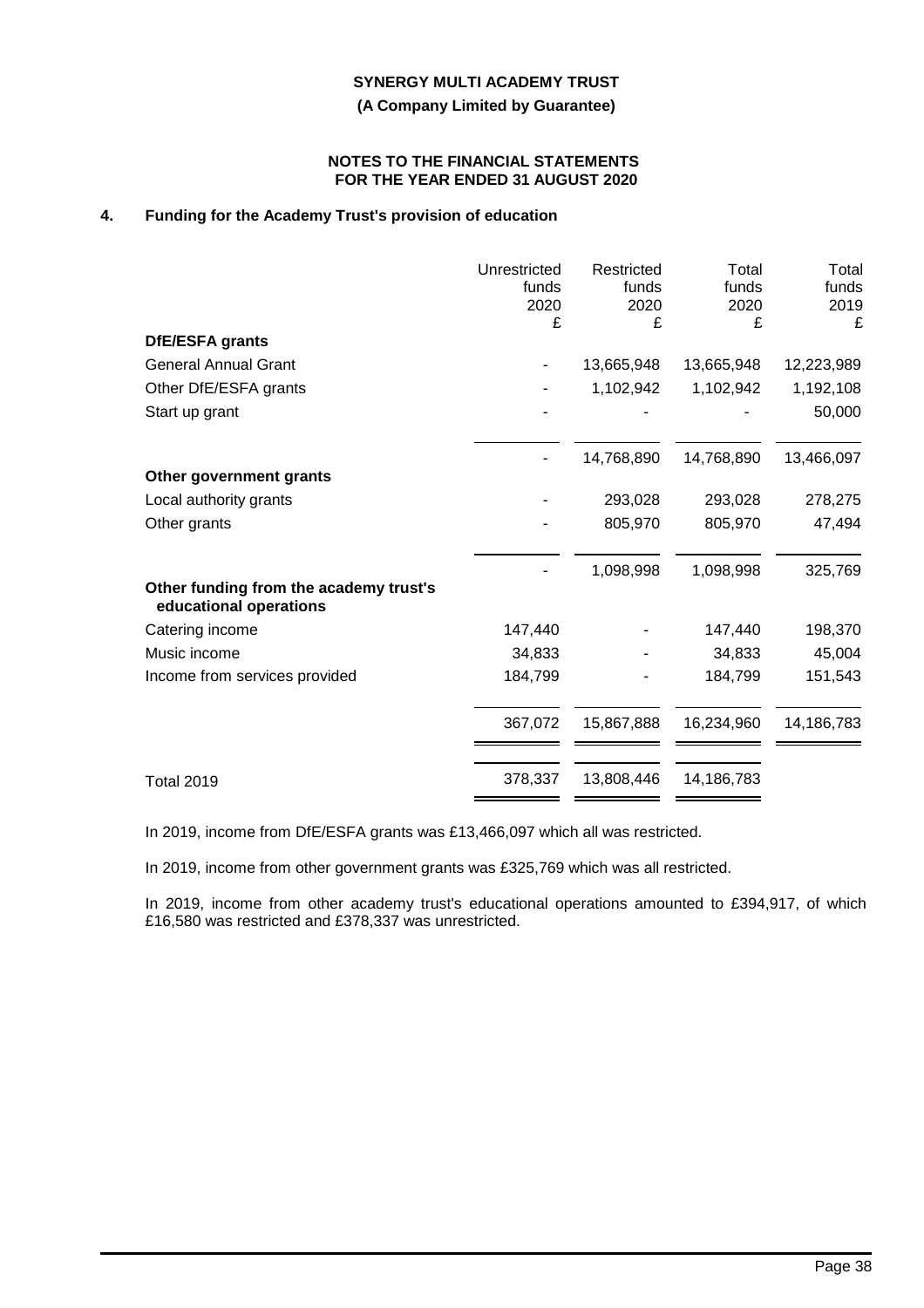**(A Company Limited by Guarantee)**

### **NOTES TO THE FINANCIAL STATEMENTS FOR THE YEAR ENDED 31 AUGUST 2020**

# **4. Funding for the Academy Trust's provision of education**

|                                                                  | Unrestricted<br>funds<br>2020<br>£ | Restricted<br>funds<br>2020<br>£ | Total<br>funds<br>2020<br>£ | Total<br>funds<br>2019<br>£ |
|------------------------------------------------------------------|------------------------------------|----------------------------------|-----------------------------|-----------------------------|
| DfE/ESFA grants                                                  |                                    |                                  |                             |                             |
| <b>General Annual Grant</b>                                      |                                    | 13,665,948                       | 13,665,948                  | 12,223,989                  |
| Other DfE/ESFA grants                                            |                                    | 1,102,942                        | 1,102,942                   | 1,192,108                   |
| Start up grant                                                   |                                    |                                  |                             | 50,000                      |
|                                                                  |                                    | 14,768,890                       | 14,768,890                  | 13,466,097                  |
| Other government grants                                          |                                    |                                  |                             |                             |
| Local authority grants                                           |                                    | 293,028                          | 293,028                     | 278,275                     |
| Other grants                                                     |                                    | 805,970                          | 805,970                     | 47,494                      |
|                                                                  |                                    | 1,098,998                        | 1,098,998                   | 325,769                     |
| Other funding from the academy trust's<br>educational operations |                                    |                                  |                             |                             |
| Catering income                                                  | 147,440                            |                                  | 147,440                     | 198,370                     |
| Music income                                                     | 34,833                             |                                  | 34,833                      | 45,004                      |
| Income from services provided                                    | 184,799                            |                                  | 184,799                     | 151,543                     |
|                                                                  | 367,072                            | 15,867,888                       | 16,234,960                  | 14,186,783                  |
| <b>Total 2019</b>                                                | 378,337                            | 13,808,446                       | 14,186,783                  |                             |

In 2019, income from DfE/ESFA grants was £13,466,097 which all was restricted.

In 2019, income from other government grants was £325,769 which was all restricted.

In 2019, income from other academy trust's educational operations amounted to £394,917, of which £16,580 was restricted and £378,337 was unrestricted.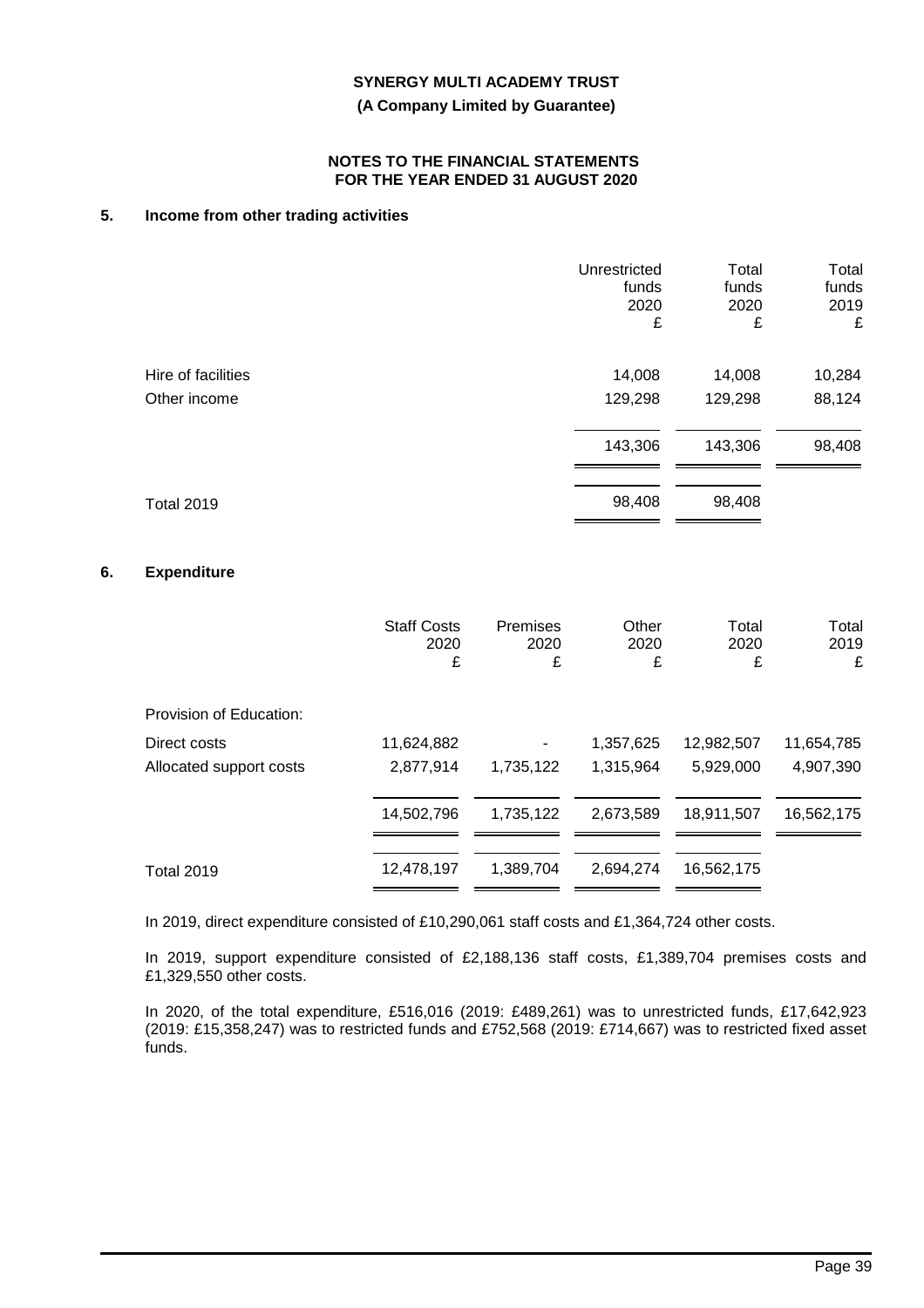**(A Company Limited by Guarantee)**

#### **NOTES TO THE FINANCIAL STATEMENTS FOR THE YEAR ENDED 31 AUGUST 2020**

# **5. Income from other trading activities**

|                    | Unrestricted<br>funds<br>2020<br>£ | Total<br>funds<br>2020<br>£ | Total<br>funds<br>2019<br>£ |
|--------------------|------------------------------------|-----------------------------|-----------------------------|
| Hire of facilities | 14,008                             | 14,008                      | 10,284                      |
| Other income       | 129,298                            | 129,298                     | 88,124                      |
|                    | 143,306                            | 143,306                     | 98,408                      |
| <b>Total 2019</b>  | 98,408                             | 98,408                      |                             |

### **6. Expenditure**

|                                         | <b>Staff Costs</b><br>2020<br>£ | <b>Premises</b><br>2020<br>£ | Other<br>2020<br>£     | Total<br>2020<br>£      | Total<br>2019<br>£      |
|-----------------------------------------|---------------------------------|------------------------------|------------------------|-------------------------|-------------------------|
| Provision of Education:                 |                                 |                              |                        |                         |                         |
| Direct costs<br>Allocated support costs | 11,624,882<br>2,877,914         | 1,735,122                    | 1,357,625<br>1,315,964 | 12,982,507<br>5,929,000 | 11,654,785<br>4,907,390 |
|                                         | 14,502,796                      | 1,735,122                    | 2,673,589              | 18,911,507              | 16,562,175              |
| <b>Total 2019</b>                       | 12,478,197                      | 1,389,704                    | 2.694.274              | 16,562,175              |                         |

In 2019, direct expenditure consisted of £10,290,061 staff costs and £1,364,724 other costs.

In 2019, support expenditure consisted of £2,188,136 staff costs, £1,389,704 premises costs and £1,329,550 other costs.

In 2020, of the total expenditure, £516,016 (2019: £489,261) was to unrestricted funds, £17,642,923 (2019: £15,358,247) was to restricted funds and £752,568 (2019: £714,667) was to restricted fixed asset funds.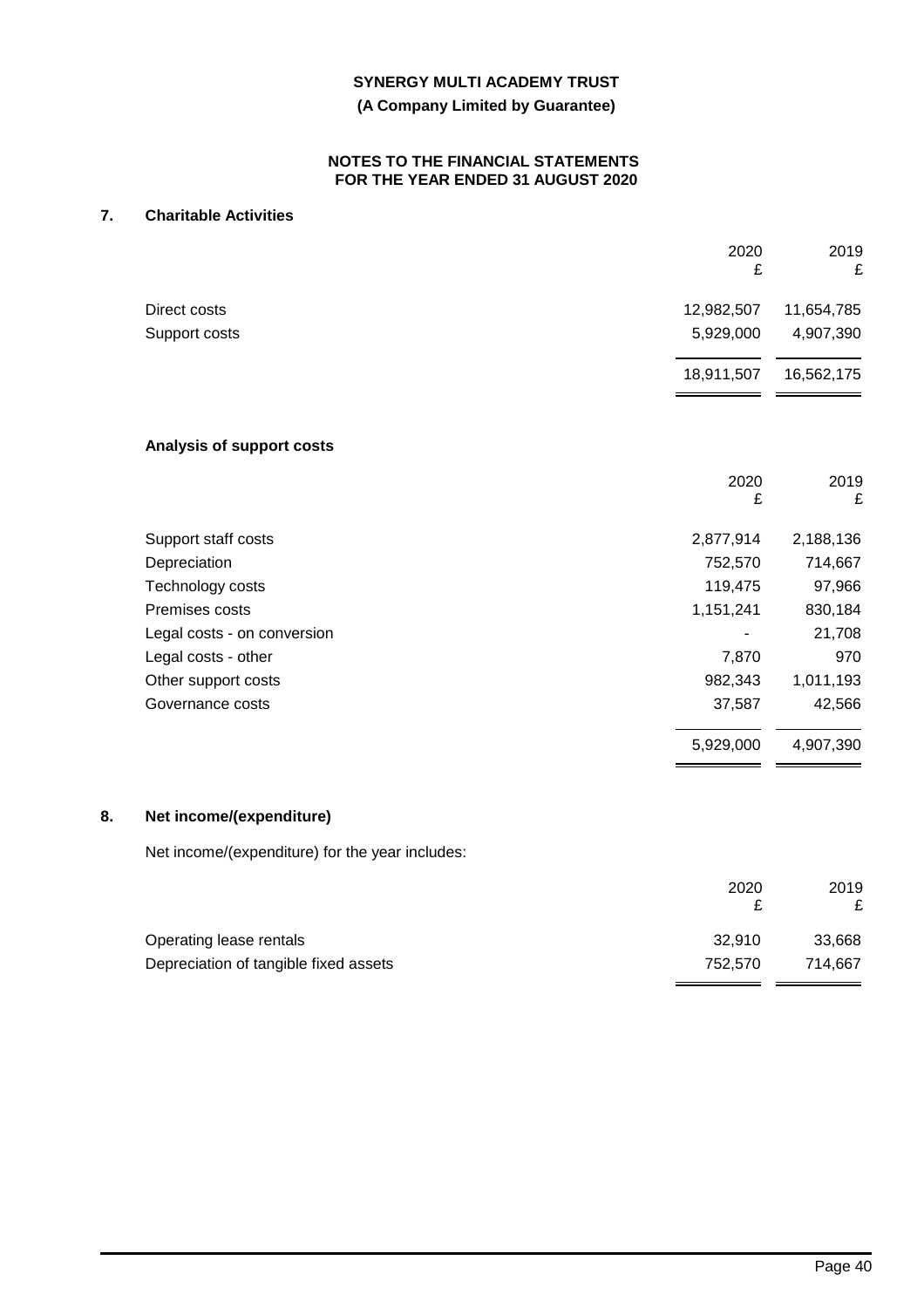### **(A Company Limited by Guarantee)**

#### **NOTES TO THE FINANCIAL STATEMENTS FOR THE YEAR ENDED 31 AUGUST 2020**

# **7. Charitable Activities**

|                             | 2020<br>£  | 2019<br>£  |
|-----------------------------|------------|------------|
| Direct costs                | 12,982,507 | 11,654,785 |
| Support costs               | 5,929,000  | 4,907,390  |
|                             | 18,911,507 | 16,562,175 |
| Analysis of support costs   |            |            |
|                             | 2020<br>£  | 2019<br>£  |
| Support staff costs         | 2,877,914  | 2,188,136  |
| Depreciation                | 752,570    | 714,667    |
| Technology costs            | 119,475    | 97,966     |
| Premises costs              | 1,151,241  | 830,184    |
| Legal costs - on conversion |            | 21,708     |
| Legal costs - other         | 7,870      | 970        |
| Other support costs         | 982,343    | 1,011,193  |
| Governance costs            | 37,587     | 42,566     |
|                             | 5,929,000  | 4,907,390  |

Net income/(expenditure) for the year includes:

|                                       | 2020    | 2019    |
|---------------------------------------|---------|---------|
|                                       |         | £       |
| Operating lease rentals               | 32.910  | 33,668  |
| Depreciation of tangible fixed assets | 752.570 | 714.667 |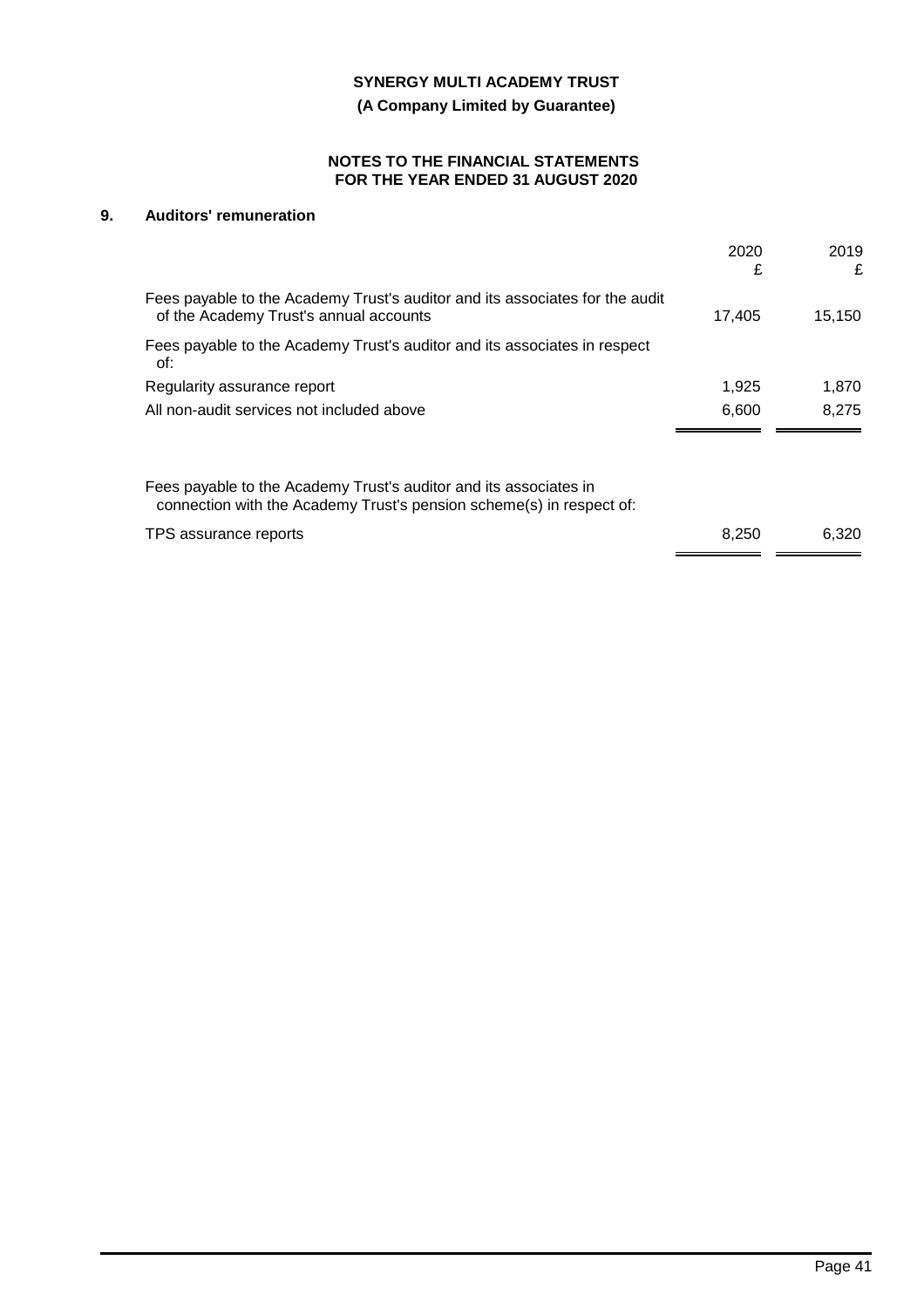**(A Company Limited by Guarantee)**

### **NOTES TO THE FINANCIAL STATEMENTS FOR THE YEAR ENDED 31 AUGUST 2020**

# **9. Auditors' remuneration**

|                                                                                                                                           | 2020<br>£ | 2019<br>£ |
|-------------------------------------------------------------------------------------------------------------------------------------------|-----------|-----------|
| Fees payable to the Academy Trust's auditor and its associates for the audit<br>of the Academy Trust's annual accounts                    | 17,405    | 15,150    |
| Fees payable to the Academy Trust's auditor and its associates in respect<br>of:                                                          |           |           |
| Regularity assurance report                                                                                                               | 1,925     | 1,870     |
| All non-audit services not included above                                                                                                 | 6,600     | 8.275     |
| Fees payable to the Academy Trust's auditor and its associates in<br>connection with the Academy Trust's pension scheme(s) in respect of: |           |           |
| TPS assurance reports                                                                                                                     | 8,250     | 6.320     |
|                                                                                                                                           |           |           |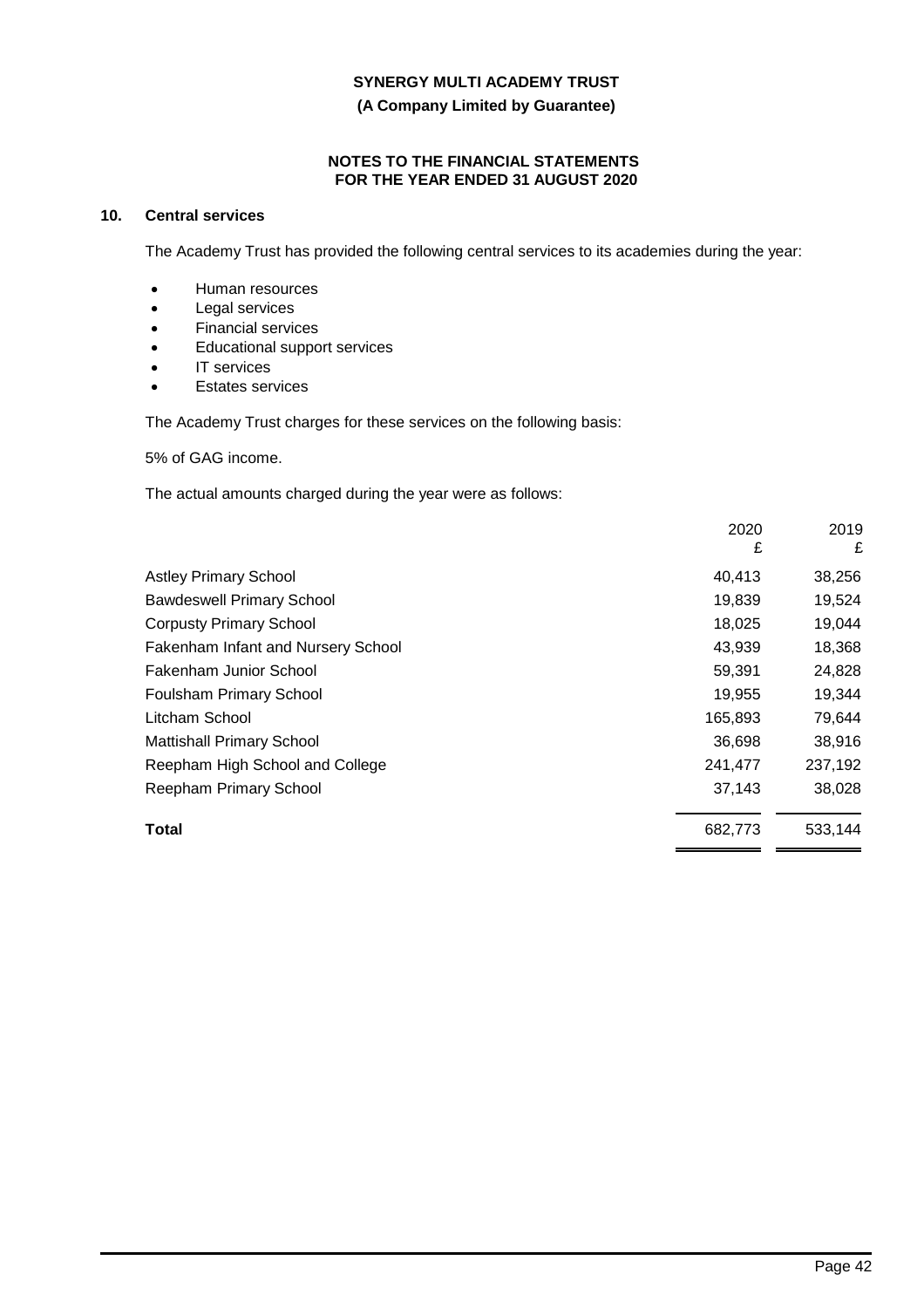**(A Company Limited by Guarantee)**

### **NOTES TO THE FINANCIAL STATEMENTS FOR THE YEAR ENDED 31 AUGUST 2020**

# **10. Central services**

The Academy Trust has provided the following central services to its academies during the year:

- Human resources
- Legal services
- Financial services
- Educational support services
- IT services
- **Estates services**

The Academy Trust charges for these services on the following basis:

5% of GAG income.

The actual amounts charged during the year were as follows:

|                                           | 2020<br>£ | 2019<br>£ |
|-------------------------------------------|-----------|-----------|
| <b>Astley Primary School</b>              | 40,413    | 38,256    |
| <b>Bawdeswell Primary School</b>          | 19,839    | 19,524    |
| <b>Corpusty Primary School</b>            | 18,025    | 19,044    |
| <b>Fakenham Infant and Nursery School</b> | 43,939    | 18,368    |
| Fakenham Junior School                    | 59,391    | 24,828    |
| <b>Foulsham Primary School</b>            | 19,955    | 19,344    |
| Litcham School                            | 165,893   | 79,644    |
| <b>Mattishall Primary School</b>          | 36,698    | 38,916    |
| Reepham High School and College           | 241,477   | 237,192   |
| Reepham Primary School                    | 37,143    | 38,028    |
| Total                                     | 682,773   | 533,144   |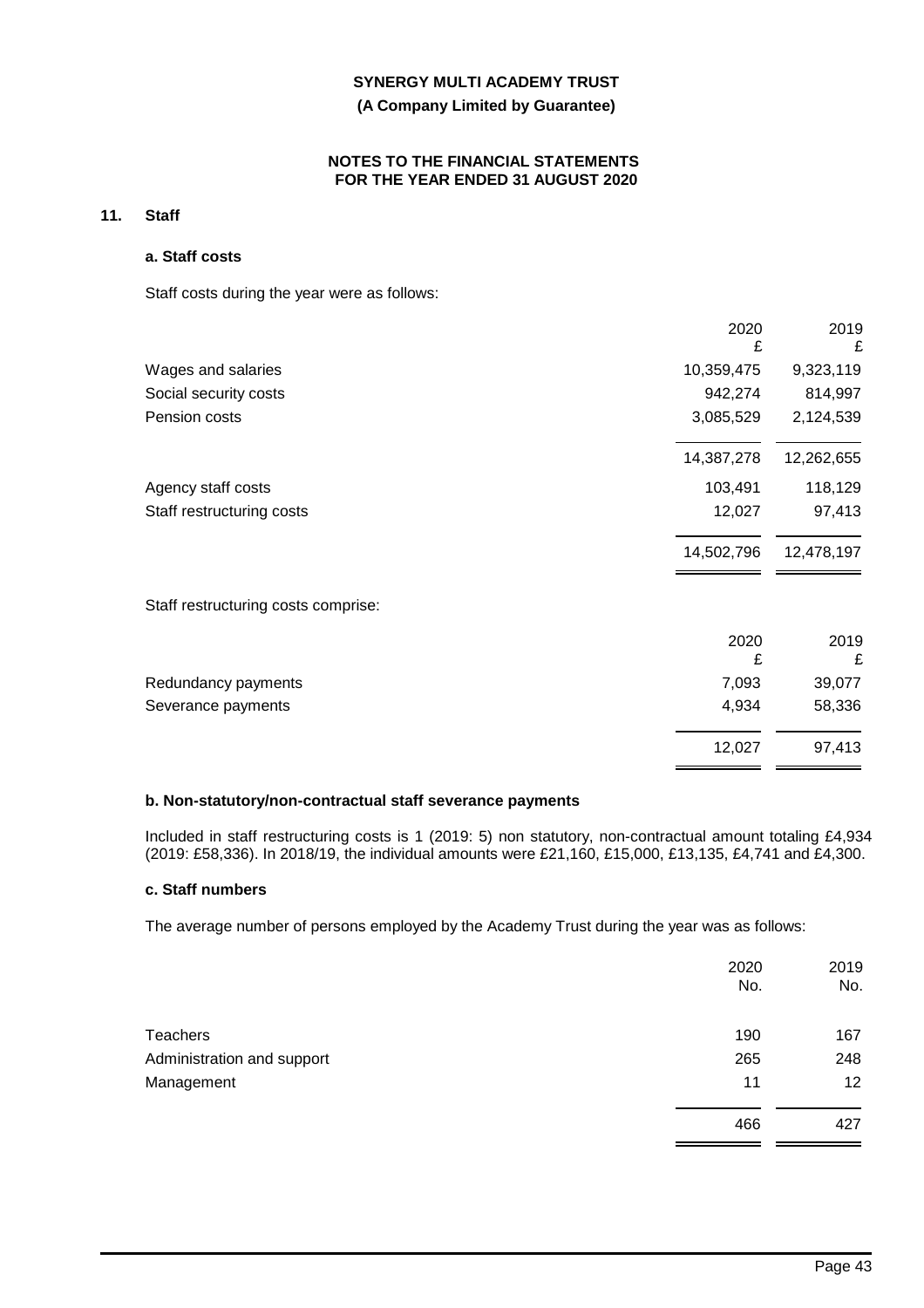## **(A Company Limited by Guarantee)**

### **NOTES TO THE FINANCIAL STATEMENTS FOR THE YEAR ENDED 31 AUGUST 2020**

# **11. Staff**

## **a. Staff costs**

Staff costs during the year were as follows:

|                                     | 2020<br>£  | 2019<br>£  |
|-------------------------------------|------------|------------|
| Wages and salaries                  | 10,359,475 | 9,323,119  |
| Social security costs               | 942,274    | 814,997    |
| Pension costs                       | 3,085,529  | 2,124,539  |
|                                     | 14,387,278 | 12,262,655 |
| Agency staff costs                  | 103,491    | 118,129    |
| Staff restructuring costs           | 12,027     | 97,413     |
|                                     | 14,502,796 | 12,478,197 |
| Staff restructuring costs comprise: |            |            |
|                                     | 2020<br>£  | 2019<br>£  |
| Redundancy payments                 | 7,093      | 39,077     |
| Severance payments                  | 4,934      | 58,336     |
|                                     | 12,027     | 97,413     |

### **b. Non-statutory/non-contractual staff severance payments**

Included in staff restructuring costs is 1 (2019: 5) non statutory, non-contractual amount totaling £4,934 (2019: £58,336). In 2018/19, the individual amounts were £21,160, £15,000, £13,135, £4,741 and £4,300.

# **c. Staff numbers**

The average number of persons employed by the Academy Trust during the year was as follows:

|                            | 2020<br>No. | 2019<br>No. |
|----------------------------|-------------|-------------|
| Teachers                   | 190         | 167         |
| Administration and support | 265         | 248         |
| Management                 | 11          | 12          |
|                            | 466         | 427         |
|                            |             |             |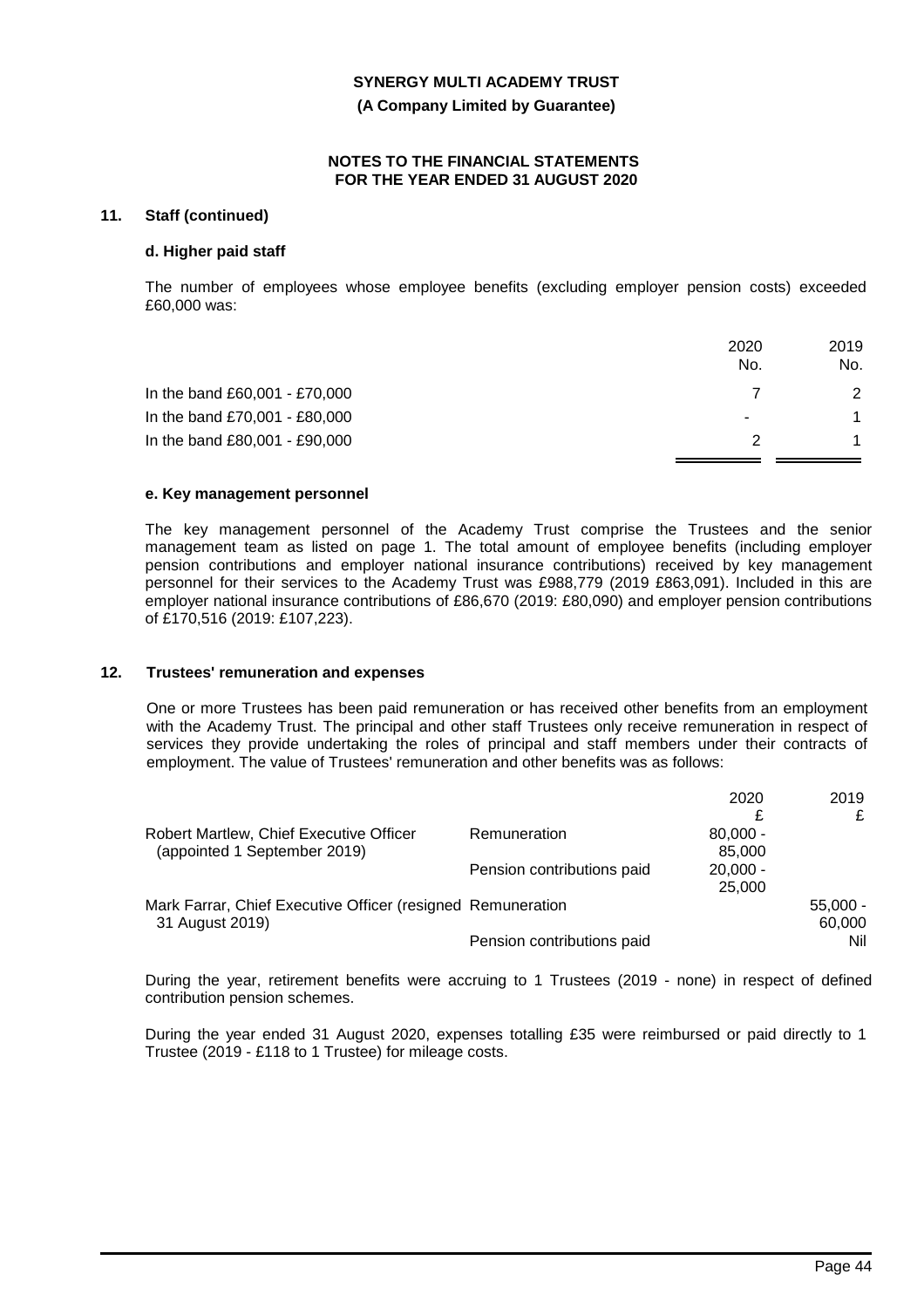**(A Company Limited by Guarantee)**

#### **NOTES TO THE FINANCIAL STATEMENTS FOR THE YEAR ENDED 31 AUGUST 2020**

### **11. Staff (continued)**

#### **d. Higher paid staff**

The number of employees whose employee benefits (excluding employer pension costs) exceeded £60,000 was:

|                               | 2020                  | 2019          |
|-------------------------------|-----------------------|---------------|
|                               | No.                   | No.           |
| In the band £60,001 - £70,000 |                       | $\mathcal{P}$ |
| In the band £70,001 - £80,000 | $\tilde{\phantom{a}}$ |               |
| In the band £80,001 - £90,000 |                       |               |
|                               |                       |               |

#### **e. Key management personnel**

The key management personnel of the Academy Trust comprise the Trustees and the senior management team as listed on page 1. The total amount of employee benefits (including employer pension contributions and employer national insurance contributions) received by key management personnel for their services to the Academy Trust was £988,779 (2019 £863,091). Included in this are employer national insurance contributions of £86,670 (2019: £80,090) and employer pension contributions of £170,516 (2019: £107,223).

### **12. Trustees' remuneration and expenses**

One or more Trustees has been paid remuneration or has received other benefits from an employment with the Academy Trust. The principal and other staff Trustees only receive remuneration in respect of services they provide undertaking the roles of principal and staff members under their contracts of employment. The value of Trustees' remuneration and other benefits was as follows:

|                                                             |                            | 2020       | 2019       |
|-------------------------------------------------------------|----------------------------|------------|------------|
|                                                             |                            |            | £          |
| Robert Martlew, Chief Executive Officer                     | Remuneration               | $80,000 -$ |            |
| (appointed 1 September 2019)                                |                            | 85,000     |            |
|                                                             | Pension contributions paid | $20,000 -$ |            |
|                                                             |                            | 25,000     |            |
| Mark Farrar, Chief Executive Officer (resigned Remuneration |                            |            | $55,000 -$ |
| 31 August 2019)                                             |                            |            | 60,000     |
|                                                             | Pension contributions paid |            | Nil        |

During the year, retirement benefits were accruing to 1 Trustees (2019 - none) in respect of defined contribution pension schemes.

During the year ended 31 August 2020, expenses totalling £35 were reimbursed or paid directly to 1 Trustee (2019 - £118 to 1 Trustee) for mileage costs.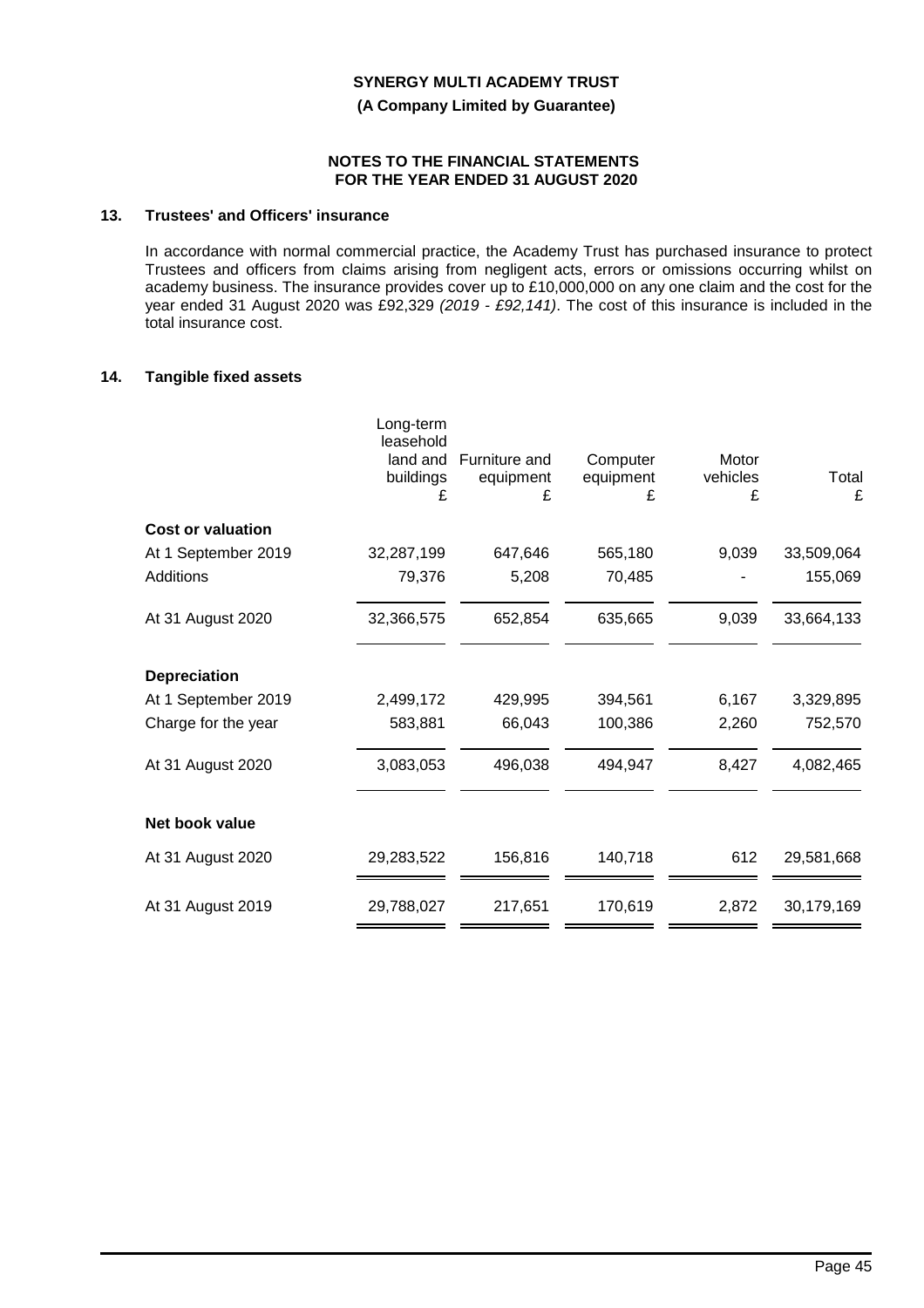**(A Company Limited by Guarantee)**

#### **NOTES TO THE FINANCIAL STATEMENTS FOR THE YEAR ENDED 31 AUGUST 2020**

# **13. Trustees' and Officers' insurance**

In accordance with normal commercial practice, the Academy Trust has purchased insurance to protect Trustees and officers from claims arising from negligent acts, errors or omissions occurring whilst on academy business. The insurance provides cover up to £10,000,000 on any one claim and the cost for the year ended 31 August 2020 was £92,329 *(2019 - £92,141)*. The cost of this insurance is included in the total insurance cost.

### **14. Tangible fixed assets**

|                          | Long-term<br>leasehold<br>land and<br>buildings<br>£ | Furniture and<br>equipment<br>£ | Computer<br>equipment<br>£ | Motor<br>vehicles<br>£ | Total<br>£ |
|--------------------------|------------------------------------------------------|---------------------------------|----------------------------|------------------------|------------|
| <b>Cost or valuation</b> |                                                      |                                 |                            |                        |            |
| At 1 September 2019      | 32,287,199                                           | 647,646                         | 565,180                    | 9,039                  | 33,509,064 |
| Additions                | 79,376                                               | 5,208                           | 70,485                     |                        | 155,069    |
| At 31 August 2020        | 32,366,575                                           | 652,854                         | 635,665                    | 9,039                  | 33,664,133 |
| <b>Depreciation</b>      |                                                      |                                 |                            |                        |            |
| At 1 September 2019      | 2,499,172                                            | 429,995                         | 394,561                    | 6,167                  | 3,329,895  |
| Charge for the year      | 583,881                                              | 66,043                          | 100,386                    | 2,260                  | 752,570    |
| At 31 August 2020        | 3,083,053                                            | 496,038                         | 494,947                    | 8,427                  | 4,082,465  |
| Net book value           |                                                      |                                 |                            |                        |            |
| At 31 August 2020        | 29,283,522                                           | 156,816                         | 140,718                    | 612                    | 29,581,668 |
| At 31 August 2019        | 29,788,027                                           | 217,651                         | 170,619                    | 2,872                  | 30,179,169 |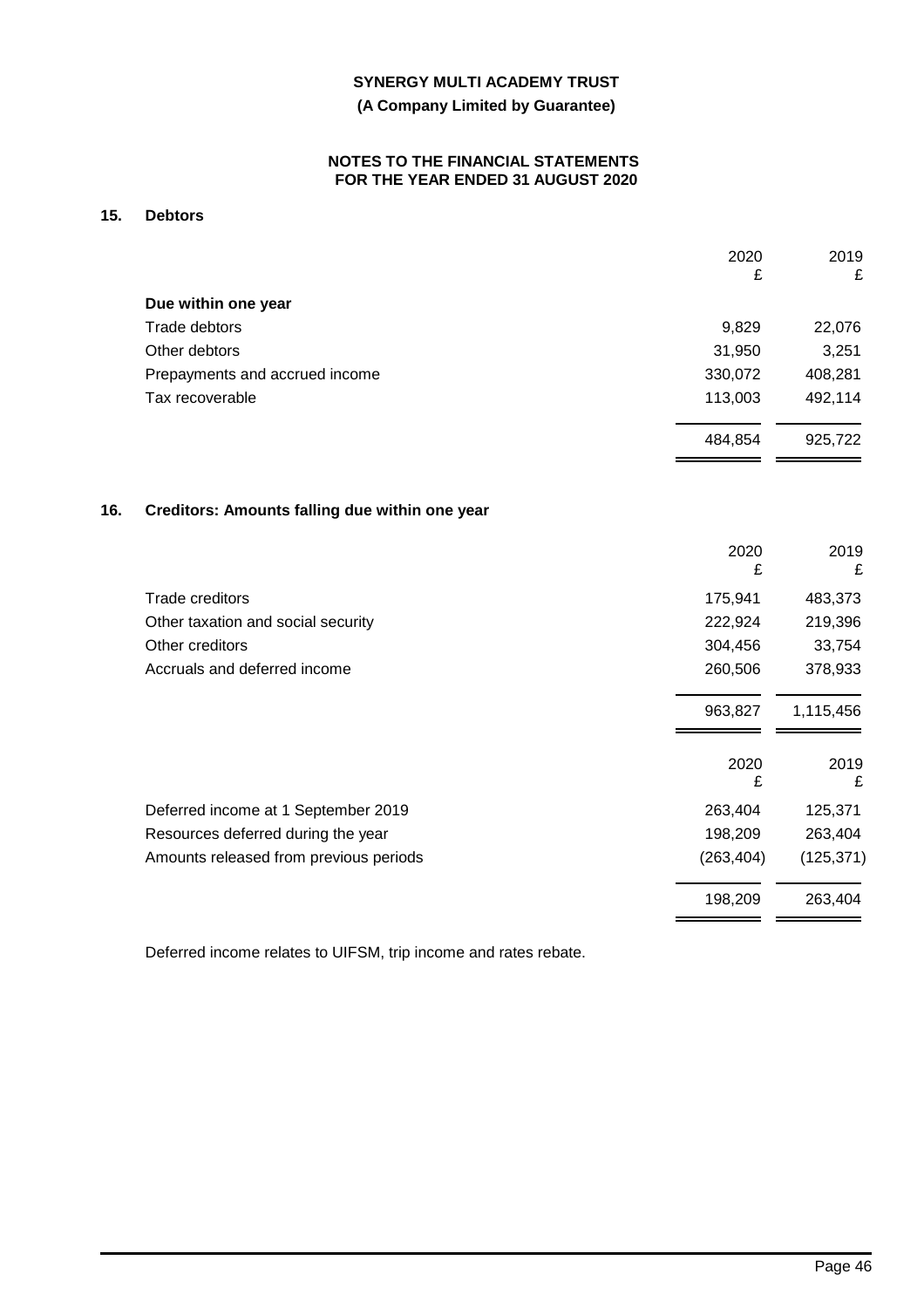## **(A Company Limited by Guarantee)**

### **NOTES TO THE FINANCIAL STATEMENTS FOR THE YEAR ENDED 31 AUGUST 2020**

# **15. Debtors**

|                                | 2020<br>£ | 2019<br>£ |
|--------------------------------|-----------|-----------|
| Due within one year            |           |           |
| Trade debtors                  | 9,829     | 22,076    |
| Other debtors                  | 31,950    | 3,251     |
| Prepayments and accrued income | 330,072   | 408,281   |
| Tax recoverable                | 113,003   | 492,114   |
|                                | 484,854   | 925,722   |
|                                |           |           |

# **16. Creditors: Amounts falling due within one year**

|                                        | 2020<br>£  | 2019<br>£  |
|----------------------------------------|------------|------------|
| Trade creditors                        | 175,941    | 483,373    |
| Other taxation and social security     | 222,924    | 219,396    |
| Other creditors                        | 304,456    | 33,754     |
| Accruals and deferred income           | 260,506    | 378,933    |
|                                        | 963,827    | 1,115,456  |
|                                        | 2020<br>£  | 2019<br>£  |
| Deferred income at 1 September 2019    | 263,404    | 125,371    |
| Resources deferred during the year     | 198,209    | 263,404    |
| Amounts released from previous periods | (263, 404) | (125, 371) |
|                                        | 198,209    | 263,404    |

Deferred income relates to UIFSM, trip income and rates rebate.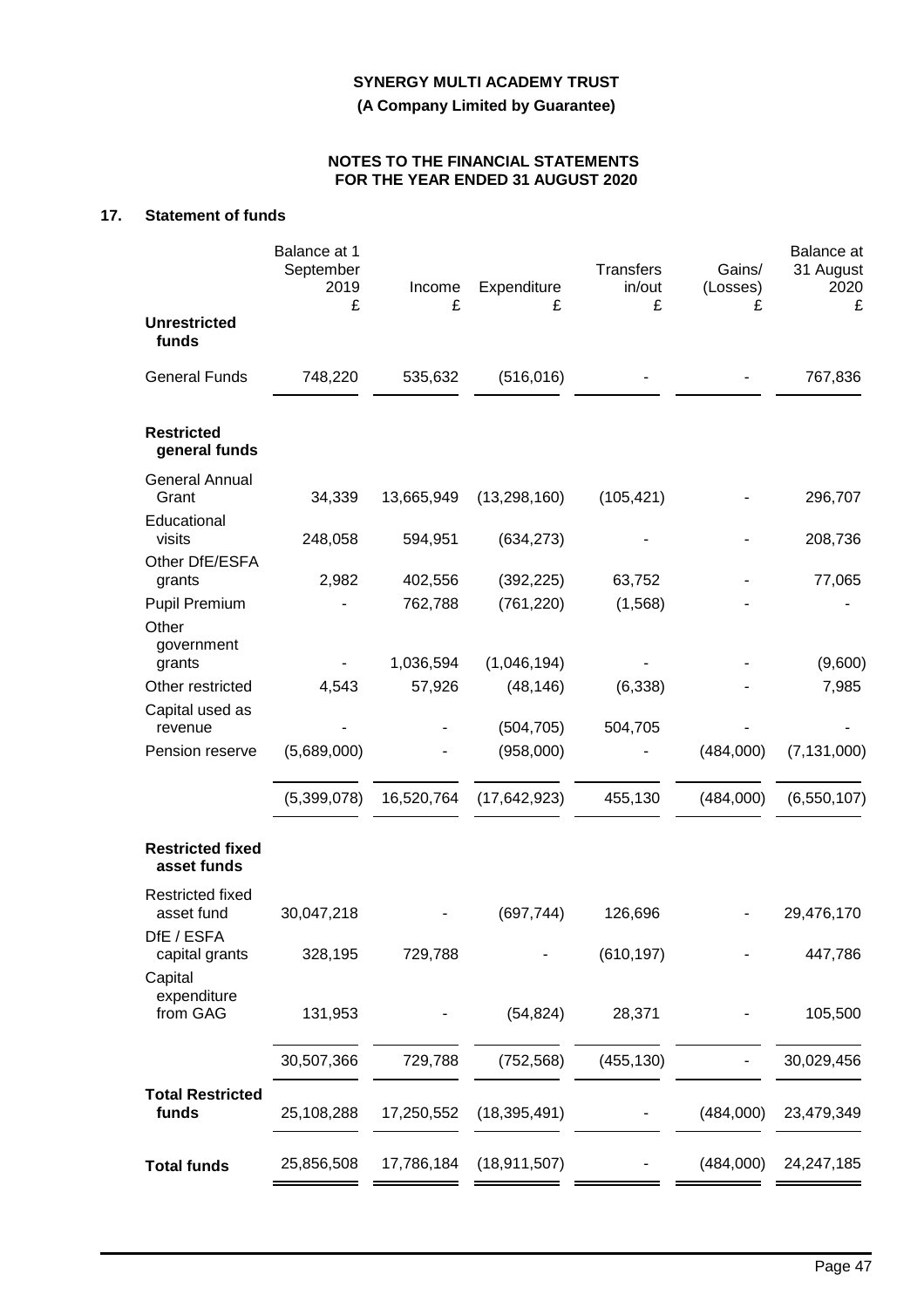**(A Company Limited by Guarantee)**

# **NOTES TO THE FINANCIAL STATEMENTS FOR THE YEAR ENDED 31 AUGUST 2020**

# **17. Statement of funds**

|                                         | Balance at 1<br>September<br>2019<br>£ | Income<br>£ | Expenditure<br>£ | <b>Transfers</b><br>in/out<br>£ | Gains/<br>(Losses)<br>£ | Balance at<br>31 August<br>2020<br>£ |
|-----------------------------------------|----------------------------------------|-------------|------------------|---------------------------------|-------------------------|--------------------------------------|
| <b>Unrestricted</b><br>funds            |                                        |             |                  |                                 |                         |                                      |
| <b>General Funds</b>                    | 748,220                                | 535,632     | (516, 016)       |                                 |                         | 767,836                              |
| <b>Restricted</b><br>general funds      |                                        |             |                  |                                 |                         |                                      |
| <b>General Annual</b><br>Grant          | 34,339                                 | 13,665,949  | (13, 298, 160)   | (105, 421)                      |                         | 296,707                              |
| Educational<br>visits                   | 248,058                                | 594,951     | (634, 273)       |                                 |                         | 208,736                              |
| Other DfE/ESFA<br>grants                | 2,982                                  | 402,556     | (392, 225)       | 63,752                          |                         | 77,065                               |
| <b>Pupil Premium</b><br>Other           |                                        | 762,788     | (761, 220)       | (1,568)                         |                         |                                      |
| government<br>grants                    |                                        | 1,036,594   | (1,046,194)      |                                 |                         | (9,600)                              |
| Other restricted                        | 4,543                                  | 57,926      | (48, 146)        | (6,338)                         |                         | 7,985                                |
| Capital used as<br>revenue              |                                        |             | (504, 705)       | 504,705                         |                         |                                      |
| Pension reserve                         | (5,689,000)                            |             | (958,000)        |                                 | (484,000)               | (7, 131, 000)                        |
|                                         | (5,399,078)                            | 16,520,764  | (17, 642, 923)   | 455,130                         | (484,000)               | (6,550,107)                          |
| <b>Restricted fixed</b><br>asset funds  |                                        |             |                  |                                 |                         |                                      |
| <b>Restricted fixed</b><br>asset fund   | 30,047,218                             |             | (697, 744)       | 126,696                         |                         | 29,476,170                           |
| DfE / ESFA<br>capital grants<br>Capital | 328,195                                | 729,788     |                  | (610, 197)                      |                         | 447,786                              |
| expenditure<br>from GAG                 | 131,953                                |             | (54, 824)        | 28,371                          |                         | 105,500                              |
|                                         | 30,507,366                             | 729,788     | (752, 568)       | (455, 130)                      |                         | 30,029,456                           |
| <b>Total Restricted</b><br>funds        | 25,108,288                             | 17,250,552  | (18, 395, 491)   |                                 | (484,000)               | 23,479,349                           |
| <b>Total funds</b>                      | 25,856,508                             | 17,786,184  | (18, 911, 507)   |                                 | (484,000)               | 24,247,185                           |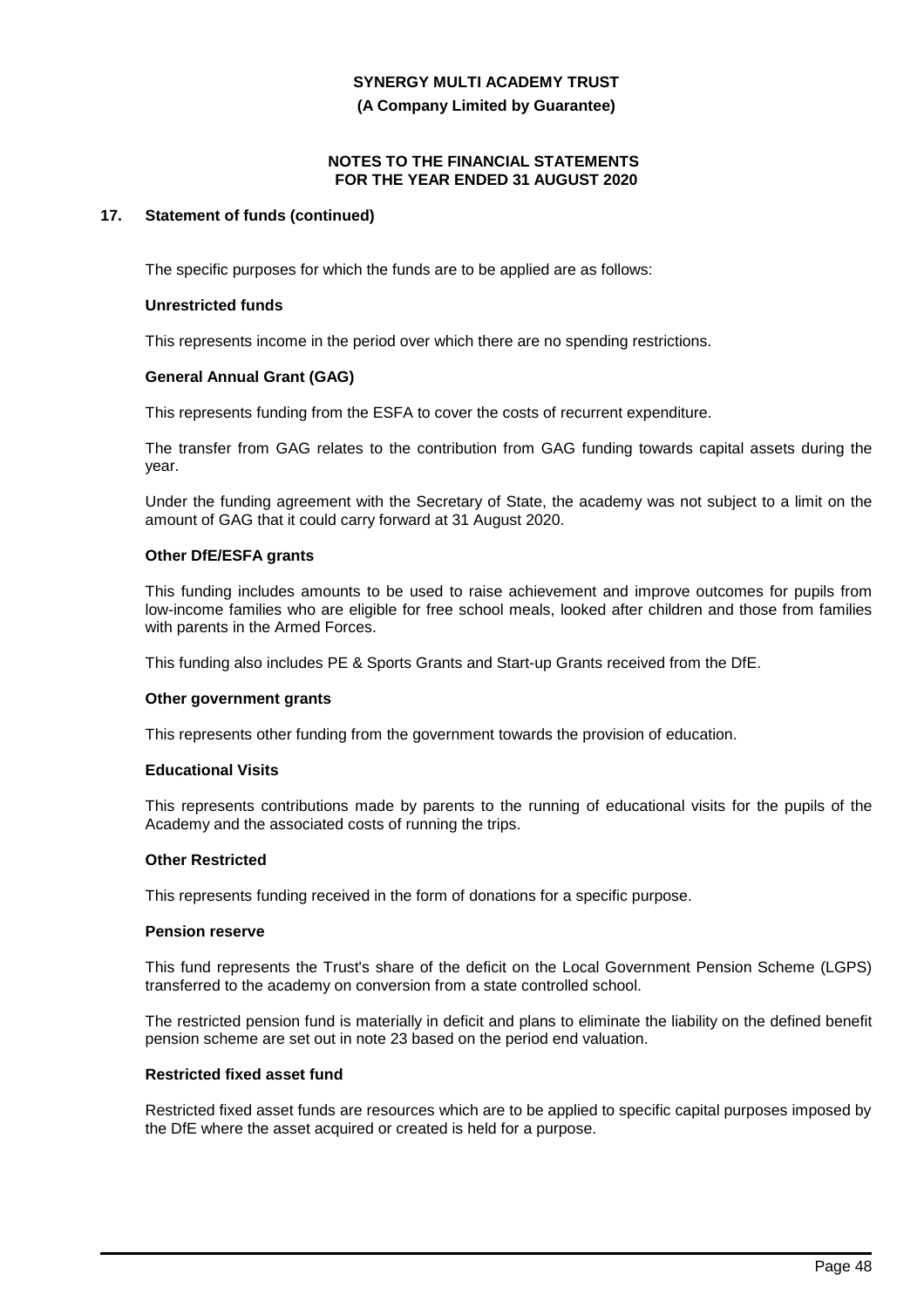**(A Company Limited by Guarantee)**

### **NOTES TO THE FINANCIAL STATEMENTS FOR THE YEAR ENDED 31 AUGUST 2020**

### **17. Statement of funds (continued)**

The specific purposes for which the funds are to be applied are as follows:

#### **Unrestricted funds**

This represents income in the period over which there are no spending restrictions.

### **General Annual Grant (GAG)**

This represents funding from the ESFA to cover the costs of recurrent expenditure.

The transfer from GAG relates to the contribution from GAG funding towards capital assets during the year.

Under the funding agreement with the Secretary of State, the academy was not subject to a limit on the amount of GAG that it could carry forward at 31 August 2020.

### **Other DfE/ESFA grants**

This funding includes amounts to be used to raise achievement and improve outcomes for pupils from low-income families who are eligible for free school meals, looked after children and those from families with parents in the Armed Forces.

This funding also includes PE & Sports Grants and Start-up Grants received from the DfE.

#### **Other government grants**

This represents other funding from the government towards the provision of education.

#### **Educational Visits**

This represents contributions made by parents to the running of educational visits for the pupils of the Academy and the associated costs of running the trips.

#### **Other Restricted**

This represents funding received in the form of donations for a specific purpose.

#### **Pension reserve**

This fund represents the Trust's share of the deficit on the Local Government Pension Scheme (LGPS) transferred to the academy on conversion from a state controlled school.

The restricted pension fund is materially in deficit and plans to eliminate the liability on the defined benefit pension scheme are set out in note 23 based on the period end valuation.

#### **Restricted fixed asset fund**

Restricted fixed asset funds are resources which are to be applied to specific capital purposes imposed by the DfE where the asset acquired or created is held for a purpose.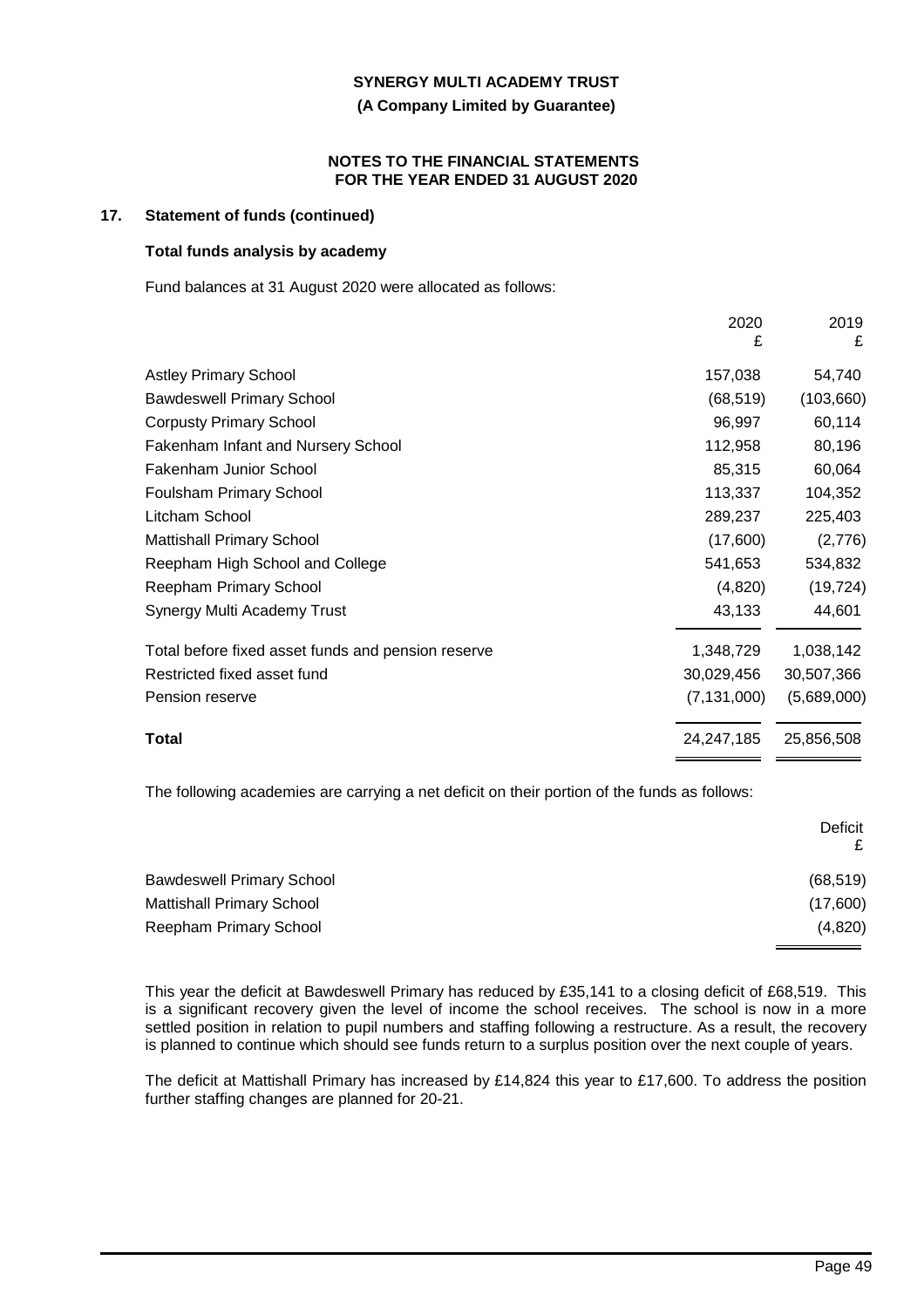**(A Company Limited by Guarantee)**

#### **NOTES TO THE FINANCIAL STATEMENTS FOR THE YEAR ENDED 31 AUGUST 2020**

### **17. Statement of funds (continued)**

### **Total funds analysis by academy**

Fund balances at 31 August 2020 were allocated as follows:

|                                                    | 2020<br>£     | 2019<br>£   |
|----------------------------------------------------|---------------|-------------|
| <b>Astley Primary School</b>                       | 157,038       | 54,740      |
| <b>Bawdeswell Primary School</b>                   | (68, 519)     | (103, 660)  |
| <b>Corpusty Primary School</b>                     | 96,997        | 60,114      |
| Fakenham Infant and Nursery School                 | 112,958       | 80,196      |
| <b>Fakenham Junior School</b>                      | 85,315        | 60,064      |
| Foulsham Primary School                            | 113,337       | 104,352     |
| Litcham School                                     | 289,237       | 225,403     |
| <b>Mattishall Primary School</b>                   | (17,600)      | (2,776)     |
| Reepham High School and College                    | 541,653       | 534,832     |
| Reepham Primary School                             | (4,820)       | (19, 724)   |
| Synergy Multi Academy Trust                        | 43,133        | 44,601      |
| Total before fixed asset funds and pension reserve | 1,348,729     | 1,038,142   |
| Restricted fixed asset fund                        | 30,029,456    | 30,507,366  |
| Pension reserve                                    | (7, 131, 000) | (5,689,000) |
| Total                                              | 24,247,185    | 25,856,508  |

The following academies are carrying a net deficit on their portion of the funds as follows:

|                                  | Deficit   |
|----------------------------------|-----------|
| <b>Bawdeswell Primary School</b> | (68, 519) |
| <b>Mattishall Primary School</b> | (17,600)  |
| Reepham Primary School           | (4,820)   |

This year the deficit at Bawdeswell Primary has reduced by £35,141 to a closing deficit of £68,519. This is a significant recovery given the level of income the school receives. The school is now in a more settled position in relation to pupil numbers and staffing following a restructure. As a result, the recovery is planned to continue which should see funds return to a surplus position over the next couple of years.

The deficit at Mattishall Primary has increased by £14,824 this year to £17,600. To address the position further staffing changes are planned for 20-21.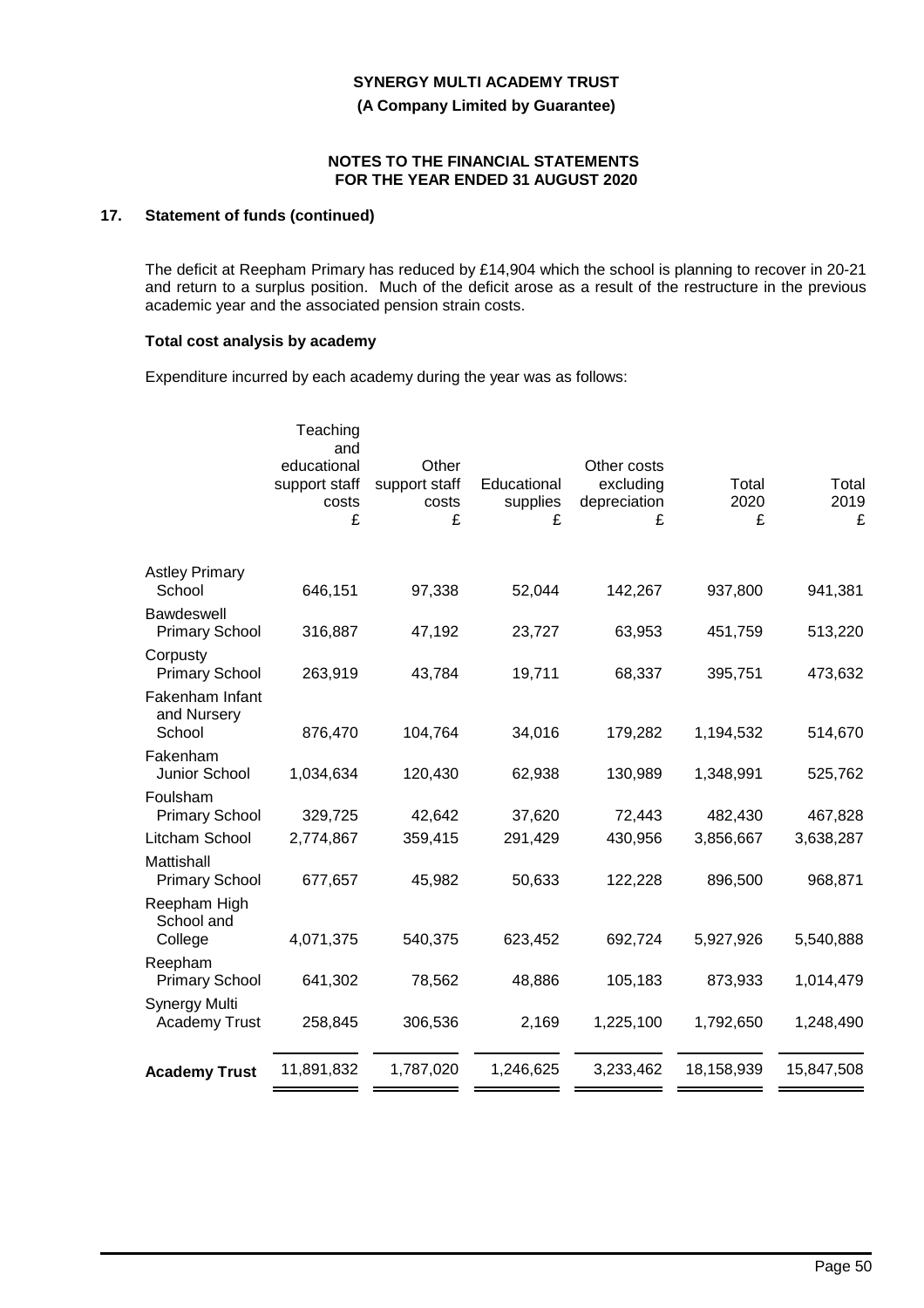**(A Company Limited by Guarantee)**

### **NOTES TO THE FINANCIAL STATEMENTS FOR THE YEAR ENDED 31 AUGUST 2020**

# **17. Statement of funds (continued)**

The deficit at Reepham Primary has reduced by £14,904 which the school is planning to recover in 20-21 and return to a surplus position. Much of the deficit arose as a result of the restructure in the previous academic year and the associated pension strain costs.

### **Total cost analysis by academy**

Expenditure incurred by each academy during the year was as follows:

|                                              | Teaching<br>and<br>educational<br>support staff<br>costs<br>£ | Other<br>support staff<br>costs<br>£ | Educational<br>supplies<br>£ | Other costs<br>excluding<br>depreciation<br>£ | Total<br>2020<br>£ | Total<br>2019<br>£ |
|----------------------------------------------|---------------------------------------------------------------|--------------------------------------|------------------------------|-----------------------------------------------|--------------------|--------------------|
| <b>Astley Primary</b><br>School              | 646,151                                                       | 97,338                               | 52,044                       | 142,267                                       | 937,800            | 941,381            |
| Bawdeswell<br><b>Primary School</b>          | 316,887                                                       | 47,192                               | 23,727                       | 63,953                                        | 451,759            | 513,220            |
| Corpusty<br><b>Primary School</b>            | 263,919                                                       | 43,784                               | 19,711                       | 68,337                                        | 395,751            | 473,632            |
| Fakenham Infant<br>and Nursery<br>School     | 876,470                                                       | 104,764                              | 34,016                       | 179,282                                       | 1,194,532          | 514,670            |
| Fakenham<br>Junior School                    | 1,034,634                                                     | 120,430                              | 62,938                       | 130,989                                       | 1,348,991          | 525,762            |
| Foulsham<br><b>Primary School</b>            | 329,725                                                       | 42,642                               | 37,620                       | 72,443                                        | 482,430            | 467,828            |
| Litcham School                               | 2,774,867                                                     | 359,415                              | 291,429                      | 430,956                                       | 3,856,667          | 3,638,287          |
| Mattishall<br><b>Primary School</b>          | 677,657                                                       | 45,982                               | 50,633                       | 122,228                                       | 896,500            | 968,871            |
| Reepham High<br>School and                   |                                                               |                                      |                              |                                               |                    |                    |
| College                                      | 4,071,375                                                     | 540,375                              | 623,452                      | 692,724                                       | 5,927,926          | 5,540,888          |
| Reepham<br><b>Primary School</b>             | 641,302                                                       | 78,562                               | 48,886                       | 105,183                                       | 873,933            | 1,014,479          |
| <b>Synergy Multi</b><br><b>Academy Trust</b> | 258,845                                                       | 306,536                              | 2,169                        | 1,225,100                                     | 1,792,650          | 1,248,490          |
| <b>Academy Trust</b>                         | 11,891,832                                                    | 1,787,020                            | 1,246,625                    | 3,233,462                                     | 18,158,939         | 15,847,508         |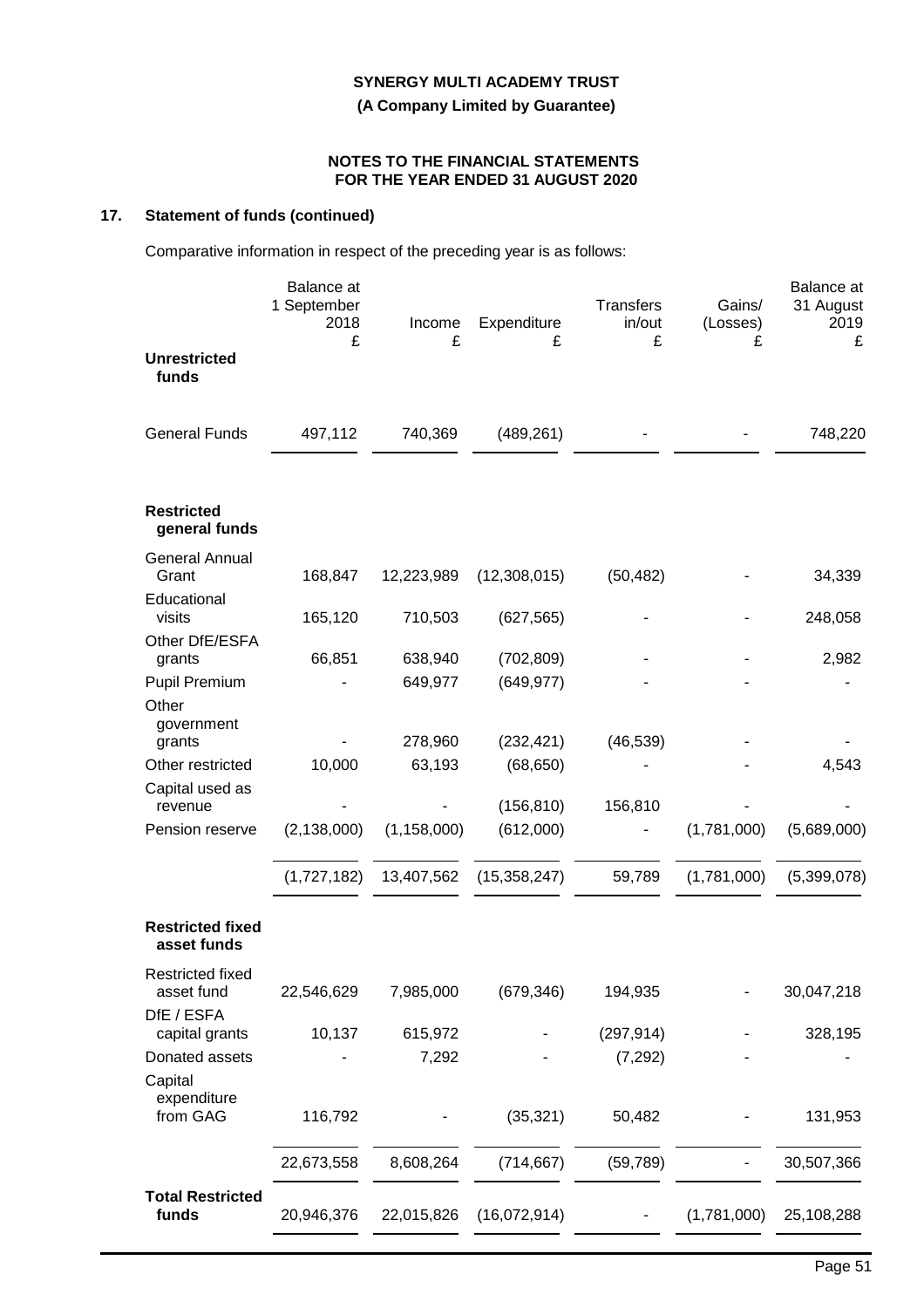**(A Company Limited by Guarantee)**

### **NOTES TO THE FINANCIAL STATEMENTS FOR THE YEAR ENDED 31 AUGUST 2020**

# **17. Statement of funds (continued)**

Comparative information in respect of the preceding year is as follows:

|                                              | Balance at<br>1 September<br>2018<br>£ | Income<br>£   | Expenditure<br>£ | <b>Transfers</b><br>in/out<br>£ | Gains/<br>(Losses)<br>£ | Balance at<br>31 August<br>2019<br>£ |
|----------------------------------------------|----------------------------------------|---------------|------------------|---------------------------------|-------------------------|--------------------------------------|
| <b>Unrestricted</b><br>funds                 |                                        |               |                  |                                 |                         |                                      |
| <b>General Funds</b>                         | 497,112                                | 740,369       | (489, 261)       |                                 |                         | 748,220                              |
| <b>Restricted</b><br>general funds           |                                        |               |                  |                                 |                         |                                      |
| <b>General Annual</b><br>Grant               | 168,847                                | 12,223,989    | (12,308,015)     | (50, 482)                       |                         | 34,339                               |
| Educational<br>visits                        | 165,120                                | 710,503       | (627, 565)       |                                 |                         | 248,058                              |
| Other DfE/ESFA<br>grants                     | 66,851                                 | 638,940       | (702, 809)       |                                 |                         | 2,982                                |
| <b>Pupil Premium</b><br>Other                |                                        | 649,977       | (649, 977)       |                                 |                         |                                      |
| government<br>grants                         |                                        | 278,960       | (232, 421)       | (46, 539)                       |                         |                                      |
| Other restricted<br>Capital used as          | 10,000                                 | 63,193        | (68, 650)        |                                 |                         | 4,543                                |
| revenue                                      |                                        |               | (156, 810)       | 156,810                         |                         |                                      |
| Pension reserve                              | (2, 138, 000)                          | (1, 158, 000) | (612,000)        |                                 | (1,781,000)             | (5,689,000)                          |
|                                              | (1,727,182)                            | 13,407,562    | (15, 358, 247)   | 59,789                          | (1,781,000)             | (5,399,078)                          |
| <b>Restricted fixed</b><br>asset funds       |                                        |               |                  |                                 |                         |                                      |
| Restricted fixed<br>asset fund<br>DfE / ESFA | 22,546,629                             | 7,985,000     | (679, 346)       | 194,935                         |                         | 30,047,218                           |
| capital grants                               | 10,137                                 | 615,972       |                  | (297, 914)                      |                         | 328,195                              |
| Donated assets<br>Capital<br>expenditure     |                                        | 7,292         |                  | (7, 292)                        |                         |                                      |
| from GAG                                     | 116,792                                |               | (35, 321)        | 50,482                          |                         | 131,953                              |
|                                              | 22,673,558                             | 8,608,264     | (714, 667)       | (59, 789)                       |                         | 30,507,366                           |
| <b>Total Restricted</b><br>funds             | 20,946,376                             | 22,015,826    | (16,072,914)     |                                 | (1,781,000)             | 25,108,288                           |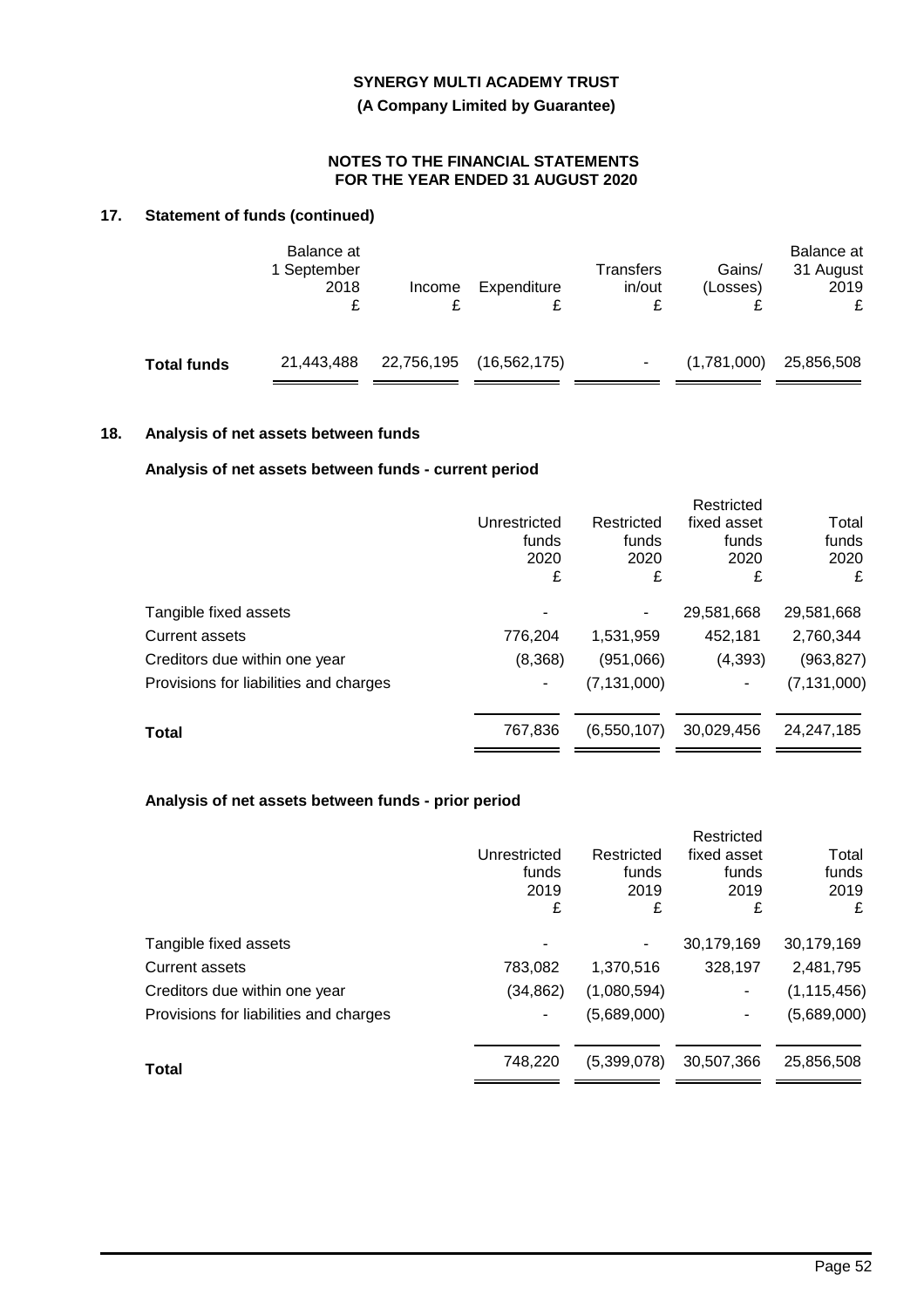**(A Company Limited by Guarantee)**

### **NOTES TO THE FINANCIAL STATEMENTS FOR THE YEAR ENDED 31 AUGUST 2020**

# **17. Statement of funds (continued)**

|                    | Balance at<br>1 September<br>2018 | Income     | Expenditure    | Transfers<br>in/out | Gains/<br>(Losses) | Balance at<br>31 August<br>2019<br>£ |
|--------------------|-----------------------------------|------------|----------------|---------------------|--------------------|--------------------------------------|
| <b>Total funds</b> | 21,443,488                        | 22,756,195 | (16, 562, 175) |                     | (1,781,000)        | 25,856,508                           |

# **18. Analysis of net assets between funds**

# **Analysis of net assets between funds - current period**

|                                        |              |               | Restricted               |               |
|----------------------------------------|--------------|---------------|--------------------------|---------------|
|                                        | Unrestricted | Restricted    | fixed asset              | Total         |
|                                        | funds        | funds         | funds                    | funds         |
|                                        | 2020         | 2020          | 2020                     | 2020          |
|                                        | £            | £             | £                        | £             |
| Tangible fixed assets                  |              | -             | 29,581,668               | 29,581,668    |
| <b>Current assets</b>                  | 776,204      | 1,531,959     | 452,181                  | 2,760,344     |
| Creditors due within one year          | (8,368)      | (951,066)     | (4, 393)                 | (963, 827)    |
| Provisions for liabilities and charges |              | (7, 131, 000) | $\overline{\phantom{a}}$ | (7, 131, 000) |
| <b>Total</b>                           | 767,836      | (6,550,107)   | 30,029,456               | 24.247.185    |
|                                        |              |               |                          |               |

# **Analysis of net assets between funds - prior period**

|                                        |              |             | Restricted  |               |
|----------------------------------------|--------------|-------------|-------------|---------------|
|                                        | Unrestricted | Restricted  | fixed asset | Total         |
|                                        | funds        | funds       | funds       | funds         |
|                                        | 2019         | 2019        | 2019        | 2019          |
|                                        | £            | £           | £           | £             |
| Tangible fixed assets                  |              |             | 30,179,169  | 30,179,169    |
| <b>Current assets</b>                  | 783,082      | 1,370,516   | 328,197     | 2,481,795     |
| Creditors due within one year          | (34,862)     | (1,080,594) | ۰           | (1, 115, 456) |
| Provisions for liabilities and charges |              | (5,689,000) | ٠           | (5,689,000)   |
|                                        |              |             |             |               |
| Total                                  | 748,220      | (5,399,078) | 30,507,366  | 25,856,508    |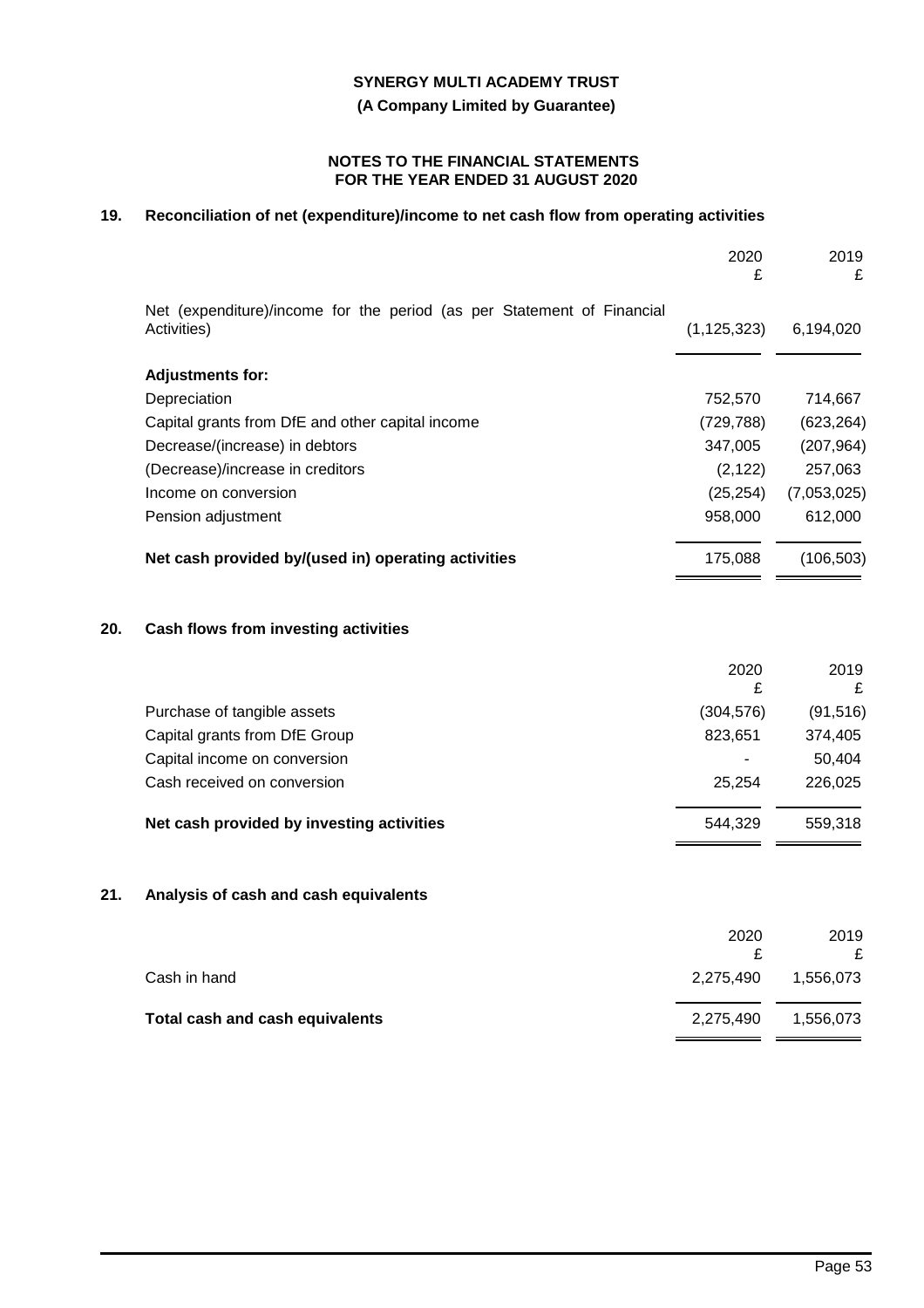**(A Company Limited by Guarantee)**

### **NOTES TO THE FINANCIAL STATEMENTS FOR THE YEAR ENDED 31 AUGUST 2020**

# **19. Reconciliation of net (expenditure)/income to net cash flow from operating activities**

|     |                                                                                       | 2020<br>£     | 2019<br>£   |
|-----|---------------------------------------------------------------------------------------|---------------|-------------|
|     | Net (expenditure)/income for the period (as per Statement of Financial<br>Activities) | (1, 125, 323) | 6,194,020   |
|     | <b>Adjustments for:</b>                                                               |               |             |
|     | Depreciation                                                                          | 752,570       | 714,667     |
|     | Capital grants from DfE and other capital income                                      | (729, 788)    | (623, 264)  |
|     | Decrease/(increase) in debtors                                                        | 347,005       | (207, 964)  |
|     | (Decrease)/increase in creditors                                                      | (2, 122)      | 257,063     |
|     | Income on conversion                                                                  | (25, 254)     | (7,053,025) |
|     | Pension adjustment                                                                    | 958,000       | 612,000     |
|     | Net cash provided by/(used in) operating activities                                   | 175,088       | (106, 503)  |
| 20. | Cash flows from investing activities                                                  |               |             |
|     |                                                                                       | 2020<br>£     | 2019<br>£   |
|     | Purchase of tangible assets                                                           | (304, 576)    | (91, 516)   |
|     | Capital grants from DfE Group                                                         | 823,651       | 374,405     |
|     | Capital income on conversion                                                          |               | 50,404      |
|     | Cash received on conversion                                                           | 25,254        | 226,025     |
|     | Net cash provided by investing activities                                             | 544,329       | 559,318     |
| 21. | Analysis of cash and cash equivalents                                                 |               |             |
|     |                                                                                       | 2020<br>£     | 2019<br>£   |
|     | Cash in hand                                                                          | 2,275,490     | 1,556,073   |
|     | <b>Total cash and cash equivalents</b>                                                | 2,275,490     | 1,556,073   |

. .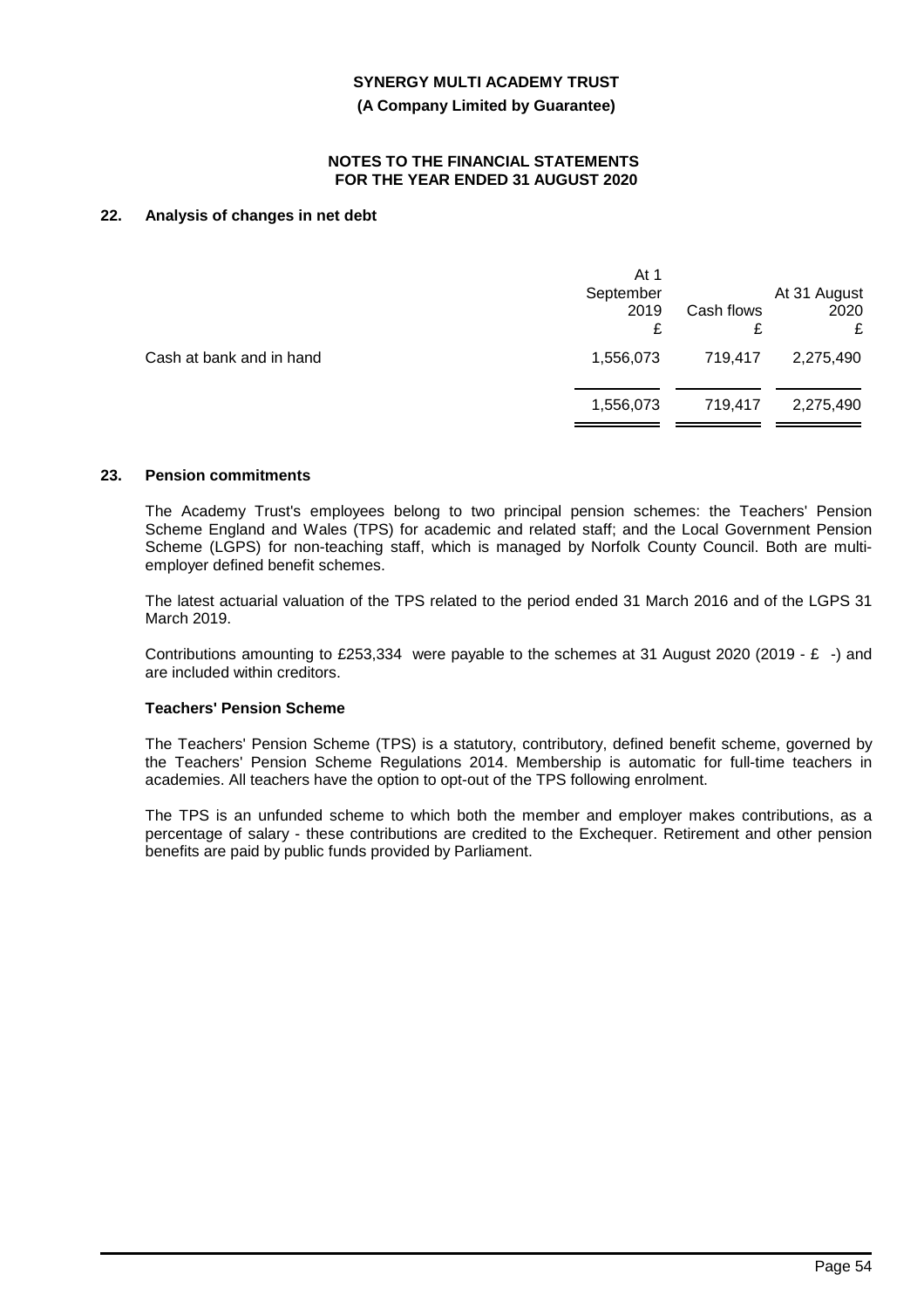**(A Company Limited by Guarantee)**

#### **NOTES TO THE FINANCIAL STATEMENTS FOR THE YEAR ENDED 31 AUGUST 2020**

# **22. Analysis of changes in net debt**

|                          | At 1<br>September<br>2019<br>£ | Cash flows<br>£ | At 31 August<br>2020<br>£ |
|--------------------------|--------------------------------|-----------------|---------------------------|
| Cash at bank and in hand | 1,556,073                      | 719,417         | 2,275,490                 |
|                          | 1,556,073                      | 719,417         | 2,275,490                 |
|                          |                                |                 |                           |

### **23. Pension commitments**

The Academy Trust's employees belong to two principal pension schemes: the Teachers' Pension Scheme England and Wales (TPS) for academic and related staff; and the Local Government Pension Scheme (LGPS) for non-teaching staff, which is managed by Norfolk County Council. Both are multiemployer defined benefit schemes.

The latest actuarial valuation of the TPS related to the period ended 31 March 2016 and of the LGPS 31 March 2019.

Contributions amounting to £253,334 were payable to the schemes at 31 August 2020 (2019 - £ -) and are included within creditors.

#### **Teachers' Pension Scheme**

The Teachers' Pension Scheme (TPS) is a statutory, contributory, defined benefit scheme, governed by the Teachers' Pension Scheme Regulations 2014. Membership is automatic for full-time teachers in academies. All teachers have the option to opt-out of the TPS following enrolment.

The TPS is an unfunded scheme to which both the member and employer makes contributions, as a percentage of salary - these contributions are credited to the Exchequer. Retirement and other pension benefits are paid by public funds provided by Parliament.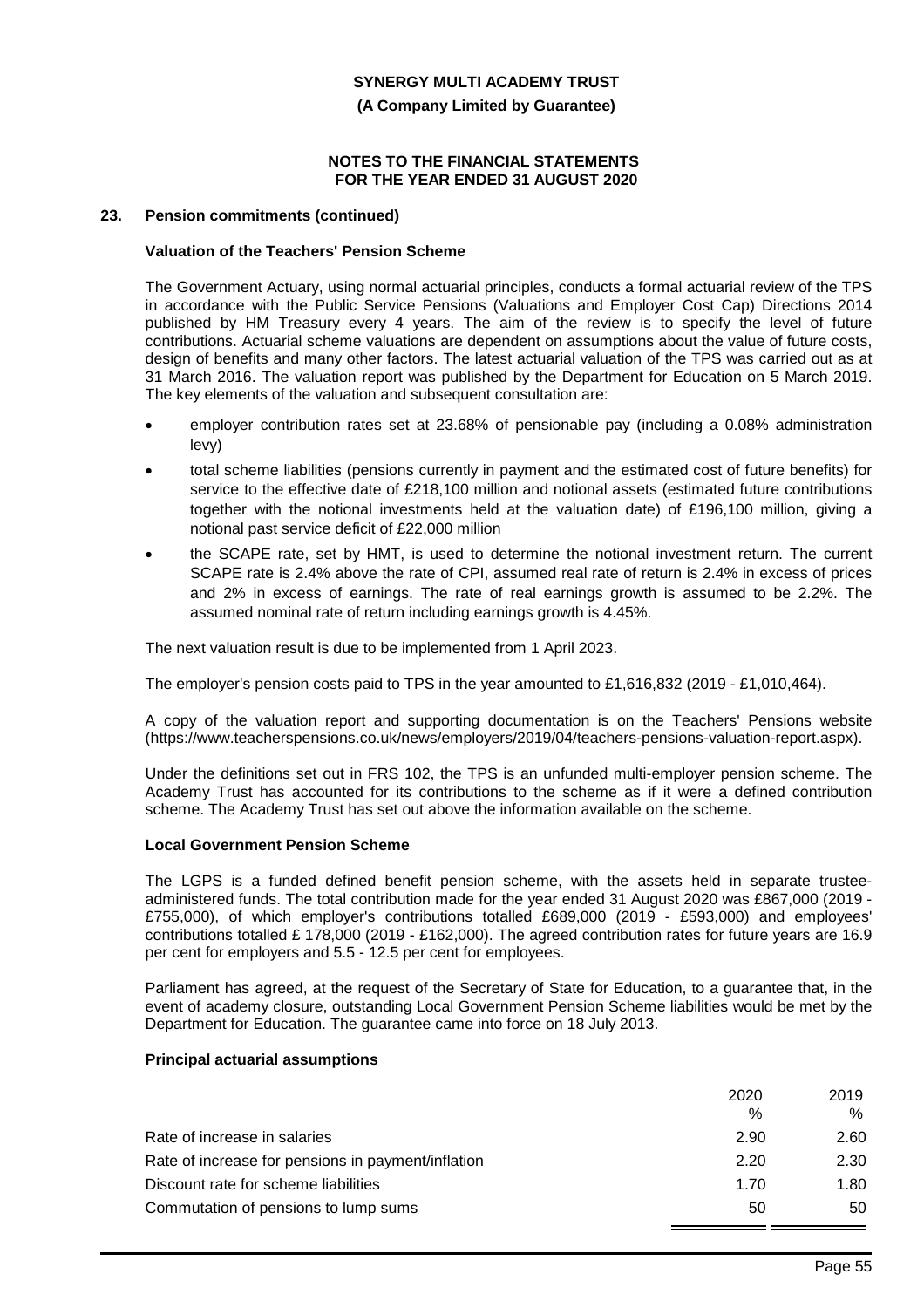**(A Company Limited by Guarantee)**

### **NOTES TO THE FINANCIAL STATEMENTS FOR THE YEAR ENDED 31 AUGUST 2020**

#### **23. Pension commitments (continued)**

### **Valuation of the Teachers' Pension Scheme**

The Government Actuary, using normal actuarial principles, conducts a formal actuarial review of the TPS in accordance with the Public Service Pensions (Valuations and Employer Cost Cap) Directions 2014 published by HM Treasury every 4 years. The aim of the review is to specify the level of future contributions. Actuarial scheme valuations are dependent on assumptions about the value of future costs, design of benefits and many other factors. The latest actuarial valuation of the TPS was carried out as at 31 March 2016. The valuation report was published by the Department for Education on 5 March 2019. The key elements of the valuation and subsequent consultation are:

- employer contribution rates set at 23.68% of pensionable pay (including a 0.08% administration levy)
- total scheme liabilities (pensions currently in payment and the estimated cost of future benefits) for service to the effective date of £218,100 million and notional assets (estimated future contributions together with the notional investments held at the valuation date) of £196,100 million, giving a notional past service deficit of £22,000 million
- the SCAPE rate, set by HMT, is used to determine the notional investment return. The current SCAPE rate is 2.4% above the rate of CPI, assumed real rate of return is 2.4% in excess of prices and 2% in excess of earnings. The rate of real earnings growth is assumed to be 2.2%. The assumed nominal rate of return including earnings growth is 4.45%.

The next valuation result is due to be implemented from 1 April 2023.

The employer's pension costs paid to TPS in the year amounted to £1,616,832 (2019 - £1,010,464).

A copy of the valuation report and supporting documentation is on the Teachers' Pensions website (https://www.teacherspensions.co.uk/news/employers/2019/04/teachers-pensions-valuation-report.aspx).

Under the definitions set out in FRS 102, the TPS is an unfunded multi-employer pension scheme. The Academy Trust has accounted for its contributions to the scheme as if it were a defined contribution scheme. The Academy Trust has set out above the information available on the scheme.

#### **Local Government Pension Scheme**

The LGPS is a funded defined benefit pension scheme, with the assets held in separate trusteeadministered funds. The total contribution made for the year ended 31 August 2020 was £867,000 (2019 - £755,000), of which employer's contributions totalled £689,000 (2019 - £593,000) and employees' contributions totalled £ 178,000 (2019 - £162,000). The agreed contribution rates for future years are 16.9 per cent for employers and 5.5 - 12.5 per cent for employees.

Parliament has agreed, at the request of the Secretary of State for Education, to a guarantee that, in the event of academy closure, outstanding Local Government Pension Scheme liabilities would be met by the Department for Education. The guarantee came into force on 18 July 2013.

### **Principal actuarial assumptions**

|                                                    | 2020 | 2019 |
|----------------------------------------------------|------|------|
|                                                    | $\%$ | $\%$ |
| Rate of increase in salaries                       | 2.90 | 2.60 |
| Rate of increase for pensions in payment/inflation | 2.20 | 2.30 |
| Discount rate for scheme liabilities               | 1.70 | 1.80 |
| Commutation of pensions to lump sums               | 50   | 50   |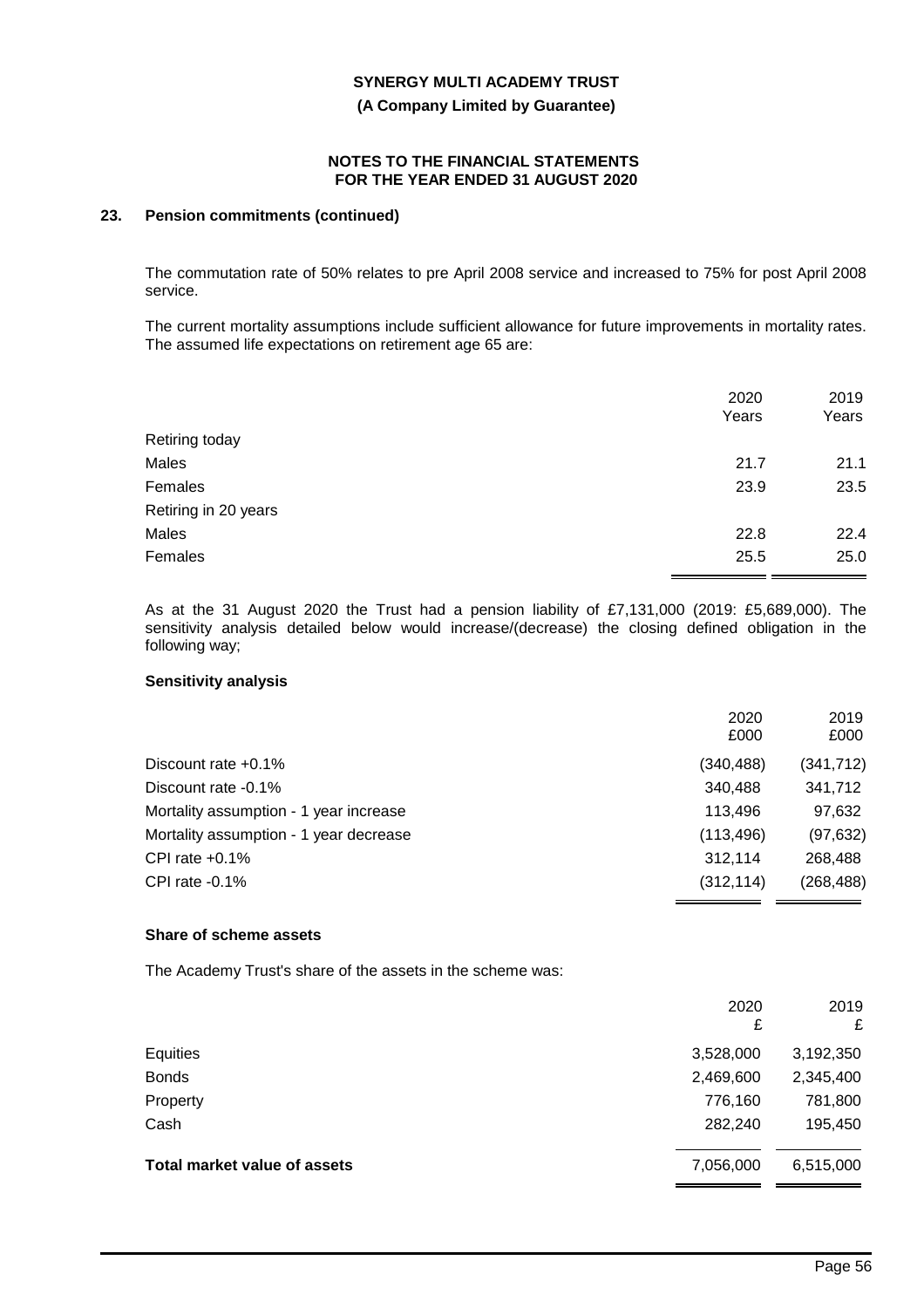**(A Company Limited by Guarantee)**

### **NOTES TO THE FINANCIAL STATEMENTS FOR THE YEAR ENDED 31 AUGUST 2020**

# **23. Pension commitments (continued)**

The commutation rate of 50% relates to pre April 2008 service and increased to 75% for post April 2008 service.

The current mortality assumptions include sufficient allowance for future improvements in mortality rates. The assumed life expectations on retirement age 65 are:

|                      | 2020<br>Years | 2019<br>Years |
|----------------------|---------------|---------------|
| Retiring today       |               |               |
| Males                | 21.7          | 21.1          |
| Females              | 23.9          | 23.5          |
| Retiring in 20 years |               |               |
| Males                | 22.8          | 22.4          |
| Females              | 25.5          | 25.0          |
|                      |               |               |

As at the 31 August 2020 the Trust had a pension liability of £7,131,000 (2019: £5,689,000). The sensitivity analysis detailed below would increase/(decrease) the closing defined obligation in the following way;

#### **Sensitivity analysis**

|                                        | 2020       | 2019       |
|----------------------------------------|------------|------------|
|                                        | £000       | £000       |
| Discount rate $+0.1\%$                 | (340, 488) | (341, 712) |
| Discount rate -0.1%                    | 340,488    | 341,712    |
| Mortality assumption - 1 year increase | 113.496    | 97,632     |
| Mortality assumption - 1 year decrease | (113, 496) | (97, 632)  |
| CPI rate $+0.1\%$                      | 312.114    | 268,488    |
| CPI rate $-0.1%$                       | (312, 114) | (268, 488) |
|                                        |            |            |

#### **Share of scheme assets**

The Academy Trust's share of the assets in the scheme was:

|                              | 2020<br>£ | 2019<br>£ |
|------------------------------|-----------|-----------|
| Equities                     | 3,528,000 | 3,192,350 |
| <b>Bonds</b>                 | 2,469,600 | 2,345,400 |
| Property                     | 776,160   | 781,800   |
| Cash                         | 282,240   | 195,450   |
| Total market value of assets | 7,056,000 | 6,515,000 |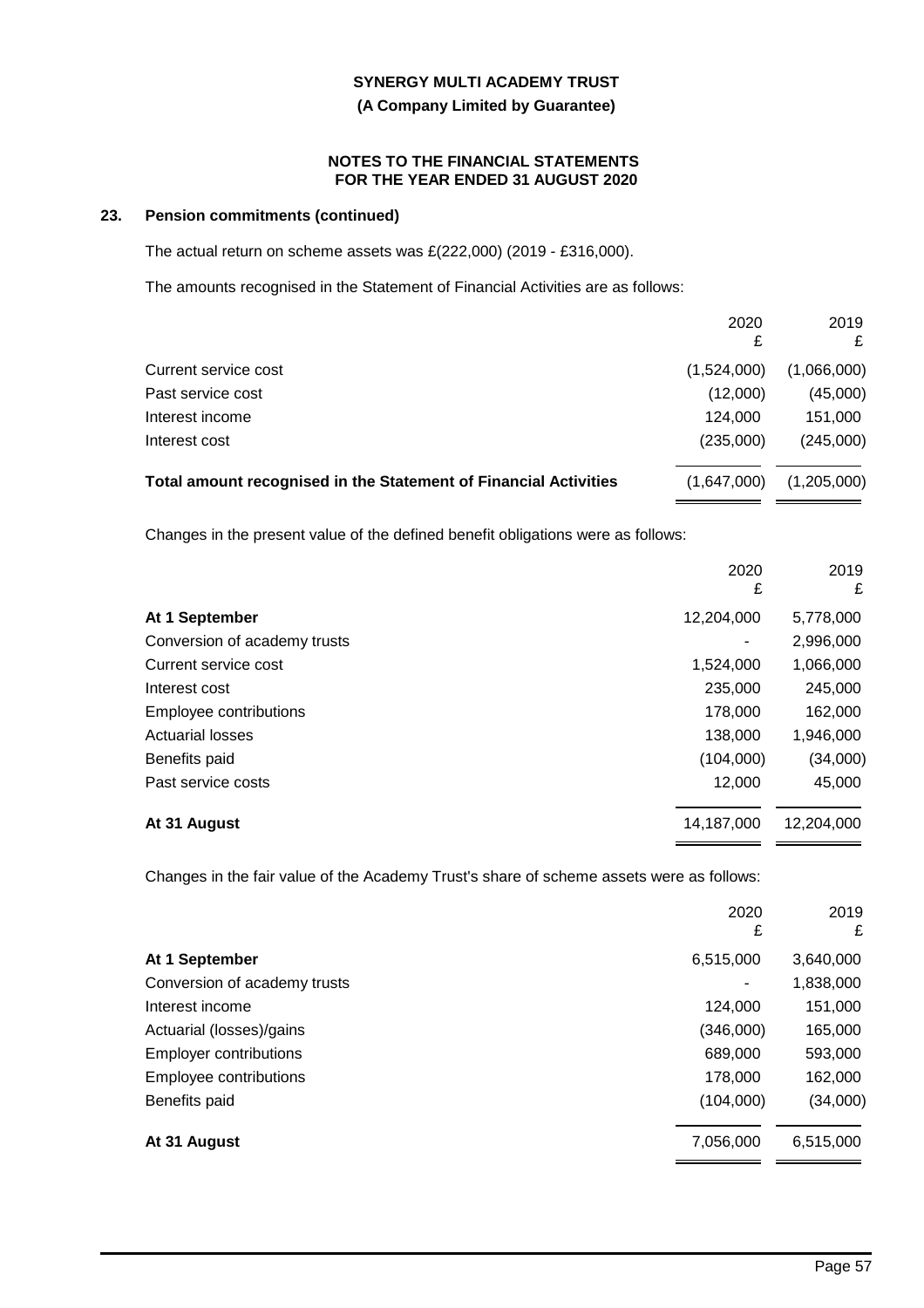**(A Company Limited by Guarantee)**

### **NOTES TO THE FINANCIAL STATEMENTS FOR THE YEAR ENDED 31 AUGUST 2020**

# **23. Pension commitments (continued)**

The actual return on scheme assets was £(222,000) (2019 - £316,000).

The amounts recognised in the Statement of Financial Activities are as follows:

|                                                                  | 2020        | 2019<br>£   |
|------------------------------------------------------------------|-------------|-------------|
| Current service cost                                             | (1,524,000) | (1,066,000) |
| Past service cost                                                | (12,000)    | (45,000)    |
| Interest income                                                  | 124.000     | 151,000     |
| Interest cost                                                    | (235,000)   | (245,000)   |
| Total amount recognised in the Statement of Financial Activities | (1,647,000) | (1,205,000) |

Changes in the present value of the defined benefit obligations were as follows:

|                              | 2020<br>£  | 2019<br>£  |
|------------------------------|------------|------------|
| At 1 September               | 12,204,000 | 5,778,000  |
| Conversion of academy trusts | ٠          | 2,996,000  |
| Current service cost         | 1,524,000  | 1,066,000  |
| Interest cost                | 235,000    | 245,000    |
| Employee contributions       | 178,000    | 162,000    |
| <b>Actuarial losses</b>      | 138,000    | 1,946,000  |
| Benefits paid                | (104,000)  | (34,000)   |
| Past service costs           | 12,000     | 45,000     |
| At 31 August                 | 14,187,000 | 12,204,000 |

Changes in the fair value of the Academy Trust's share of scheme assets were as follows:

|                               | 2020<br>£ | 2019<br>£ |
|-------------------------------|-----------|-----------|
| At 1 September                | 6,515,000 | 3,640,000 |
| Conversion of academy trusts  | ٠         | 1,838,000 |
| Interest income               | 124,000   | 151,000   |
| Actuarial (losses)/gains      | (346,000) | 165,000   |
| <b>Employer contributions</b> | 689,000   | 593,000   |
| Employee contributions        | 178,000   | 162,000   |
| Benefits paid                 | (104,000) | (34,000)  |
| At 31 August                  | 7,056,000 | 6,515,000 |